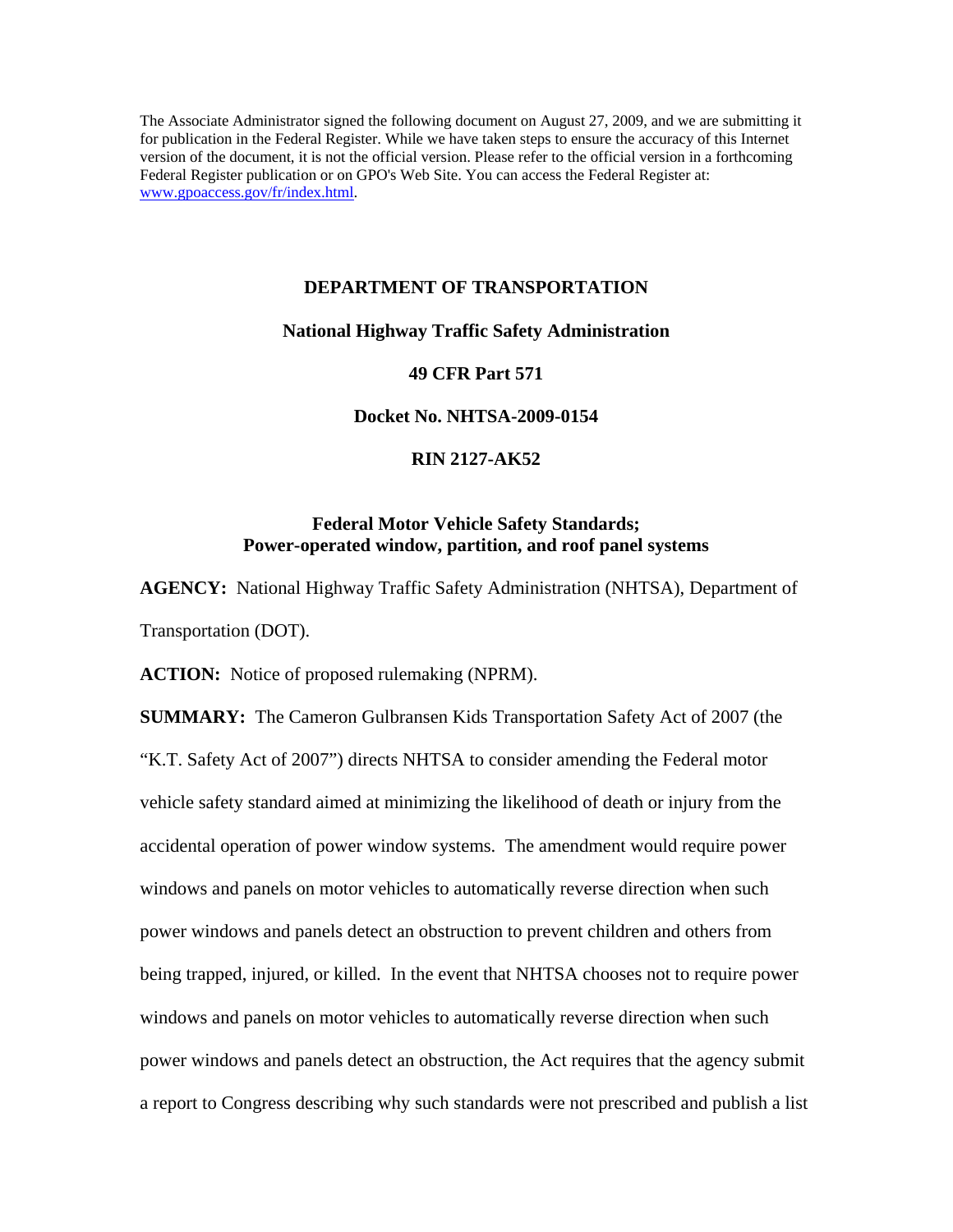The Associate Administrator signed the following document on August 27, 2009, and we are submitting it for publication in the Federal Register. While we have taken steps to ensure the accuracy of this Internet version of the document, it is not the official version. Please refer to the official version in a forthcoming Federal Register publication or on GPO's Web Site. You can access the Federal Register at: www.gpoaccess.gov/fr/index.html.

# **DEPARTMENT OF TRANSPORTATION**

## **National Highway Traffic Safety Administration**

#### **49 CFR Part 571**

# **Docket No. NHTSA-2009-0154**

# **RIN 2127-AK52**

# **Federal Motor Vehicle Safety Standards; Power-operated window, partition, and roof panel systems**

**AGENCY:** National Highway Traffic Safety Administration (NHTSA), Department of Transportation (DOT).

**ACTION:** Notice of proposed rulemaking (NPRM).

**SUMMARY:** The Cameron Gulbransen Kids Transportation Safety Act of 2007 (the "K.T. Safety Act of 2007") directs NHTSA to consider amending the Federal motor vehicle safety standard aimed at minimizing the likelihood of death or injury from the accidental operation of power window systems. The amendment would require power windows and panels on motor vehicles to automatically reverse direction when such power windows and panels detect an obstruction to prevent children and others from being trapped, injured, or killed. In the event that NHTSA chooses not to require power windows and panels on motor vehicles to automatically reverse direction when such power windows and panels detect an obstruction, the Act requires that the agency submit a report to Congress describing why such standards were not prescribed and publish a list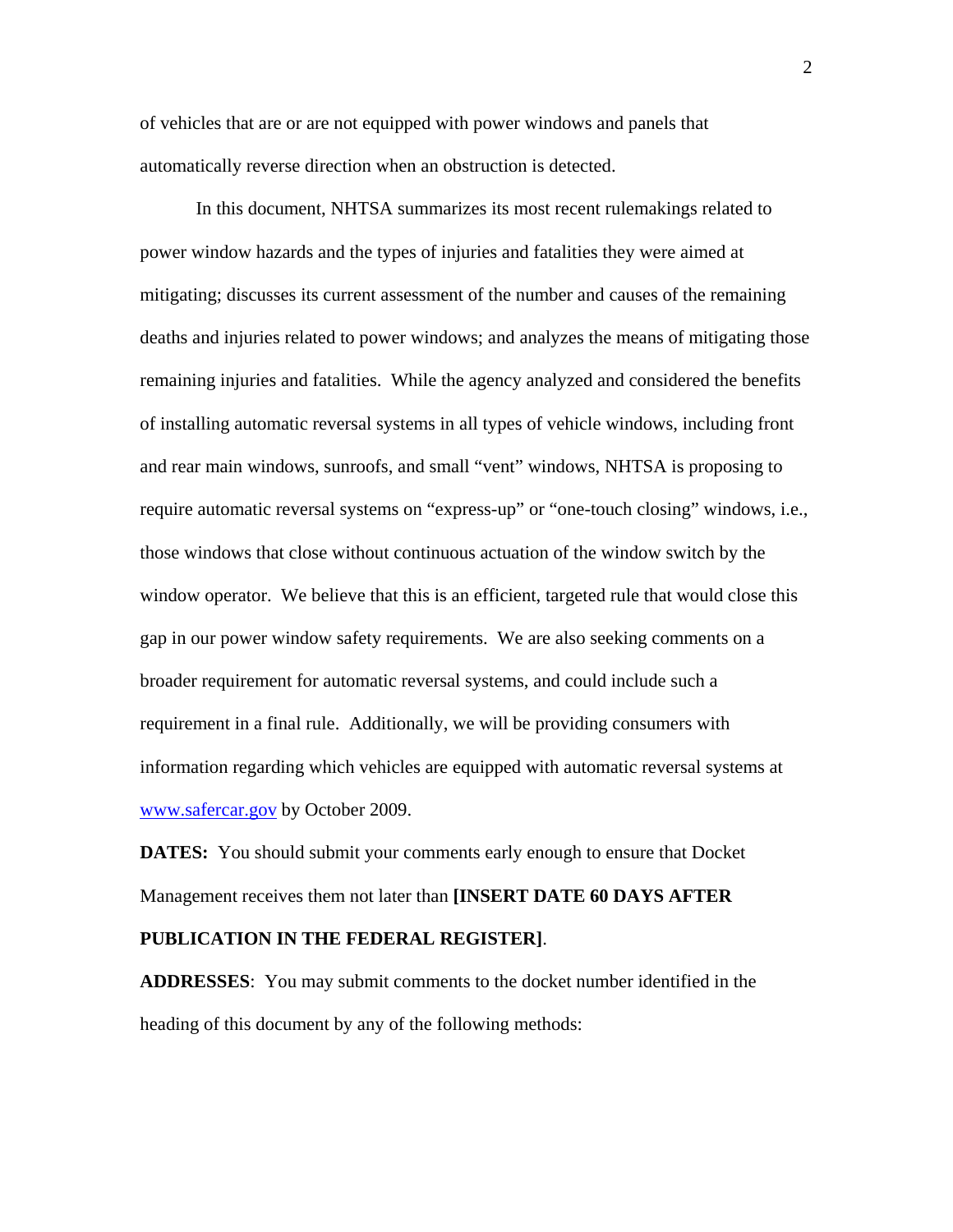of vehicles that are or are not equipped with power windows and panels that automatically reverse direction when an obstruction is detected.

In this document, NHTSA summarizes its most recent rulemakings related to power window hazards and the types of injuries and fatalities they were aimed at mitigating; discusses its current assessment of the number and causes of the remaining deaths and injuries related to power windows; and analyzes the means of mitigating those remaining injuries and fatalities. While the agency analyzed and considered the benefits of installing automatic reversal systems in all types of vehicle windows, including front and rear main windows, sunroofs, and small "vent" windows, NHTSA is proposing to require automatic reversal systems on "express-up" or "one-touch closing" windows, i.e., those windows that close without continuous actuation of the window switch by the window operator. We believe that this is an efficient, targeted rule that would close this gap in our power window safety requirements. We are also seeking comments on a broader requirement for automatic reversal systems, and could include such a requirement in a final rule. Additionally, we will be providing consumers with information regarding which vehicles are equipped with automatic reversal systems at [www.safercar.gov](http://www.safercar.gov/) by October 2009.

**DATES:** You should submit your comments early enough to ensure that Docket Management receives them not later than **[INSERT DATE 60 DAYS AFTER** 

# **PUBLICATION IN THE FEDERAL REGISTER]**.

**ADDRESSES**: You may submit comments to the docket number identified in the heading of this document by any of the following methods:

2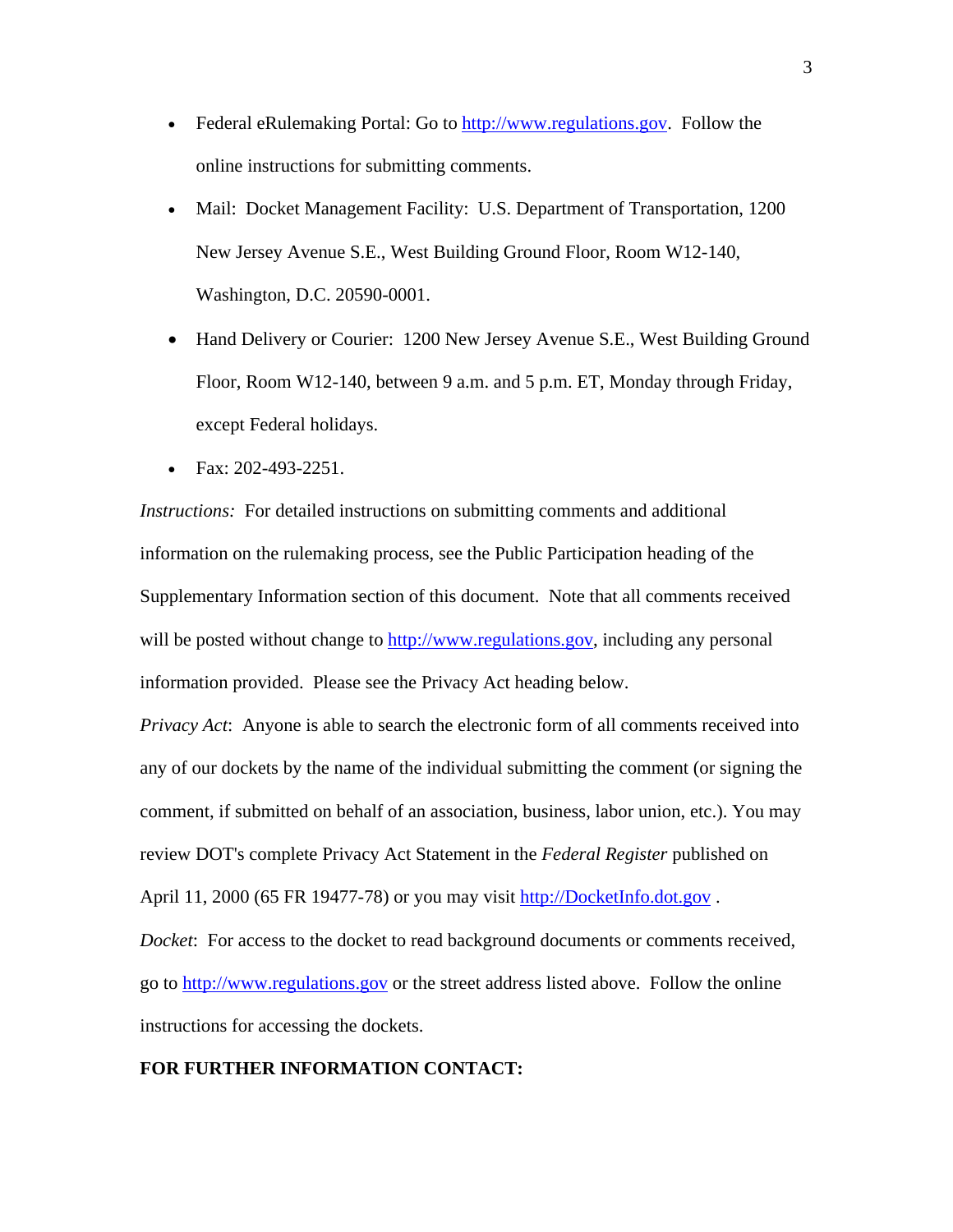- Federal eRulemaking Portal: Go to [http://www.regulations.gov.](http://www.regulations.gov/) Follow the online instructions for submitting comments.
- Mail: Docket Management Facility: U.S. Department of Transportation, 1200 New Jersey Avenue S.E., West Building Ground Floor, Room W12-140, Washington, D.C. 20590-0001.
- Hand Delivery or Courier: 1200 New Jersey Avenue S.E., West Building Ground Floor, Room W12-140, between 9 a.m. and 5 p.m. ET, Monday through Friday, except Federal holidays.
- Fax:  $202 493 2251$ .

*Instructions:* For detailed instructions on submitting comments and additional information on the rulemaking process, see the Public Participation heading of the Supplementary Information section of this document. Note that all comments received will be posted without change to [http://www.regulations.gov](http://www.regulations.gov/), including any personal information provided. Please see the Privacy Act heading below.

*Privacy Act*: Anyone is able to search the electronic form of all comments received into any of our dockets by the name of the individual submitting the comment (or signing the comment, if submitted on behalf of an association, business, labor union, etc.). You may review DOT's complete Privacy Act Statement in the *Federal Register* published on April 11, 2000 (65 FR 19477-78) or you may visit http://DocketInfo.dot.gov.

*Docket*: For access to the docket to read background documents or comments received, go to [http://www.regulations.gov](http://www.regulations.gov/) or the street address listed above. Follow the online instructions for accessing the dockets.

# **FOR FURTHER INFORMATION CONTACT:**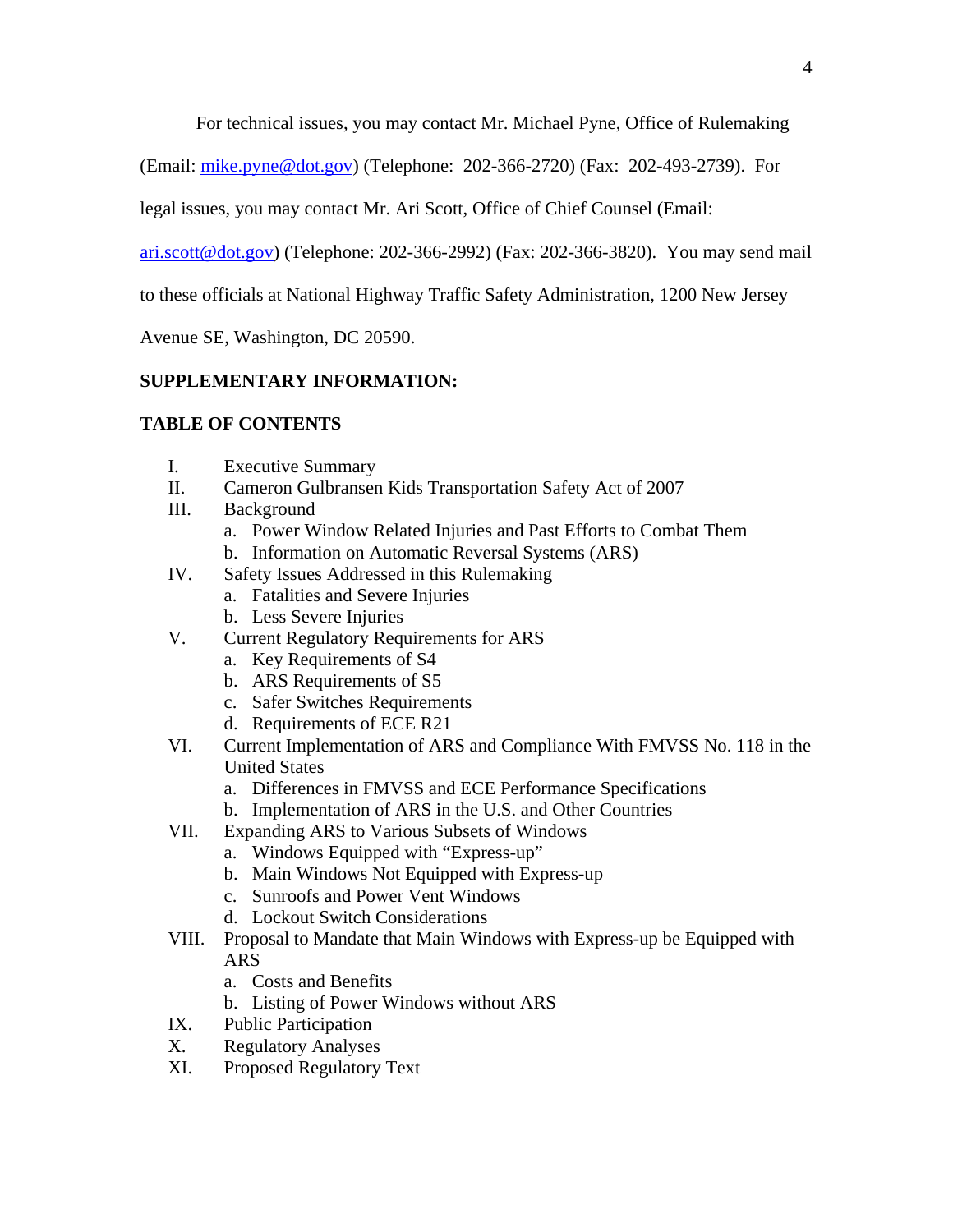For technical issues, you may contact Mr. Michael Pyne, Office of Rulemaking

(Email: [mike.pyne@dot.gov\)](mailto:mike.pyne@dot.gov) (Telephone: 202-366-2720) (Fax: 202-493-2739). For

legal issues, you may contact Mr. Ari Scott, Office of Chief Counsel (Email:

[ari.scott@dot.gov\)](mailto:ari.scott@dot.gov) (Telephone: 202-366-2992) (Fax: 202-366-3820). You may send mail

to these officials at National Highway Traffic Safety Administration, 1200 New Jersey

Avenue SE, Washington, DC 20590.

# **SUPPLEMENTARY INFORMATION:**

# **TABLE OF CONTENTS**

- I. Executive Summary
- II. Cameron Gulbransen Kids Transportation Safety Act of 2007
- III. Background
	- a. Power Window Related Injuries and Past Efforts to Combat Them
	- b. Information on Automatic Reversal Systems (ARS)
- IV. Safety Issues Addressed in this Rulemaking
	- a. Fatalities and Severe Injuries
	- b. Less Severe Injuries
- V. Current Regulatory Requirements for ARS
	- a. Key Requirements of S4
	- b. ARS Requirements of S5
	- c. Safer Switches Requirements
	- d. Requirements of ECE R21
- VI. Current Implementation of ARS and Compliance With FMVSS No. 118 in the United States
	- a. Differences in FMVSS and ECE Performance Specifications
	- b. Implementation of ARS in the U.S. and Other Countries
- VII. Expanding ARS to Various Subsets of Windows
	- a. Windows Equipped with "Express-up"
	- b. Main Windows Not Equipped with Express-up
	- c. Sunroofs and Power Vent Windows
	- d. Lockout Switch Considerations
- VIII. Proposal to Mandate that Main Windows with Express-up be Equipped with ARS
	- a. Costs and Benefits
	- b. Listing of Power Windows without ARS
- IX. Public Participation
- X. Regulatory Analyses
- XI. Proposed Regulatory Text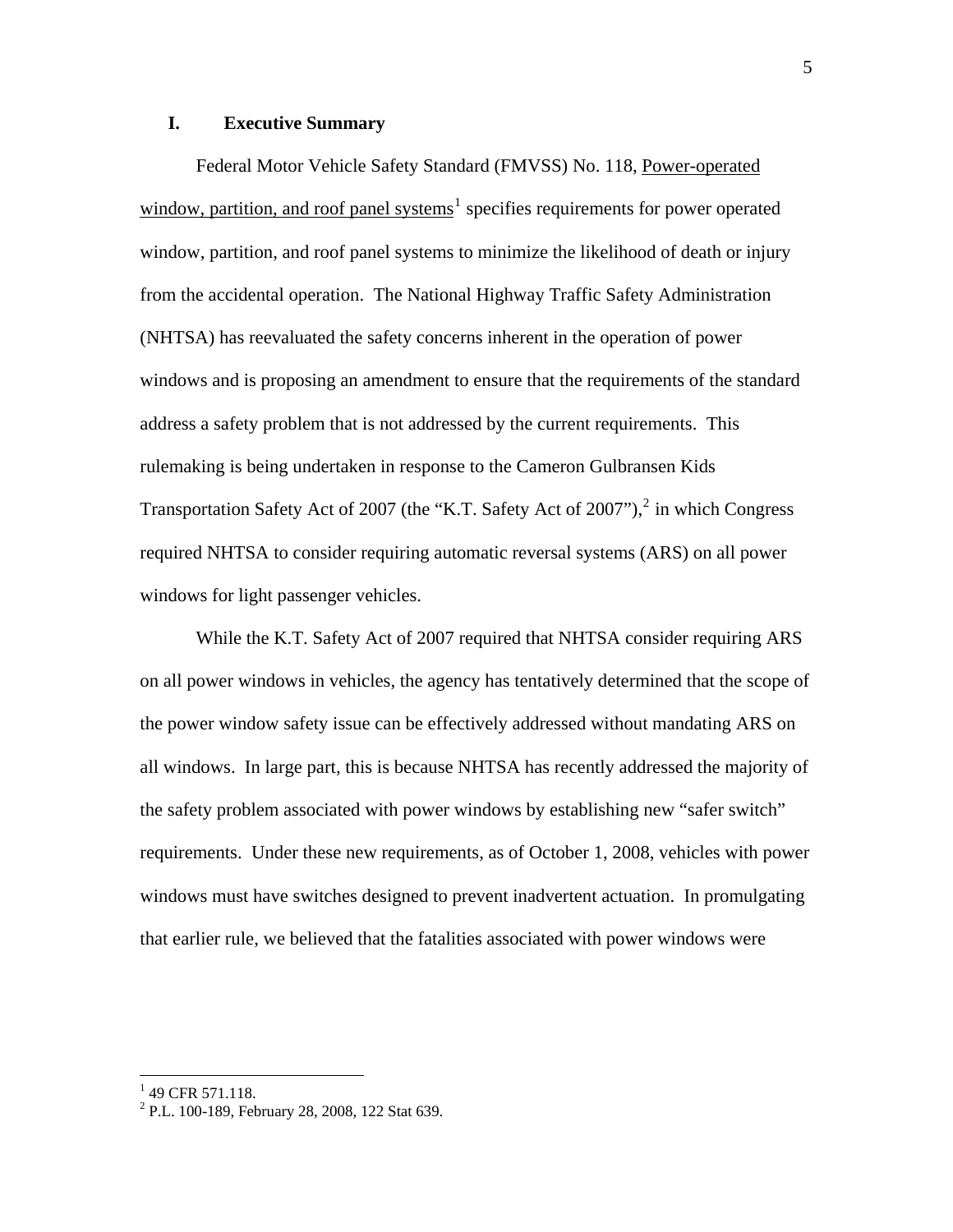# **I. Executive Summary**

Federal Motor Vehicle Safety Standard (FMVSS) No. 118, Power-operated window, partition, and roof panel systems<sup>[1](#page-4-0)</sup> specifies requirements for power operated window, partition, and roof panel systems to minimize the likelihood of death or injury from the accidental operation. The National Highway Traffic Safety Administration (NHTSA) has reevaluated the safety concerns inherent in the operation of power windows and is proposing an amendment to ensure that the requirements of the standard address a safety problem that is not addressed by the current requirements. This rulemaking is being undertaken in response to the Cameron Gulbransen Kids Transportation Safety Act of [2](#page-4-1)007 (the "K.T. Safety Act of 2007"), $^2$  in which Congress required NHTSA to consider requiring automatic reversal systems (ARS) on all power windows for light passenger vehicles.

 While the K.T. Safety Act of 2007 required that NHTSA consider requiring ARS on all power windows in vehicles, the agency has tentatively determined that the scope of the power window safety issue can be effectively addressed without mandating ARS on all windows. In large part, this is because NHTSA has recently addressed the majority of the safety problem associated with power windows by establishing new "safer switch" requirements. Under these new requirements, as of October 1, 2008, vehicles with power windows must have switches designed to prevent inadvertent actuation. In promulgating that earlier rule, we believed that the fatalities associated with power windows were

<span id="page-4-0"></span> $1$  49 CFR 571.118.

<span id="page-4-1"></span><sup>&</sup>lt;sup>2</sup> P.L. 100-189, February 28, 2008, 122 Stat 639.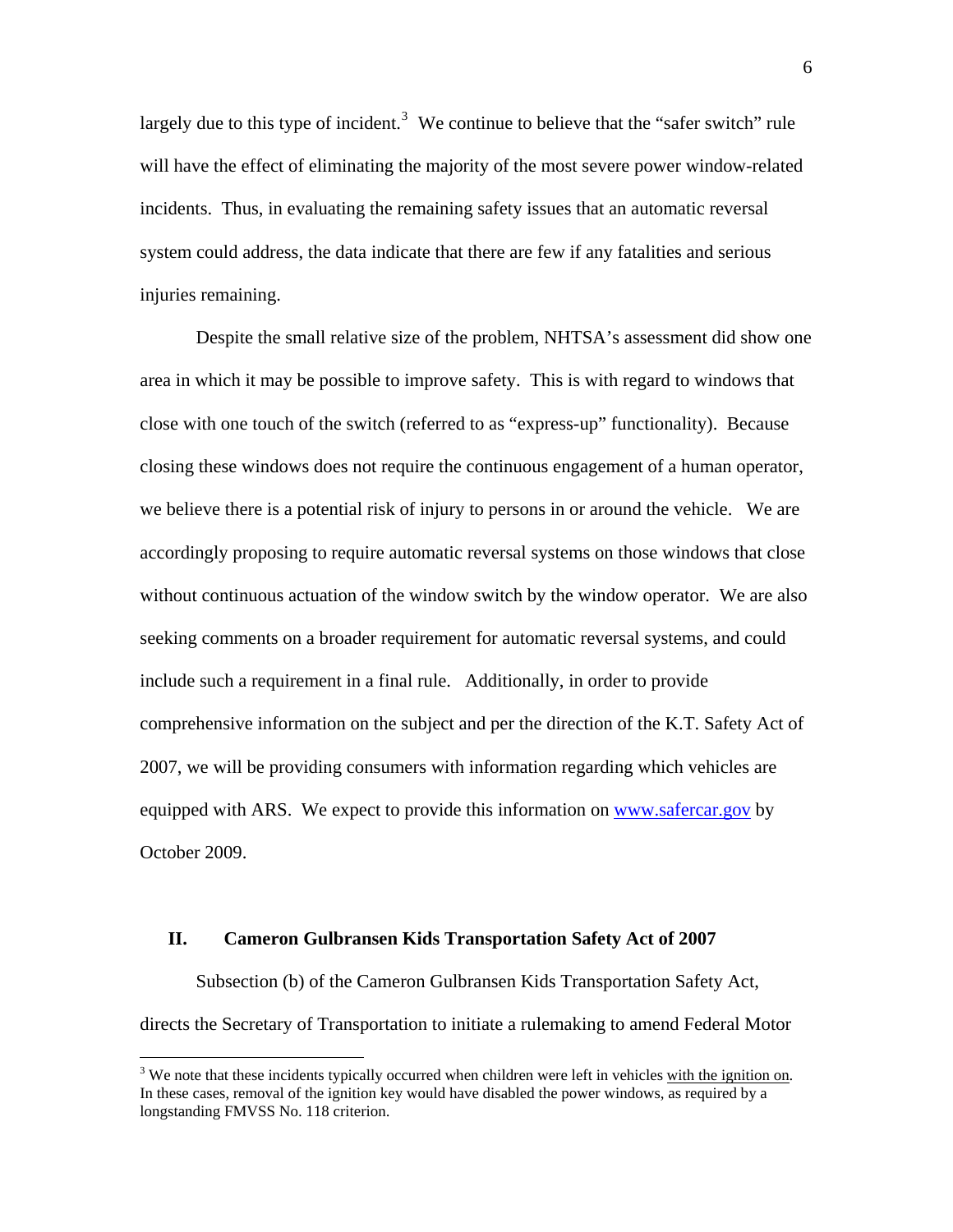largely due to this type of incident.<sup>[3](#page-5-0)</sup> We continue to believe that the "safer switch" rule will have the effect of eliminating the majority of the most severe power window-related incidents. Thus, in evaluating the remaining safety issues that an automatic reversal system could address, the data indicate that there are few if any fatalities and serious injuries remaining.

 Despite the small relative size of the problem, NHTSA's assessment did show one area in which it may be possible to improve safety. This is with regard to windows that close with one touch of the switch (referred to as "express-up" functionality). Because closing these windows does not require the continuous engagement of a human operator, we believe there is a potential risk of injury to persons in or around the vehicle. We are accordingly proposing to require automatic reversal systems on those windows that close without continuous actuation of the window switch by the window operator. We are also seeking comments on a broader requirement for automatic reversal systems, and could include such a requirement in a final rule. Additionally, in order to provide comprehensive information on the subject and per the direction of the K.T. Safety Act of 2007, we will be providing consumers with information regarding which vehicles are equipped with ARS. We expect to provide this information on [www.safercar.gov](http://www.safercar.gov/) by October 2009.

## **II. Cameron Gulbransen Kids Transportation Safety Act of 2007**

1

Subsection (b) of the Cameron Gulbransen Kids Transportation Safety Act, directs the Secretary of Transportation to initiate a rulemaking to amend Federal Motor

<span id="page-5-0"></span> $3$  We note that these incidents typically occurred when children were left in vehicles with the ignition on. In these cases, removal of the ignition key would have disabled the power windows, as required by a longstanding FMVSS No. 118 criterion.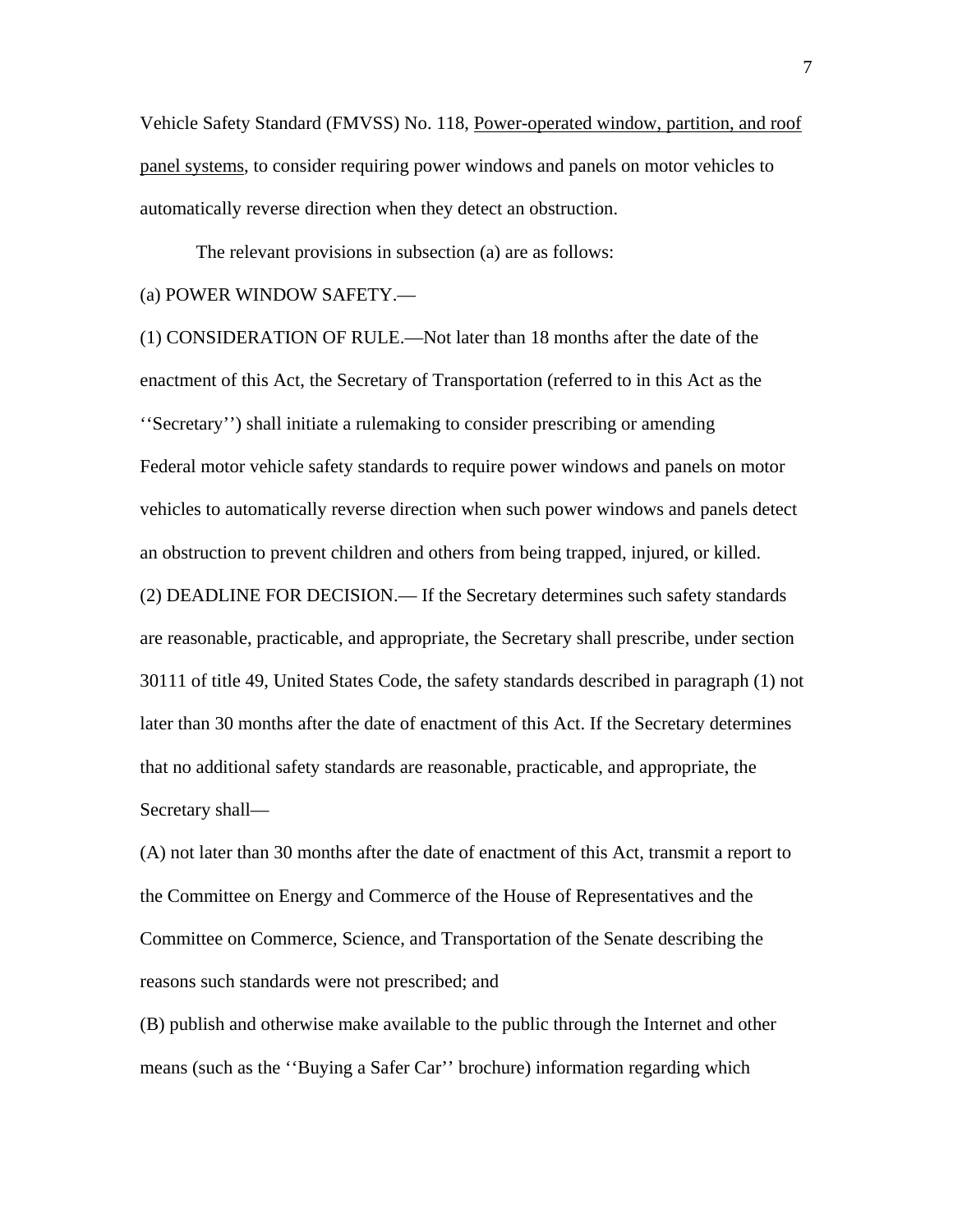Vehicle Safety Standard (FMVSS) No. 118, Power-operated window, partition, and roof panel systems, to consider requiring power windows and panels on motor vehicles to automatically reverse direction when they detect an obstruction.

The relevant provisions in subsection (a) are as follows:

# (a) POWER WINDOW SAFETY.—

(1) CONSIDERATION OF RULE.—Not later than 18 months after the date of the enactment of this Act, the Secretary of Transportation (referred to in this Act as the ''Secretary'') shall initiate a rulemaking to consider prescribing or amending Federal motor vehicle safety standards to require power windows and panels on motor vehicles to automatically reverse direction when such power windows and panels detect an obstruction to prevent children and others from being trapped, injured, or killed. (2) DEADLINE FOR DECISION.— If the Secretary determines such safety standards are reasonable, practicable, and appropriate, the Secretary shall prescribe, under section 30111 of title 49, United States Code, the safety standards described in paragraph (1) not

later than 30 months after the date of enactment of this Act. If the Secretary determines that no additional safety standards are reasonable, practicable, and appropriate, the Secretary shall—

(A) not later than 30 months after the date of enactment of this Act, transmit a report to the Committee on Energy and Commerce of the House of Representatives and the Committee on Commerce, Science, and Transportation of the Senate describing the reasons such standards were not prescribed; and

(B) publish and otherwise make available to the public through the Internet and other means (such as the ''Buying a Safer Car'' brochure) information regarding which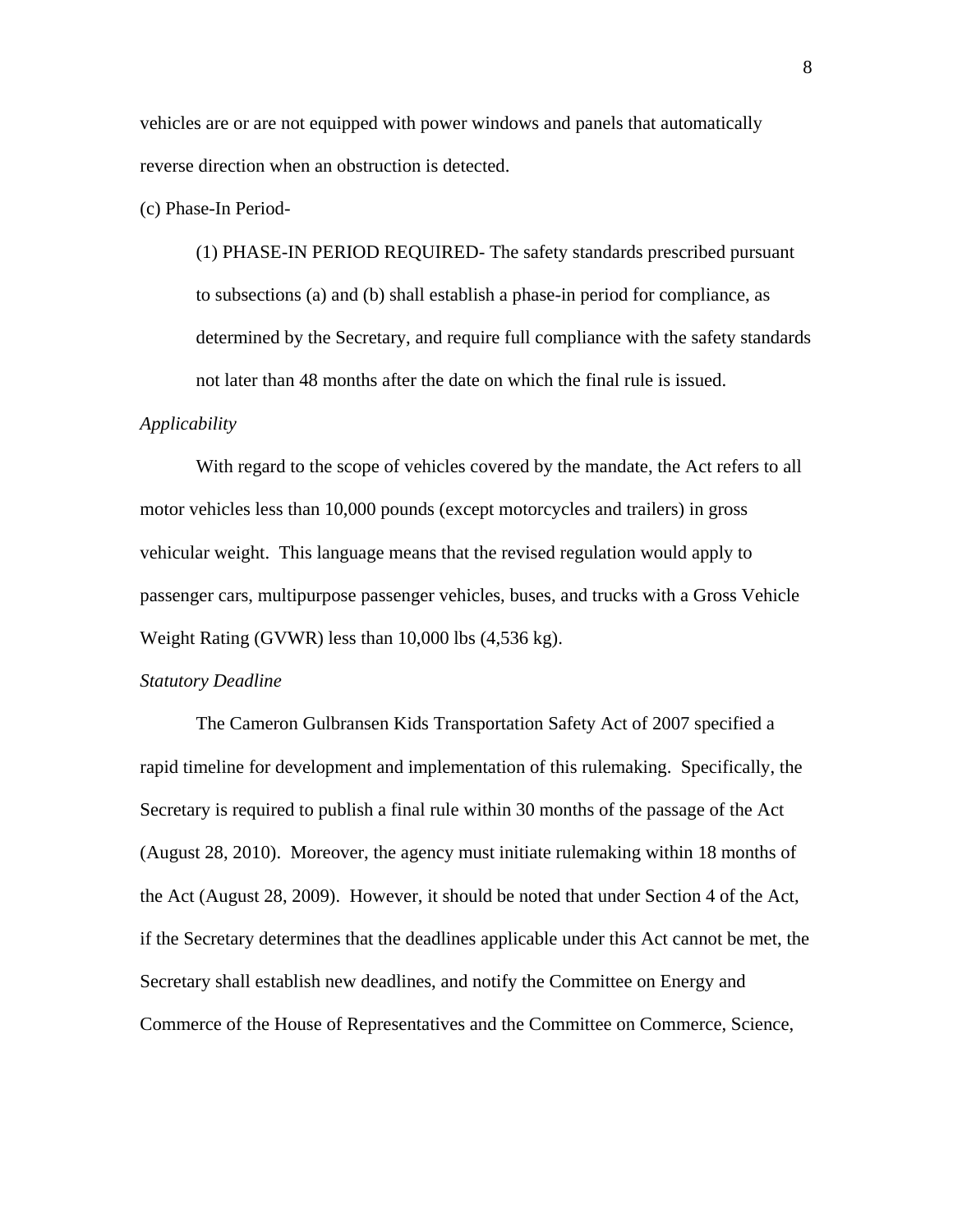vehicles are or are not equipped with power windows and panels that automatically reverse direction when an obstruction is detected.

(c) Phase-In Period-

(1) PHASE-IN PERIOD REQUIRED- The safety standards prescribed pursuant to subsections (a) and (b) shall establish a phase-in period for compliance, as determined by the Secretary, and require full compliance with the safety standards not later than 48 months after the date on which the final rule is issued.

# *Applicability*

With regard to the scope of vehicles covered by the mandate, the Act refers to all motor vehicles less than 10,000 pounds (except motorcycles and trailers) in gross vehicular weight. This language means that the revised regulation would apply to passenger cars, multipurpose passenger vehicles, buses, and trucks with a Gross Vehicle Weight Rating (GVWR) less than 10,000 lbs (4,536 kg).

#### *Statutory Deadline*

The Cameron Gulbransen Kids Transportation Safety Act of 2007 specified a rapid timeline for development and implementation of this rulemaking. Specifically, the Secretary is required to publish a final rule within 30 months of the passage of the Act (August 28, 2010). Moreover, the agency must initiate rulemaking within 18 months of the Act (August 28, 2009). However, it should be noted that under Section 4 of the Act, if the Secretary determines that the deadlines applicable under this Act cannot be met, the Secretary shall establish new deadlines, and notify the Committee on Energy and Commerce of the House of Representatives and the Committee on Commerce, Science,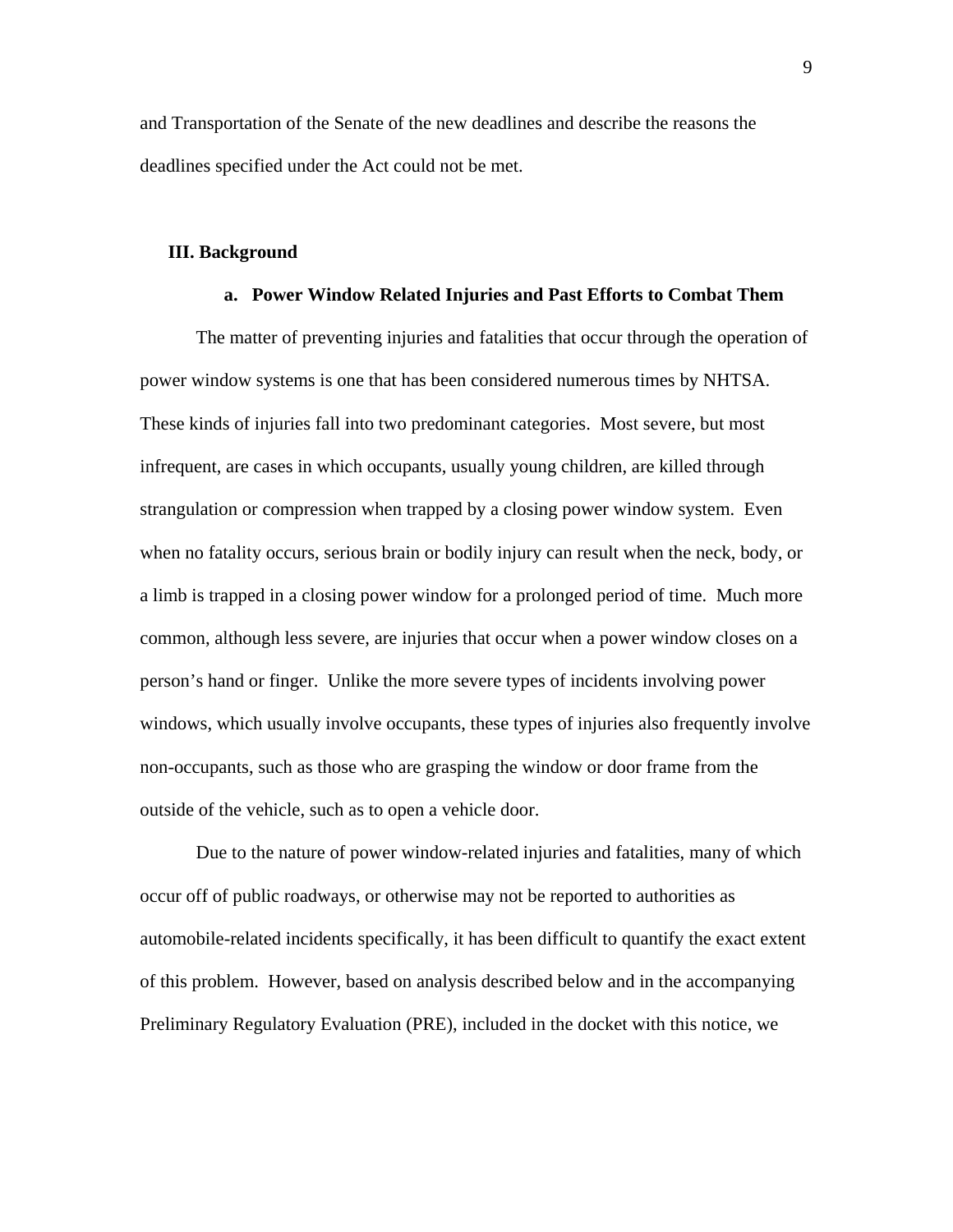and Transportation of the Senate of the new deadlines and describe the reasons the deadlines specified under the Act could not be met.

## **III. Background**

#### **a. Power Window Related Injuries and Past Efforts to Combat Them**

The matter of preventing injuries and fatalities that occur through the operation of power window systems is one that has been considered numerous times by NHTSA. These kinds of injuries fall into two predominant categories. Most severe, but most infrequent, are cases in which occupants, usually young children, are killed through strangulation or compression when trapped by a closing power window system. Even when no fatality occurs, serious brain or bodily injury can result when the neck, body, or a limb is trapped in a closing power window for a prolonged period of time. Much more common, although less severe, are injuries that occur when a power window closes on a person's hand or finger. Unlike the more severe types of incidents involving power windows, which usually involve occupants, these types of injuries also frequently involve non-occupants, such as those who are grasping the window or door frame from the outside of the vehicle, such as to open a vehicle door.

Due to the nature of power window-related injuries and fatalities, many of which occur off of public roadways, or otherwise may not be reported to authorities as automobile-related incidents specifically, it has been difficult to quantify the exact extent of this problem. However, based on analysis described below and in the accompanying Preliminary Regulatory Evaluation (PRE), included in the docket with this notice, we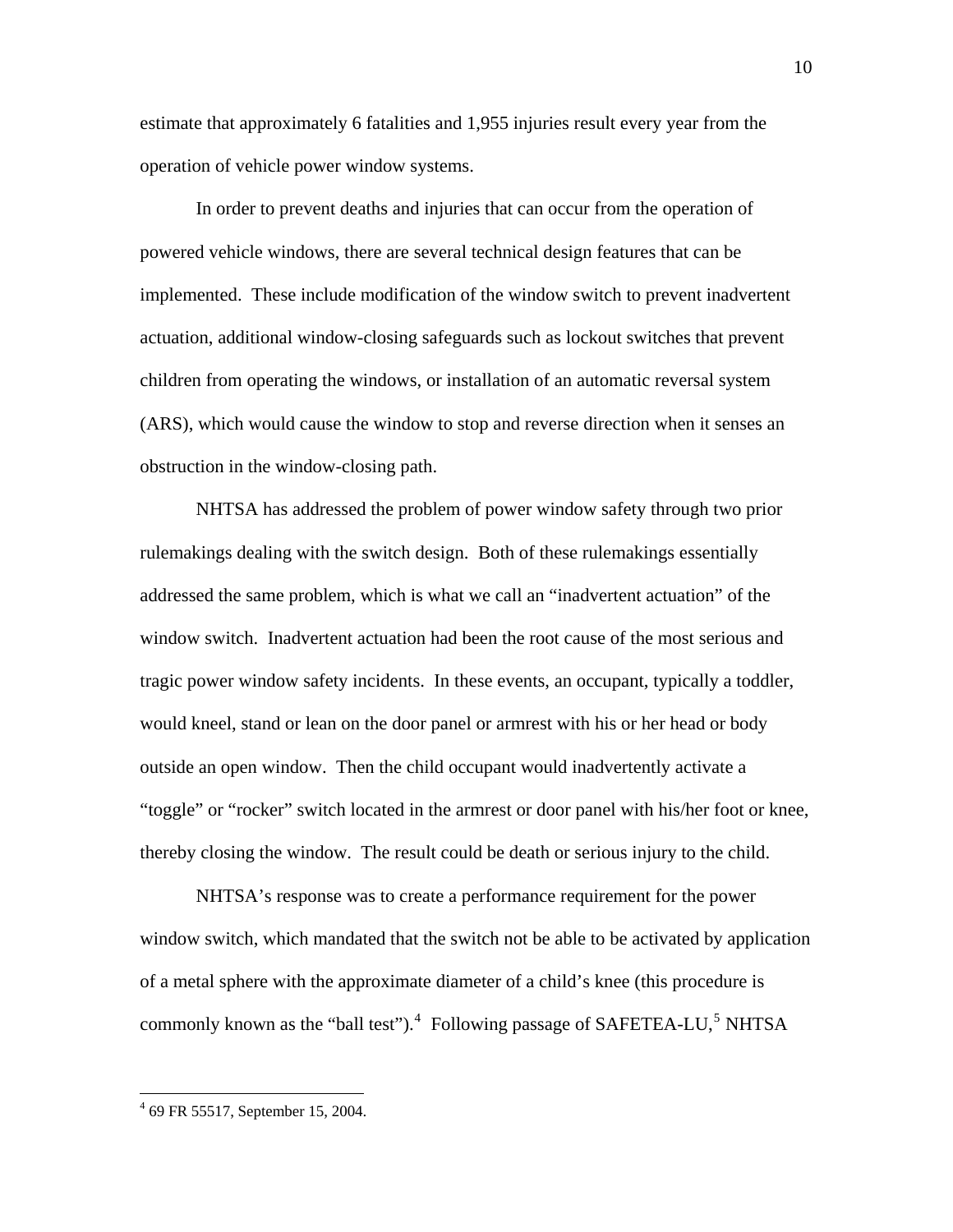estimate that approximately 6 fatalities and 1,955 injuries result every year from the operation of vehicle power window systems.

In order to prevent deaths and injuries that can occur from the operation of powered vehicle windows, there are several technical design features that can be implemented. These include modification of the window switch to prevent inadvertent actuation, additional window-closing safeguards such as lockout switches that prevent children from operating the windows, or installation of an automatic reversal system (ARS), which would cause the window to stop and reverse direction when it senses an obstruction in the window-closing path.

NHTSA has addressed the problem of power window safety through two prior rulemakings dealing with the switch design. Both of these rulemakings essentially addressed the same problem, which is what we call an "inadvertent actuation" of the window switch. Inadvertent actuation had been the root cause of the most serious and tragic power window safety incidents. In these events, an occupant, typically a toddler, would kneel, stand or lean on the door panel or armrest with his or her head or body outside an open window. Then the child occupant would inadvertently activate a "toggle" or "rocker" switch located in the armrest or door panel with his/her foot or knee, thereby closing the window. The result could be death or serious injury to the child.

NHTSA's response was to create a performance requirement for the power window switch, which mandated that the switch not be able to be activated by application of a metal sphere with the approximate diameter of a child's knee (this procedure is commonly known as the "ball test"). $4$  Following passage of SAFETEA-LU,<sup>[5](#page-9-1)</sup> NHTSA

<u>.</u>

<span id="page-9-1"></span><span id="page-9-0"></span><sup>4</sup> 69 FR 55517, September 15, 2004.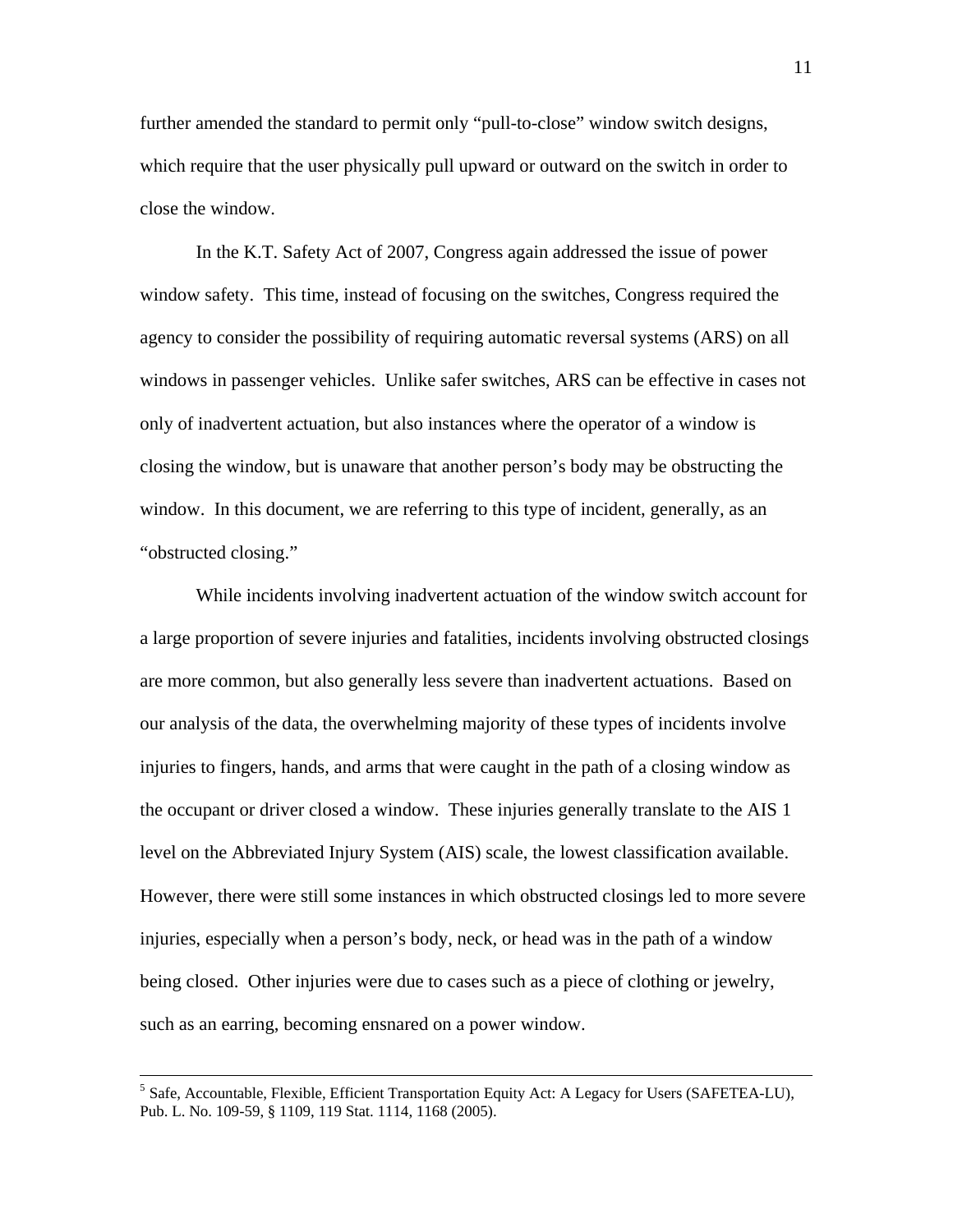further amended the standard to permit only "pull-to-close" window switch designs, which require that the user physically pull upward or outward on the switch in order to close the window.

In the K.T. Safety Act of 2007, Congress again addressed the issue of power window safety. This time, instead of focusing on the switches, Congress required the agency to consider the possibility of requiring automatic reversal systems (ARS) on all windows in passenger vehicles. Unlike safer switches, ARS can be effective in cases not only of inadvertent actuation, but also instances where the operator of a window is closing the window, but is unaware that another person's body may be obstructing the window. In this document, we are referring to this type of incident, generally, as an "obstructed closing."

While incidents involving inadvertent actuation of the window switch account for a large proportion of severe injuries and fatalities, incidents involving obstructed closings are more common, but also generally less severe than inadvertent actuations. Based on our analysis of the data, the overwhelming majority of these types of incidents involve injuries to fingers, hands, and arms that were caught in the path of a closing window as the occupant or driver closed a window. These injuries generally translate to the AIS 1 level on the Abbreviated Injury System (AIS) scale, the lowest classification available. However, there were still some instances in which obstructed closings led to more severe injuries, especially when a person's body, neck, or head was in the path of a window being closed. Other injuries were due to cases such as a piece of clothing or jewelry, such as an earring, becoming ensnared on a power window.

 <sup>5</sup> Safe, Accountable, Flexible, Efficient Transportation Equity Act: A Legacy for Users (SAFETEA-LU), Pub. L. No. 109-59, § 1109, 119 Stat. 1114, 1168 (2005).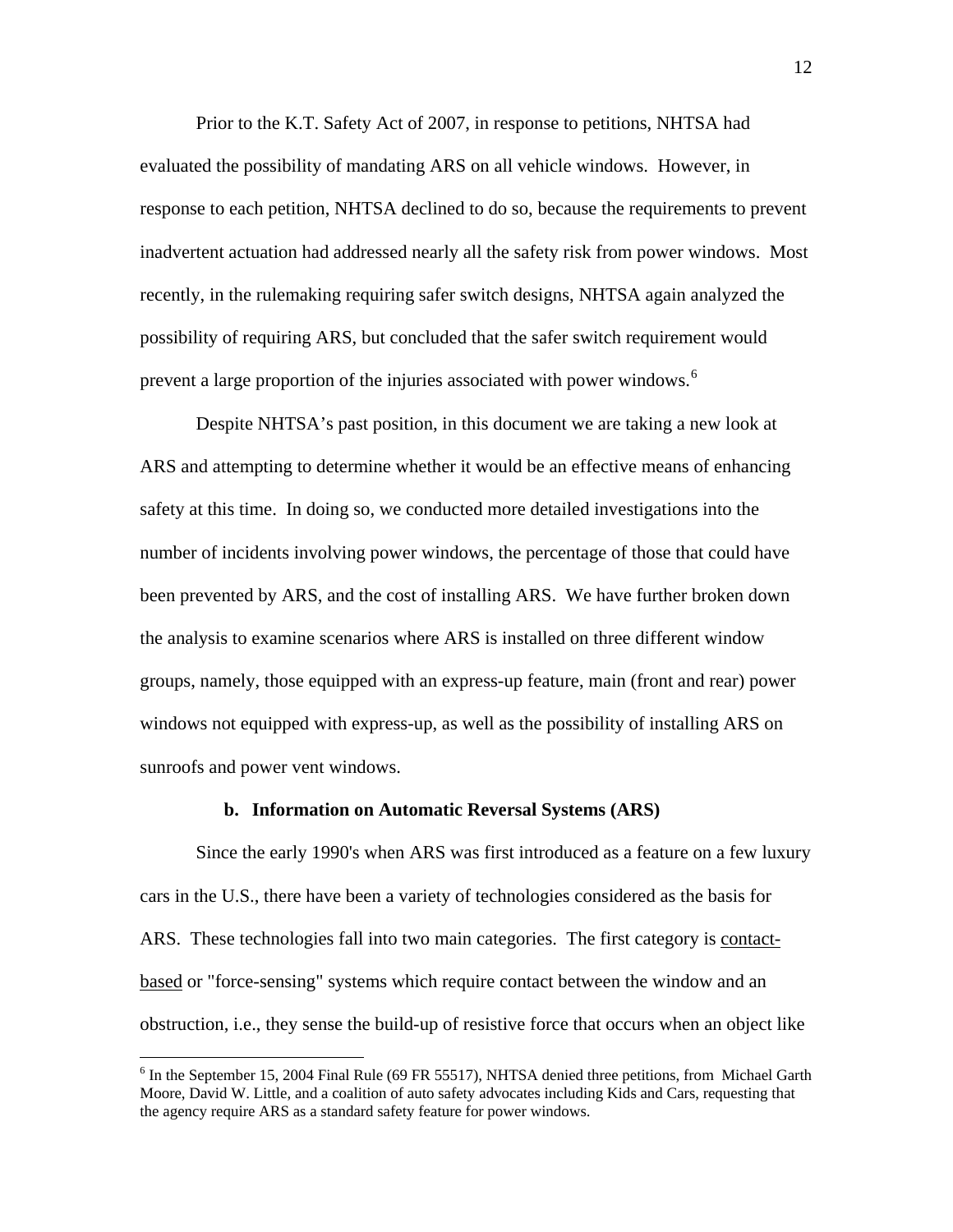Prior to the K.T. Safety Act of 2007, in response to petitions, NHTSA had evaluated the possibility of mandating ARS on all vehicle windows. However, in response to each petition, NHTSA declined to do so, because the requirements to prevent inadvertent actuation had addressed nearly all the safety risk from power windows. Most recently, in the rulemaking requiring safer switch designs, NHTSA again analyzed the possibility of requiring ARS, but concluded that the safer switch requirement would prevent a large proportion of the injuries associated with power windows.<sup>[6](#page-11-0)</sup>

Despite NHTSA's past position, in this document we are taking a new look at ARS and attempting to determine whether it would be an effective means of enhancing safety at this time. In doing so, we conducted more detailed investigations into the number of incidents involving power windows, the percentage of those that could have been prevented by ARS, and the cost of installing ARS. We have further broken down the analysis to examine scenarios where ARS is installed on three different window groups, namely, those equipped with an express-up feature, main (front and rear) power windows not equipped with express-up, as well as the possibility of installing ARS on sunroofs and power vent windows.

# **b. Information on Automatic Reversal Systems (ARS)**

Since the early 1990's when ARS was first introduced as a feature on a few luxury cars in the U.S., there have been a variety of technologies considered as the basis for ARS. These technologies fall into two main categories. The first category is contactbased or "force-sensing" systems which require contact between the window and an obstruction, i.e., they sense the build-up of resistive force that occurs when an object like

<span id="page-11-0"></span><sup>&</sup>lt;sup>6</sup> In the September 15, 2004 Final Rule (69 FR 55517), NHTSA denied three petitions, from Michael Garth Moore, David W. Little, and a coalition of auto safety advocates including Kids and Cars, requesting that the agency require ARS as a standard safety feature for power windows.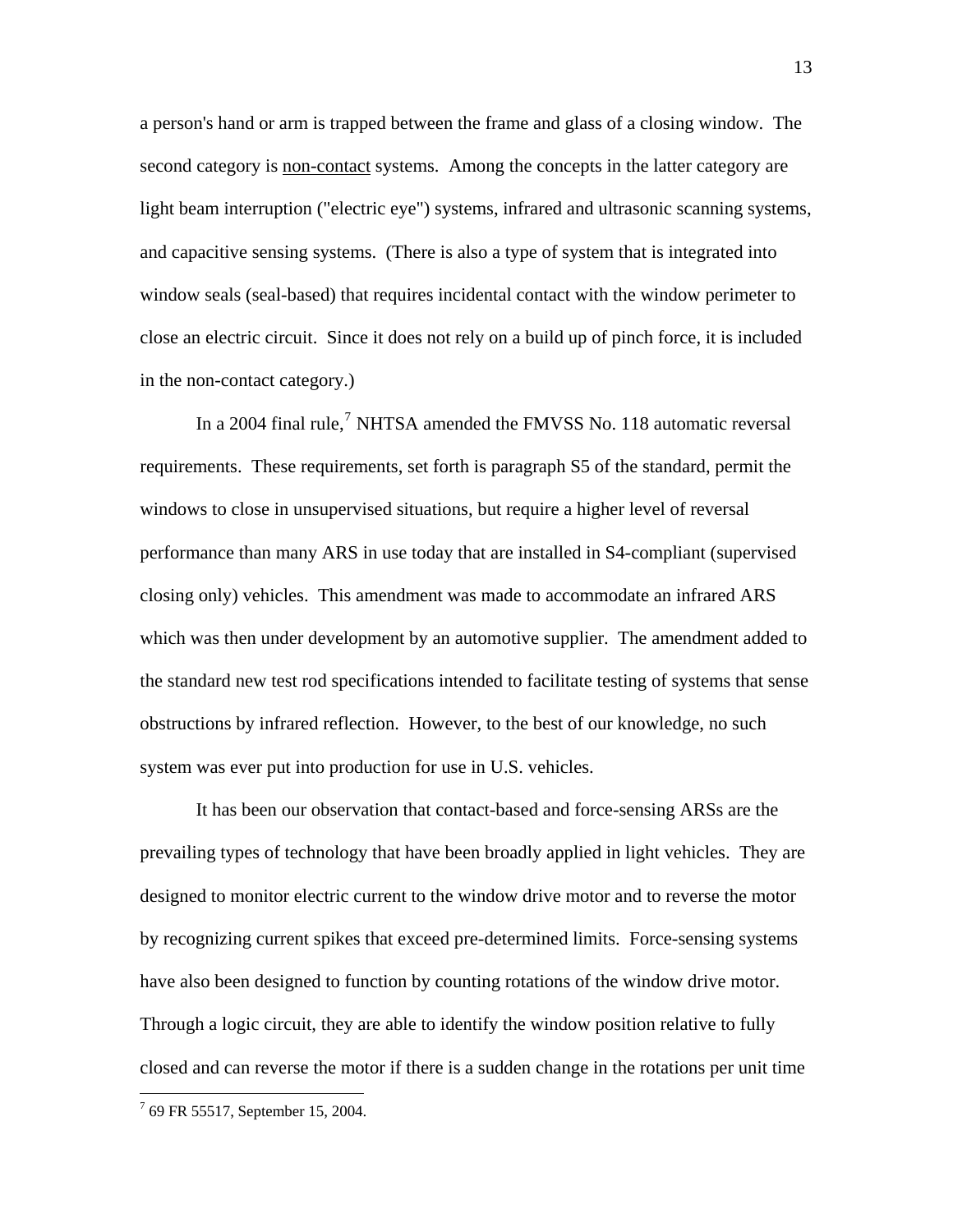a person's hand or arm is trapped between the frame and glass of a closing window. The second category is non-contact systems. Among the concepts in the latter category are light beam interruption ("electric eye") systems, infrared and ultrasonic scanning systems, and capacitive sensing systems. (There is also a type of system that is integrated into window seals (seal-based) that requires incidental contact with the window perimeter to close an electric circuit. Since it does not rely on a build up of pinch force, it is included in the non-contact category.)

In a 2004 final rule,<sup>[7](#page-12-0)</sup> NHTSA amended the FMVSS No. 118 automatic reversal requirements. These requirements, set forth is paragraph S5 of the standard, permit the windows to close in unsupervised situations, but require a higher level of reversal performance than many ARS in use today that are installed in S4-compliant (supervised closing only) vehicles. This amendment was made to accommodate an infrared ARS which was then under development by an automotive supplier. The amendment added to the standard new test rod specifications intended to facilitate testing of systems that sense obstructions by infrared reflection. However, to the best of our knowledge, no such system was ever put into production for use in U.S. vehicles.

It has been our observation that contact-based and force-sensing ARSs are the prevailing types of technology that have been broadly applied in light vehicles. They are designed to monitor electric current to the window drive motor and to reverse the motor by recognizing current spikes that exceed pre-determined limits. Force-sensing systems have also been designed to function by counting rotations of the window drive motor. Through a logic circuit, they are able to identify the window position relative to fully closed and can reverse the motor if there is a sudden change in the rotations per unit time

<span id="page-12-0"></span><sup>&</sup>lt;sup>7</sup> 69 FR 55517, September 15, 2004.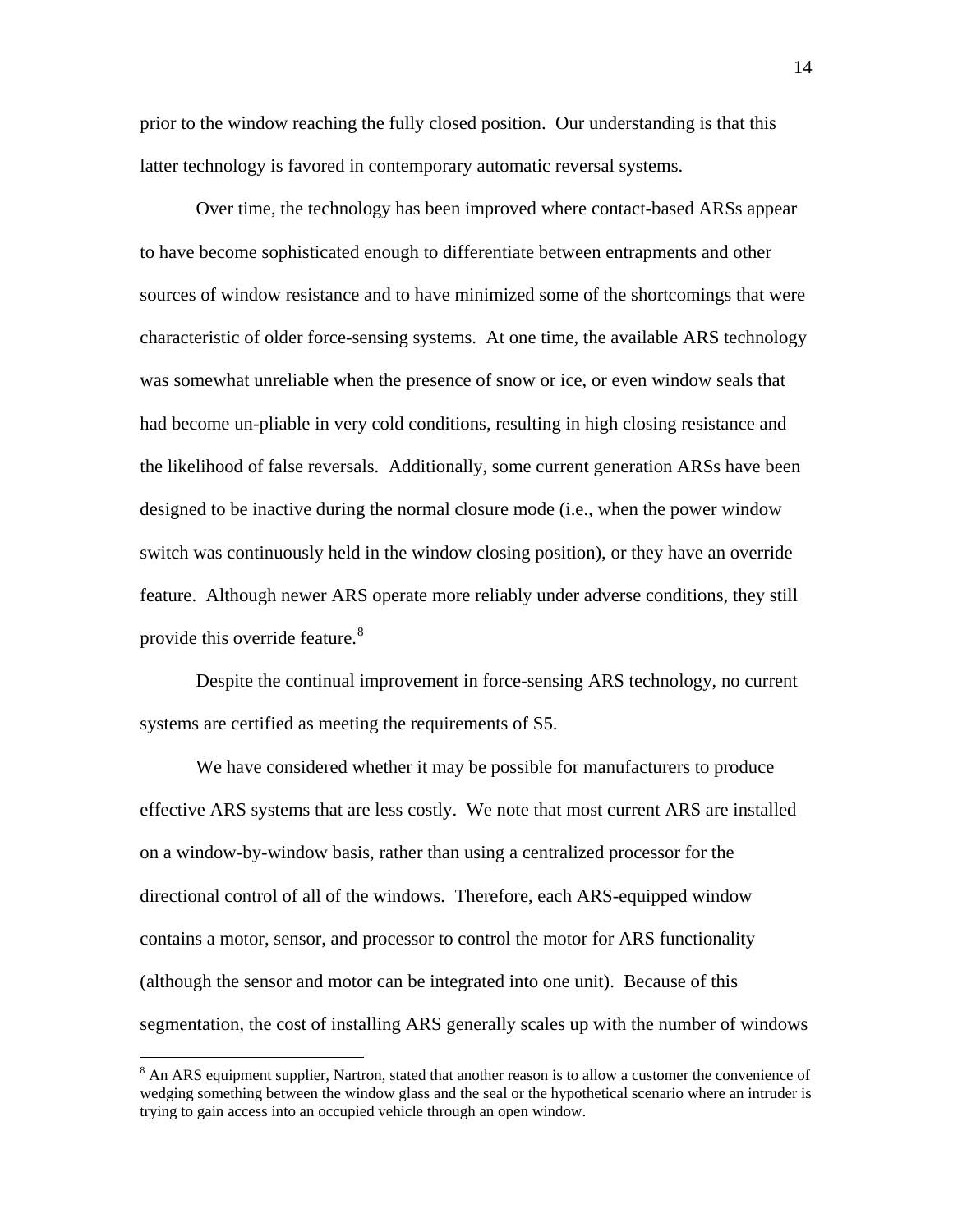prior to the window reaching the fully closed position. Our understanding is that this latter technology is favored in contemporary automatic reversal systems.

Over time, the technology has been improved where contact-based ARSs appear to have become sophisticated enough to differentiate between entrapments and other sources of window resistance and to have minimized some of the shortcomings that were characteristic of older force-sensing systems. At one time, the available ARS technology was somewhat unreliable when the presence of snow or ice, or even window seals that had become un-pliable in very cold conditions, resulting in high closing resistance and the likelihood of false reversals. Additionally, some current generation ARSs have been designed to be inactive during the normal closure mode (i.e., when the power window switch was continuously held in the window closing position), or they have an override feature. Although newer ARS operate more reliably under adverse conditions, they still provide this override feature.<sup>[8](#page-13-0)</sup>

Despite the continual improvement in force-sensing ARS technology, no current systems are certified as meeting the requirements of S5.

We have considered whether it may be possible for manufacturers to produce effective ARS systems that are less costly. We note that most current ARS are installed on a window-by-window basis, rather than using a centralized processor for the directional control of all of the windows. Therefore, each ARS-equipped window contains a motor, sensor, and processor to control the motor for ARS functionality (although the sensor and motor can be integrated into one unit). Because of this segmentation, the cost of installing ARS generally scales up with the number of windows

<span id="page-13-0"></span><sup>&</sup>lt;sup>8</sup> An ARS equipment supplier, Nartron, stated that another reason is to allow a customer the convenience of wedging something between the window glass and the seal or the hypothetical scenario where an intruder is trying to gain access into an occupied vehicle through an open window.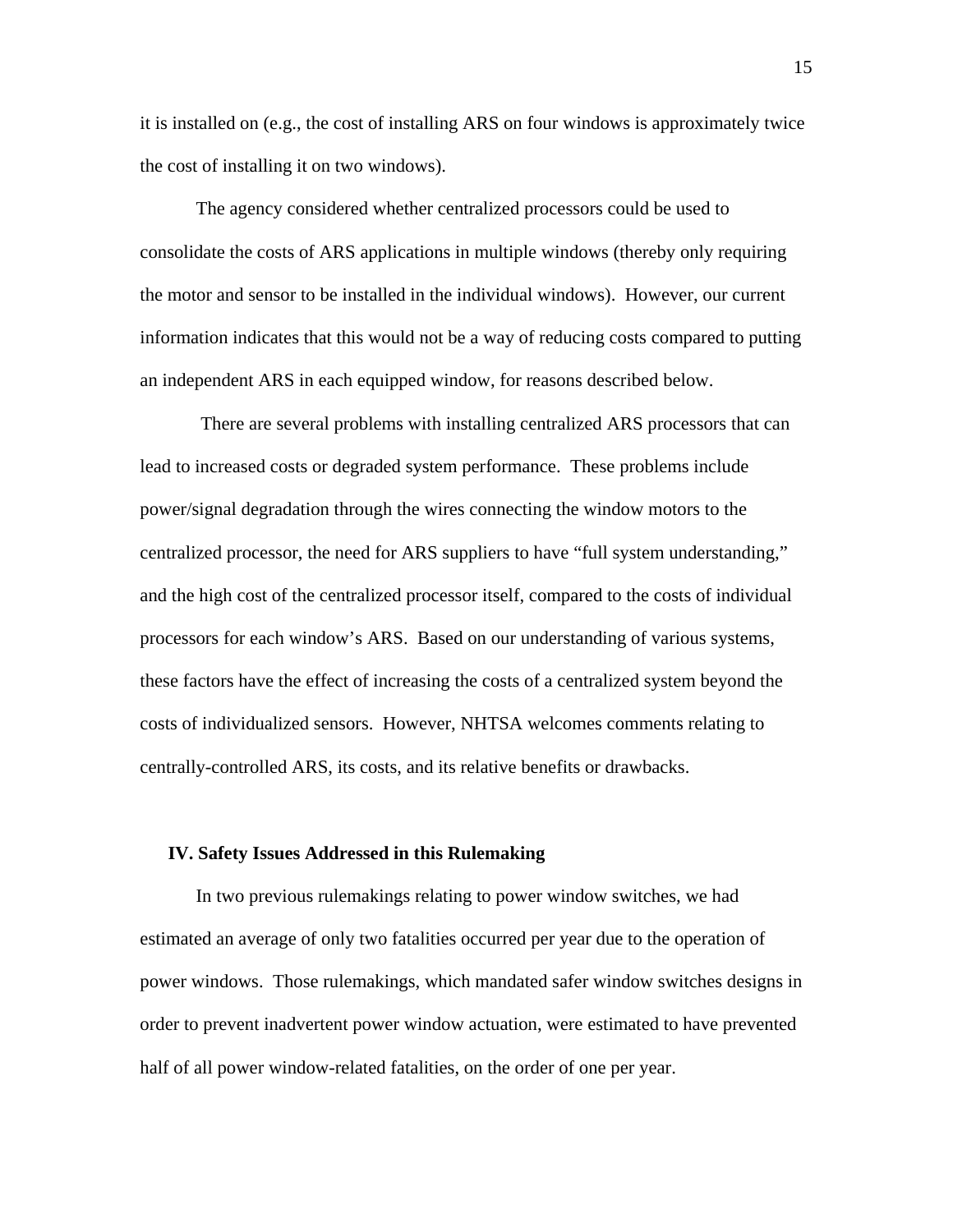it is installed on (e.g., the cost of installing ARS on four windows is approximately twice the cost of installing it on two windows).

The agency considered whether centralized processors could be used to consolidate the costs of ARS applications in multiple windows (thereby only requiring the motor and sensor to be installed in the individual windows). However, our current information indicates that this would not be a way of reducing costs compared to putting an independent ARS in each equipped window, for reasons described below.

 There are several problems with installing centralized ARS processors that can lead to increased costs or degraded system performance. These problems include power/signal degradation through the wires connecting the window motors to the centralized processor, the need for ARS suppliers to have "full system understanding," and the high cost of the centralized processor itself, compared to the costs of individual processors for each window's ARS. Based on our understanding of various systems, these factors have the effect of increasing the costs of a centralized system beyond the costs of individualized sensors. However, NHTSA welcomes comments relating to centrally-controlled ARS, its costs, and its relative benefits or drawbacks.

#### **IV. Safety Issues Addressed in this Rulemaking**

In two previous rulemakings relating to power window switches, we had estimated an average of only two fatalities occurred per year due to the operation of power windows. Those rulemakings, which mandated safer window switches designs in order to prevent inadvertent power window actuation, were estimated to have prevented half of all power window-related fatalities, on the order of one per year.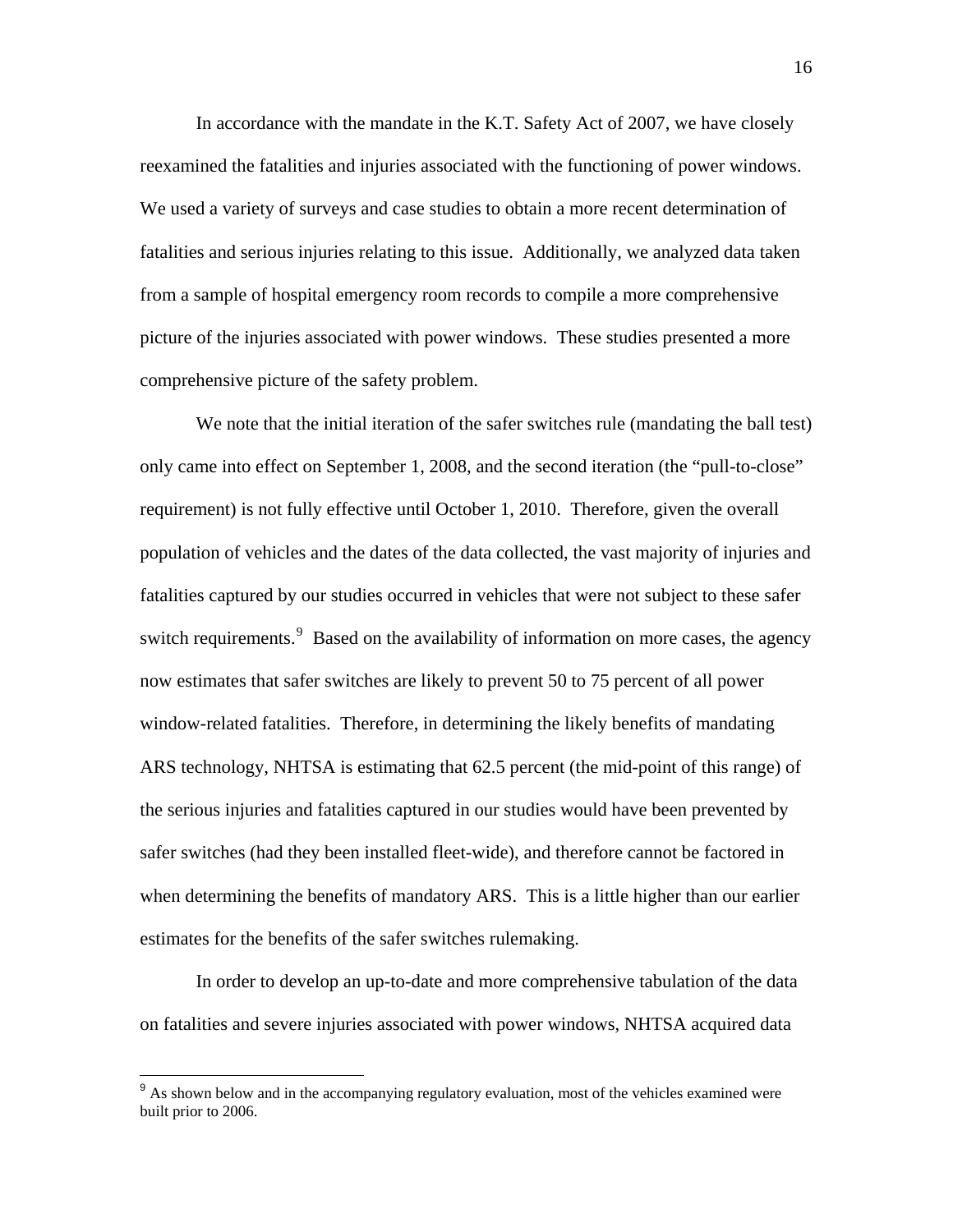In accordance with the mandate in the K.T. Safety Act of 2007, we have closely reexamined the fatalities and injuries associated with the functioning of power windows. We used a variety of surveys and case studies to obtain a more recent determination of fatalities and serious injuries relating to this issue. Additionally, we analyzed data taken from a sample of hospital emergency room records to compile a more comprehensive picture of the injuries associated with power windows. These studies presented a more comprehensive picture of the safety problem.

 We note that the initial iteration of the safer switches rule (mandating the ball test) only came into effect on September 1, 2008, and the second iteration (the "pull-to-close" requirement) is not fully effective until October 1, 2010. Therefore, given the overall population of vehicles and the dates of the data collected, the vast majority of injuries and fatalities captured by our studies occurred in vehicles that were not subject to these safer switch requirements. <sup>[9](#page-15-0)</sup> Based on the availability of information on more cases, the agency now estimates that safer switches are likely to prevent 50 to 75 percent of all power window-related fatalities. Therefore, in determining the likely benefits of mandating ARS technology, NHTSA is estimating that 62.5 percent (the mid-point of this range) of the serious injuries and fatalities captured in our studies would have been prevented by safer switches (had they been installed fleet-wide), and therefore cannot be factored in when determining the benefits of mandatory ARS. This is a little higher than our earlier estimates for the benefits of the safer switches rulemaking.

 In order to develop an up-to-date and more comprehensive tabulation of the data on fatalities and severe injuries associated with power windows, NHTSA acquired data

<span id="page-15-0"></span><sup>&</sup>lt;sup>9</sup> As shown below and in the accompanying regulatory evaluation, most of the vehicles examined were built prior to 2006.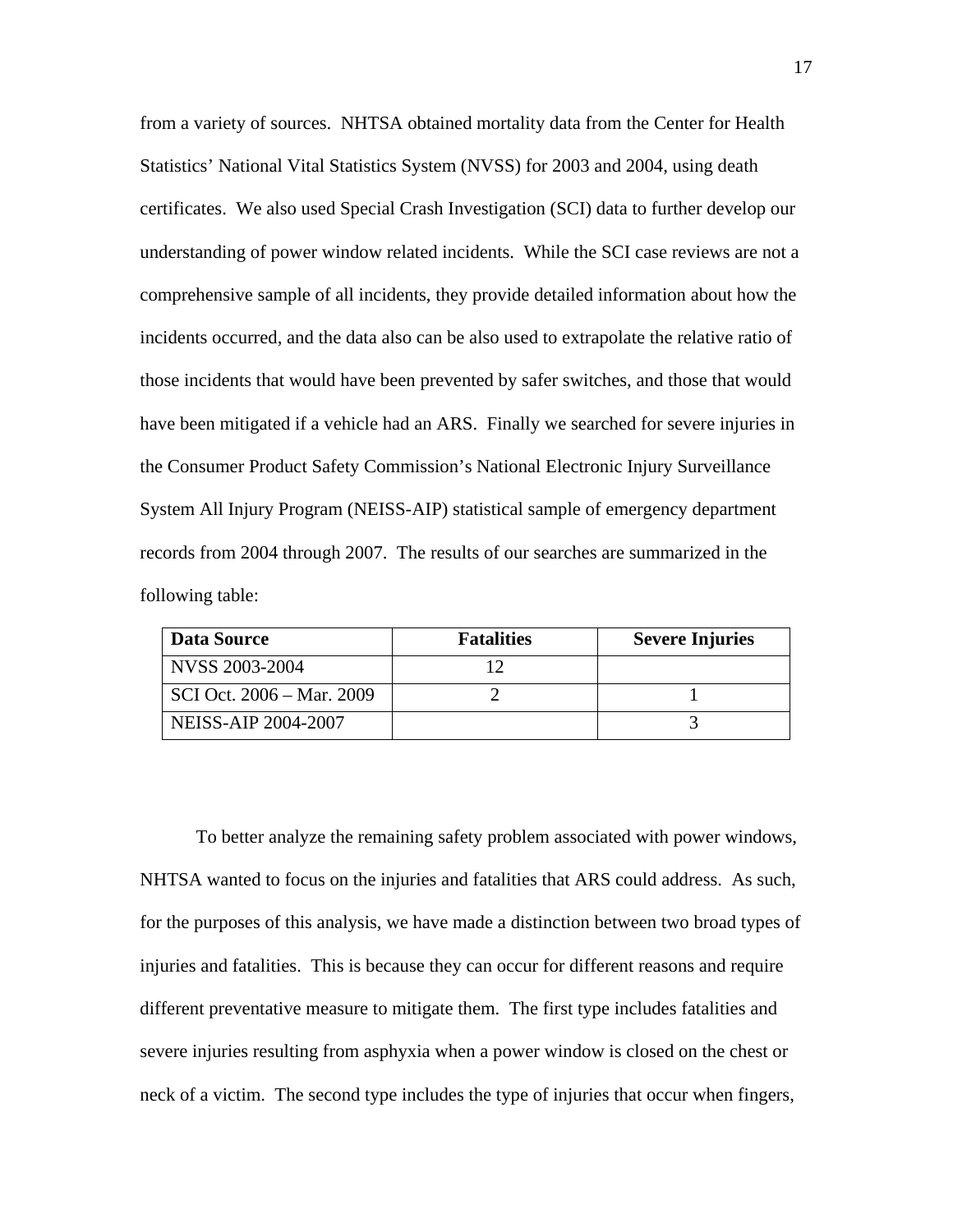from a variety of sources. NHTSA obtained mortality data from the Center for Health Statistics' National Vital Statistics System (NVSS) for 2003 and 2004, using death certificates. We also used Special Crash Investigation (SCI) data to further develop our understanding of power window related incidents. While the SCI case reviews are not a comprehensive sample of all incidents, they provide detailed information about how the incidents occurred, and the data also can be also used to extrapolate the relative ratio of those incidents that would have been prevented by safer switches, and those that would have been mitigated if a vehicle had an ARS. Finally we searched for severe injuries in the Consumer Product Safety Commission's National Electronic Injury Surveillance System All Injury Program (NEISS-AIP) statistical sample of emergency department records from 2004 through 2007. The results of our searches are summarized in the following table:

| Data Source                | <b>Fatalities</b> | <b>Severe Injuries</b> |
|----------------------------|-------------------|------------------------|
| NVSS 2003-2004             |                   |                        |
| SCI Oct. 2006 – Mar. 2009  |                   |                        |
| <b>NEISS-AIP 2004-2007</b> |                   |                        |

To better analyze the remaining safety problem associated with power windows, NHTSA wanted to focus on the injuries and fatalities that ARS could address. As such, for the purposes of this analysis, we have made a distinction between two broad types of injuries and fatalities. This is because they can occur for different reasons and require different preventative measure to mitigate them. The first type includes fatalities and severe injuries resulting from asphyxia when a power window is closed on the chest or neck of a victim. The second type includes the type of injuries that occur when fingers,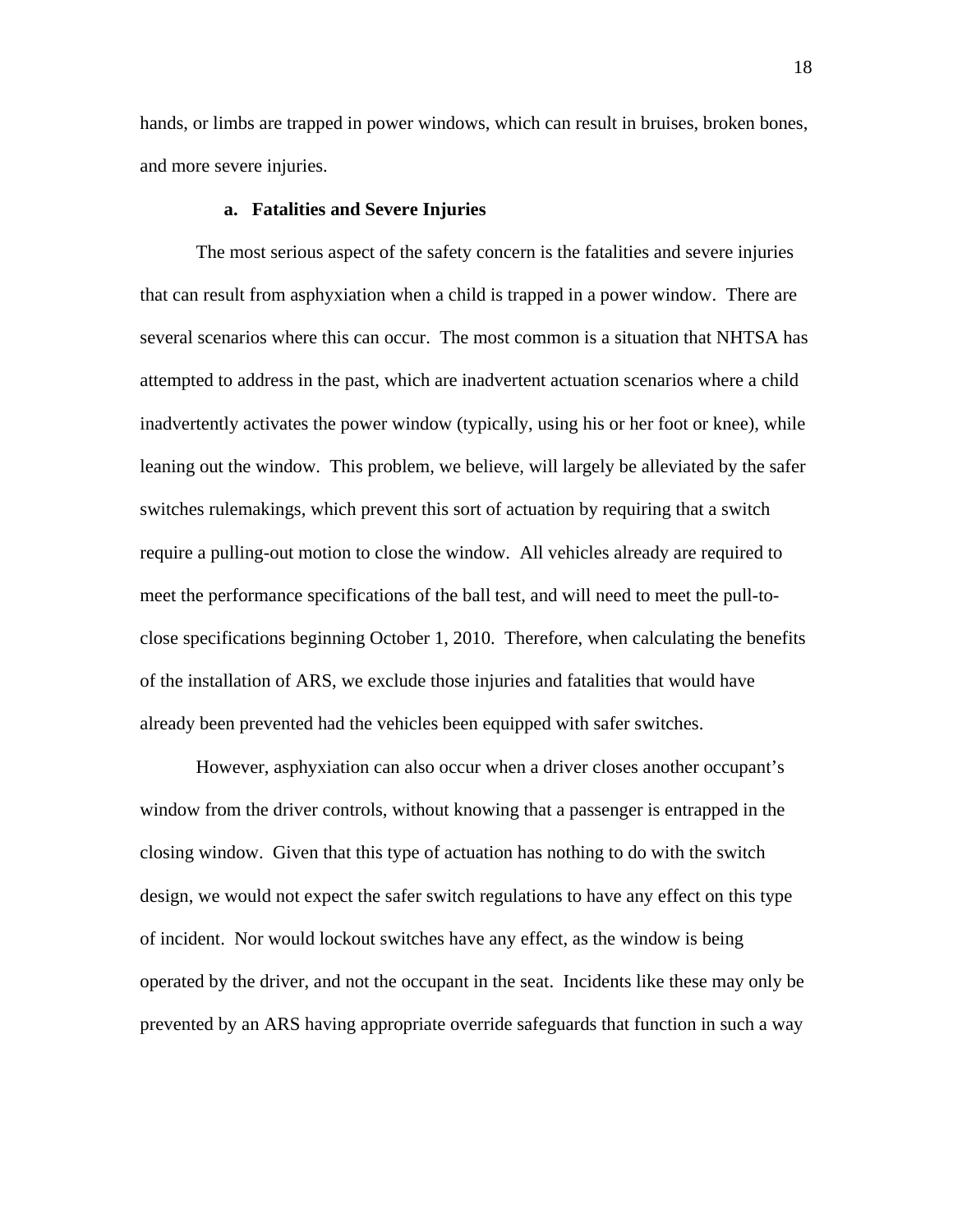hands, or limbs are trapped in power windows, which can result in bruises, broken bones, and more severe injuries.

#### **a. Fatalities and Severe Injuries**

The most serious aspect of the safety concern is the fatalities and severe injuries that can result from asphyxiation when a child is trapped in a power window. There are several scenarios where this can occur. The most common is a situation that NHTSA has attempted to address in the past, which are inadvertent actuation scenarios where a child inadvertently activates the power window (typically, using his or her foot or knee), while leaning out the window. This problem, we believe, will largely be alleviated by the safer switches rulemakings, which prevent this sort of actuation by requiring that a switch require a pulling-out motion to close the window. All vehicles already are required to meet the performance specifications of the ball test, and will need to meet the pull-toclose specifications beginning October 1, 2010. Therefore, when calculating the benefits of the installation of ARS, we exclude those injuries and fatalities that would have already been prevented had the vehicles been equipped with safer switches.

However, asphyxiation can also occur when a driver closes another occupant's window from the driver controls, without knowing that a passenger is entrapped in the closing window. Given that this type of actuation has nothing to do with the switch design, we would not expect the safer switch regulations to have any effect on this type of incident. Nor would lockout switches have any effect, as the window is being operated by the driver, and not the occupant in the seat. Incidents like these may only be prevented by an ARS having appropriate override safeguards that function in such a way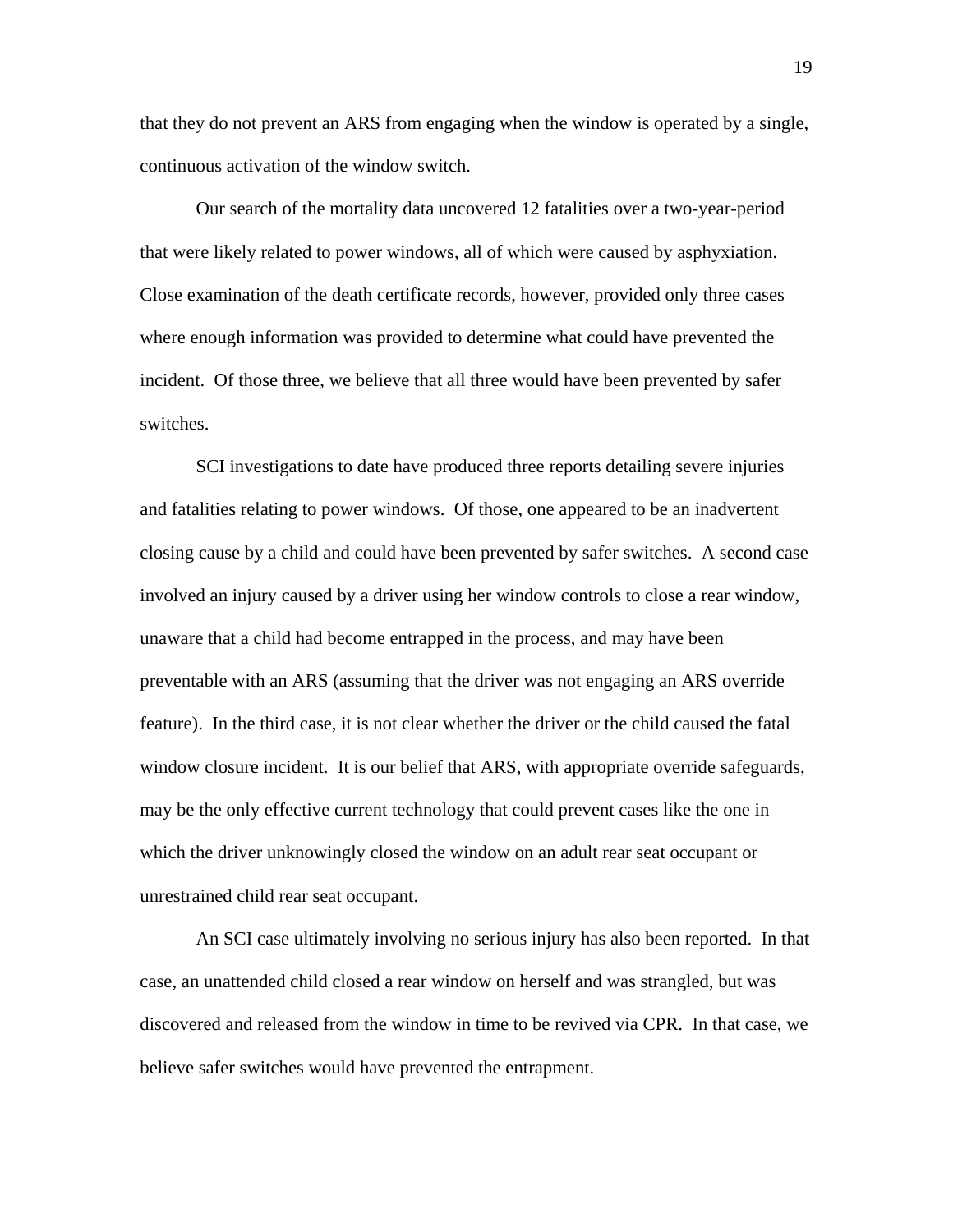that they do not prevent an ARS from engaging when the window is operated by a single, continuous activation of the window switch.

Our search of the mortality data uncovered 12 fatalities over a two-year-period that were likely related to power windows, all of which were caused by asphyxiation. Close examination of the death certificate records, however, provided only three cases where enough information was provided to determine what could have prevented the incident. Of those three, we believe that all three would have been prevented by safer switches.

SCI investigations to date have produced three reports detailing severe injuries and fatalities relating to power windows. Of those, one appeared to be an inadvertent closing cause by a child and could have been prevented by safer switches. A second case involved an injury caused by a driver using her window controls to close a rear window, unaware that a child had become entrapped in the process, and may have been preventable with an ARS (assuming that the driver was not engaging an ARS override feature). In the third case, it is not clear whether the driver or the child caused the fatal window closure incident. It is our belief that ARS, with appropriate override safeguards, may be the only effective current technology that could prevent cases like the one in which the driver unknowingly closed the window on an adult rear seat occupant or unrestrained child rear seat occupant.

An SCI case ultimately involving no serious injury has also been reported. In that case, an unattended child closed a rear window on herself and was strangled, but was discovered and released from the window in time to be revived via CPR. In that case, we believe safer switches would have prevented the entrapment.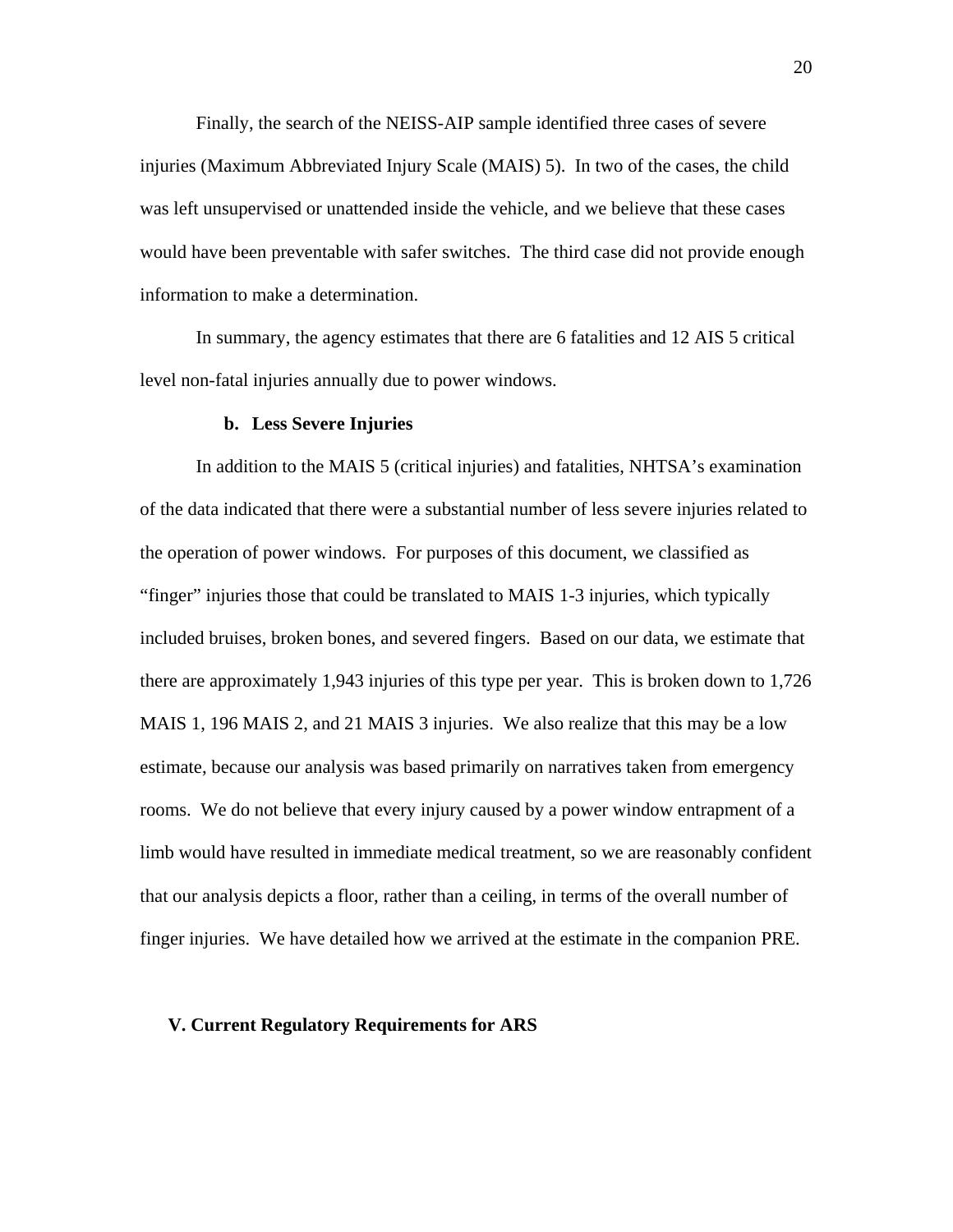Finally, the search of the NEISS-AIP sample identified three cases of severe injuries (Maximum Abbreviated Injury Scale (MAIS) 5). In two of the cases, the child was left unsupervised or unattended inside the vehicle, and we believe that these cases would have been preventable with safer switches. The third case did not provide enough information to make a determination.

In summary, the agency estimates that there are 6 fatalities and 12 AIS 5 critical level non-fatal injuries annually due to power windows.

#### **b. Less Severe Injuries**

In addition to the MAIS 5 (critical injuries) and fatalities, NHTSA's examination of the data indicated that there were a substantial number of less severe injuries related to the operation of power windows. For purposes of this document, we classified as "finger" injuries those that could be translated to MAIS 1-3 injuries, which typically included bruises, broken bones, and severed fingers. Based on our data, we estimate that there are approximately 1,943 injuries of this type per year. This is broken down to 1,726 MAIS 1, 196 MAIS 2, and 21 MAIS 3 injuries. We also realize that this may be a low estimate, because our analysis was based primarily on narratives taken from emergency rooms. We do not believe that every injury caused by a power window entrapment of a limb would have resulted in immediate medical treatment, so we are reasonably confident that our analysis depicts a floor, rather than a ceiling, in terms of the overall number of finger injuries. We have detailed how we arrived at the estimate in the companion PRE.

# **V. Current Regulatory Requirements for ARS**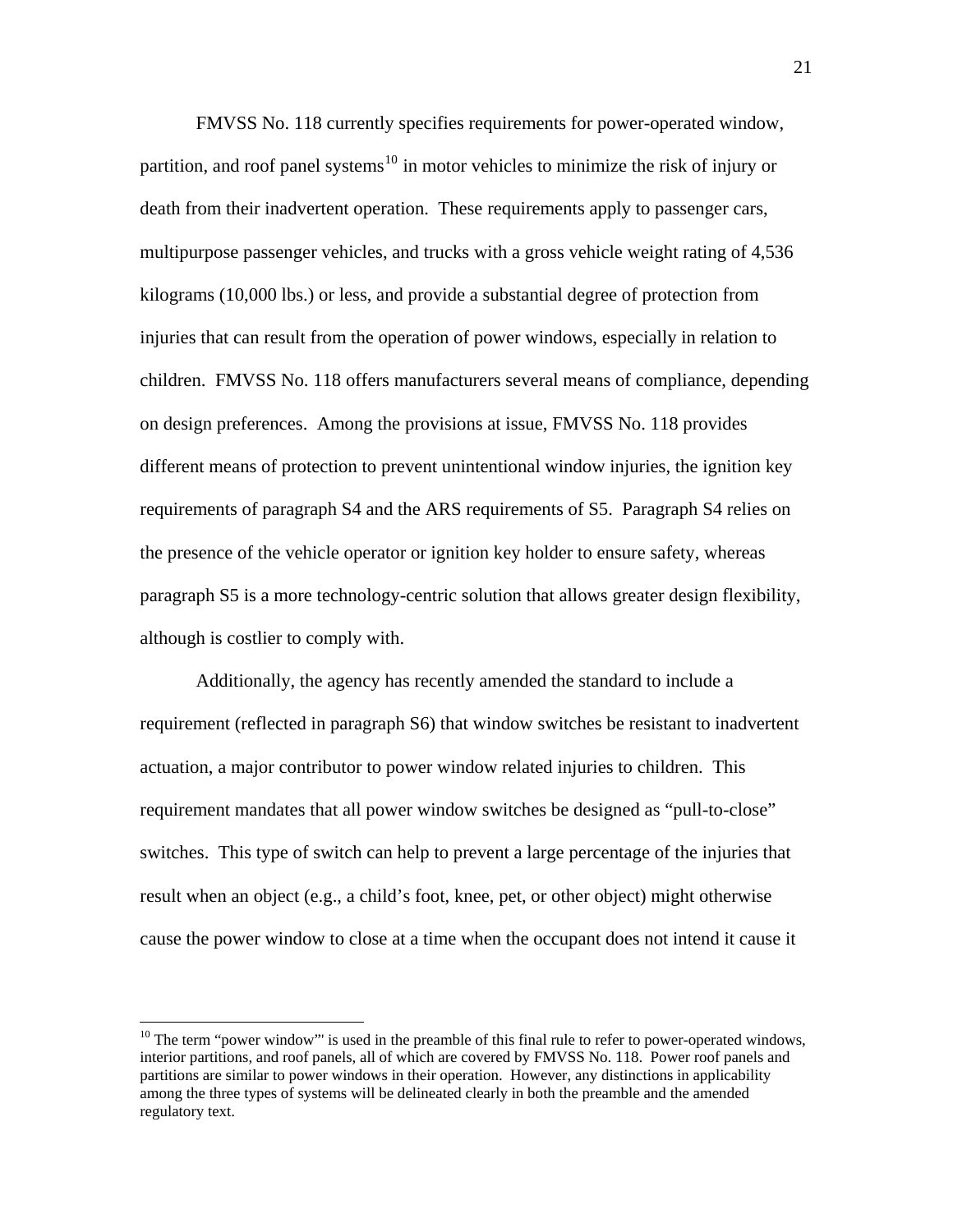FMVSS No. 118 currently specifies requirements for power-operated window, partition, and roof panel systems<sup>[10](#page-20-0)</sup> in motor vehicles to minimize the risk of injury or death from their inadvertent operation. These requirements apply to passenger cars, multipurpose passenger vehicles, and trucks with a gross vehicle weight rating of 4,536 kilograms (10,000 lbs.) or less, and provide a substantial degree of protection from injuries that can result from the operation of power windows, especially in relation to children. FMVSS No. 118 offers manufacturers several means of compliance, depending on design preferences. Among the provisions at issue, FMVSS No. 118 provides different means of protection to prevent unintentional window injuries, the ignition key requirements of paragraph S4 and the ARS requirements of S5. Paragraph S4 relies on the presence of the vehicle operator or ignition key holder to ensure safety, whereas paragraph S5 is a more technology-centric solution that allows greater design flexibility, although is costlier to comply with.

Additionally, the agency has recently amended the standard to include a requirement (reflected in paragraph S6) that window switches be resistant to inadvertent actuation, a major contributor to power window related injuries to children. This requirement mandates that all power window switches be designed as "pull-to-close" switches. This type of switch can help to prevent a large percentage of the injuries that result when an object (e.g., a child's foot, knee, pet, or other object) might otherwise cause the power window to close at a time when the occupant does not intend it cause it

<span id="page-20-0"></span> $10$  The term "power window"' is used in the preamble of this final rule to refer to power-operated windows, interior partitions, and roof panels, all of which are covered by FMVSS No. 118. Power roof panels and partitions are similar to power windows in their operation. However, any distinctions in applicability among the three types of systems will be delineated clearly in both the preamble and the amended regulatory text.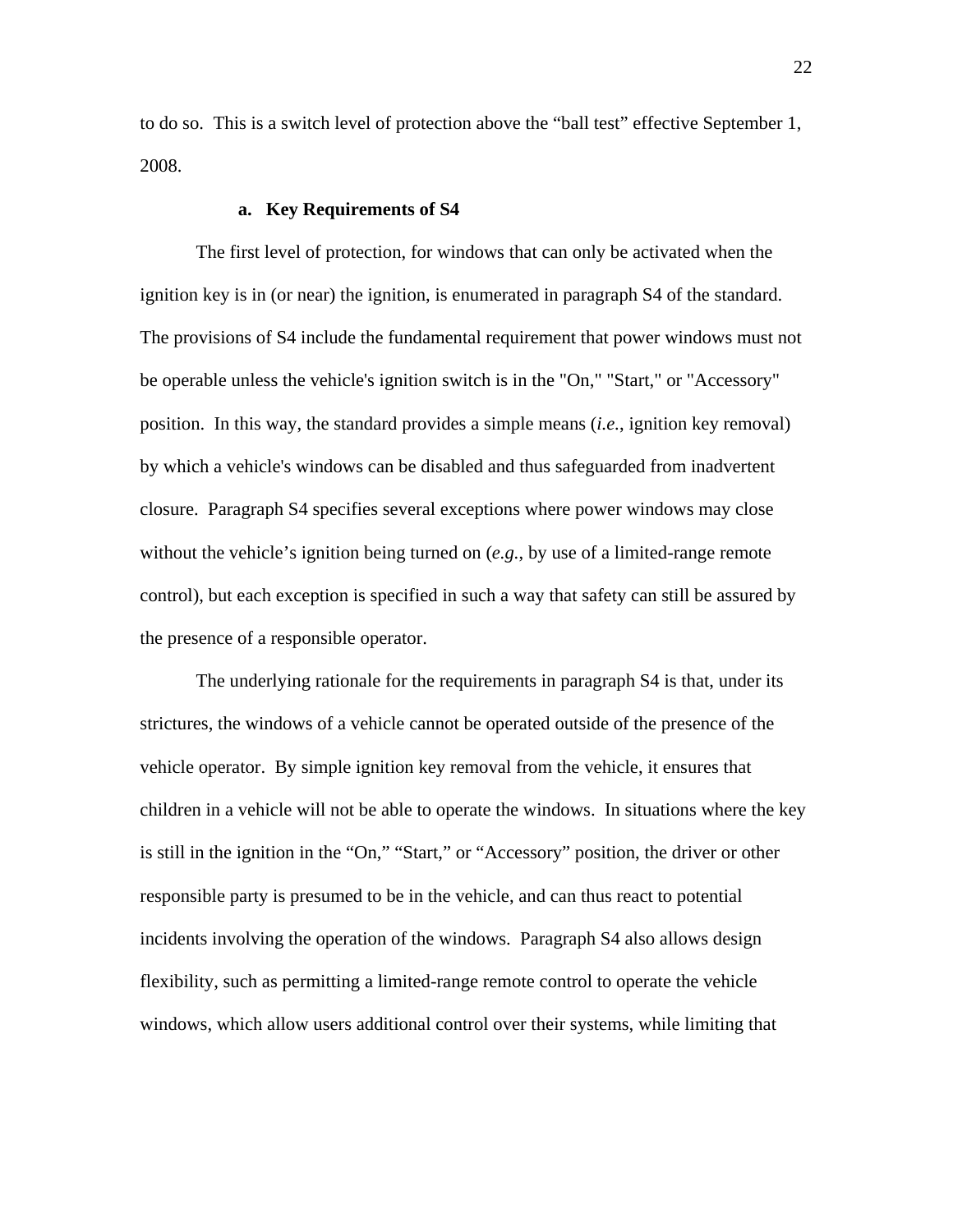to do so. This is a switch level of protection above the "ball test" effective September 1, 2008.

# **a. Key Requirements of S4**

 The first level of protection, for windows that can only be activated when the ignition key is in (or near) the ignition, is enumerated in paragraph S4 of the standard. The provisions of S4 include the fundamental requirement that power windows must not be operable unless the vehicle's ignition switch is in the "On," "Start," or "Accessory" position. In this way, the standard provides a simple means (*i.e.*, ignition key removal) by which a vehicle's windows can be disabled and thus safeguarded from inadvertent closure. Paragraph S4 specifies several exceptions where power windows may close without the vehicle's ignition being turned on (*e.g.*, by use of a limited-range remote control), but each exception is specified in such a way that safety can still be assured by the presence of a responsible operator.

 The underlying rationale for the requirements in paragraph S4 is that, under its strictures, the windows of a vehicle cannot be operated outside of the presence of the vehicle operator. By simple ignition key removal from the vehicle, it ensures that children in a vehicle will not be able to operate the windows. In situations where the key is still in the ignition in the "On," "Start," or "Accessory" position, the driver or other responsible party is presumed to be in the vehicle, and can thus react to potential incidents involving the operation of the windows. Paragraph S4 also allows design flexibility, such as permitting a limited-range remote control to operate the vehicle windows, which allow users additional control over their systems, while limiting that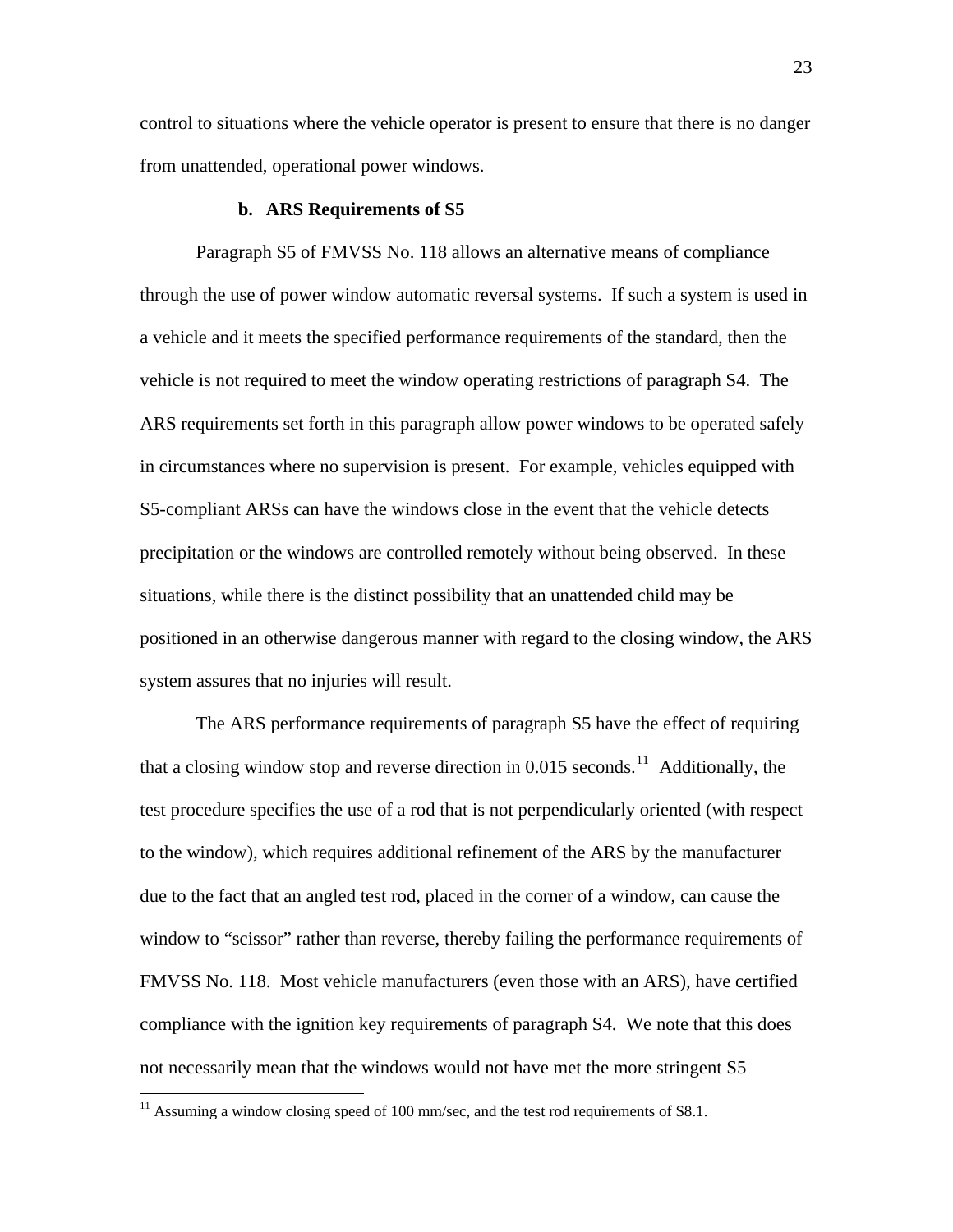control to situations where the vehicle operator is present to ensure that there is no danger from unattended, operational power windows.

#### **b. ARS Requirements of S5**

 Paragraph S5 of FMVSS No. 118 allows an alternative means of compliance through the use of power window automatic reversal systems. If such a system is used in a vehicle and it meets the specified performance requirements of the standard, then the vehicle is not required to meet the window operating restrictions of paragraph S4. The ARS requirements set forth in this paragraph allow power windows to be operated safely in circumstances where no supervision is present. For example, vehicles equipped with S5-compliant ARSs can have the windows close in the event that the vehicle detects precipitation or the windows are controlled remotely without being observed. In these situations, while there is the distinct possibility that an unattended child may be positioned in an otherwise dangerous manner with regard to the closing window, the ARS system assures that no injuries will result.

 The ARS performance requirements of paragraph S5 have the effect of requiring that a closing window stop and reverse direction in  $0.015$  seconds.<sup>[11](#page-22-0)</sup> Additionally, the test procedure specifies the use of a rod that is not perpendicularly oriented (with respect to the window), which requires additional refinement of the ARS by the manufacturer due to the fact that an angled test rod, placed in the corner of a window, can cause the window to "scissor" rather than reverse, thereby failing the performance requirements of FMVSS No. 118. Most vehicle manufacturers (even those with an ARS), have certified compliance with the ignition key requirements of paragraph S4. We note that this does not necessarily mean that the windows would not have met the more stringent S5

<span id="page-22-0"></span> $11$  Assuming a window closing speed of 100 mm/sec, and the test rod requirements of S8.1.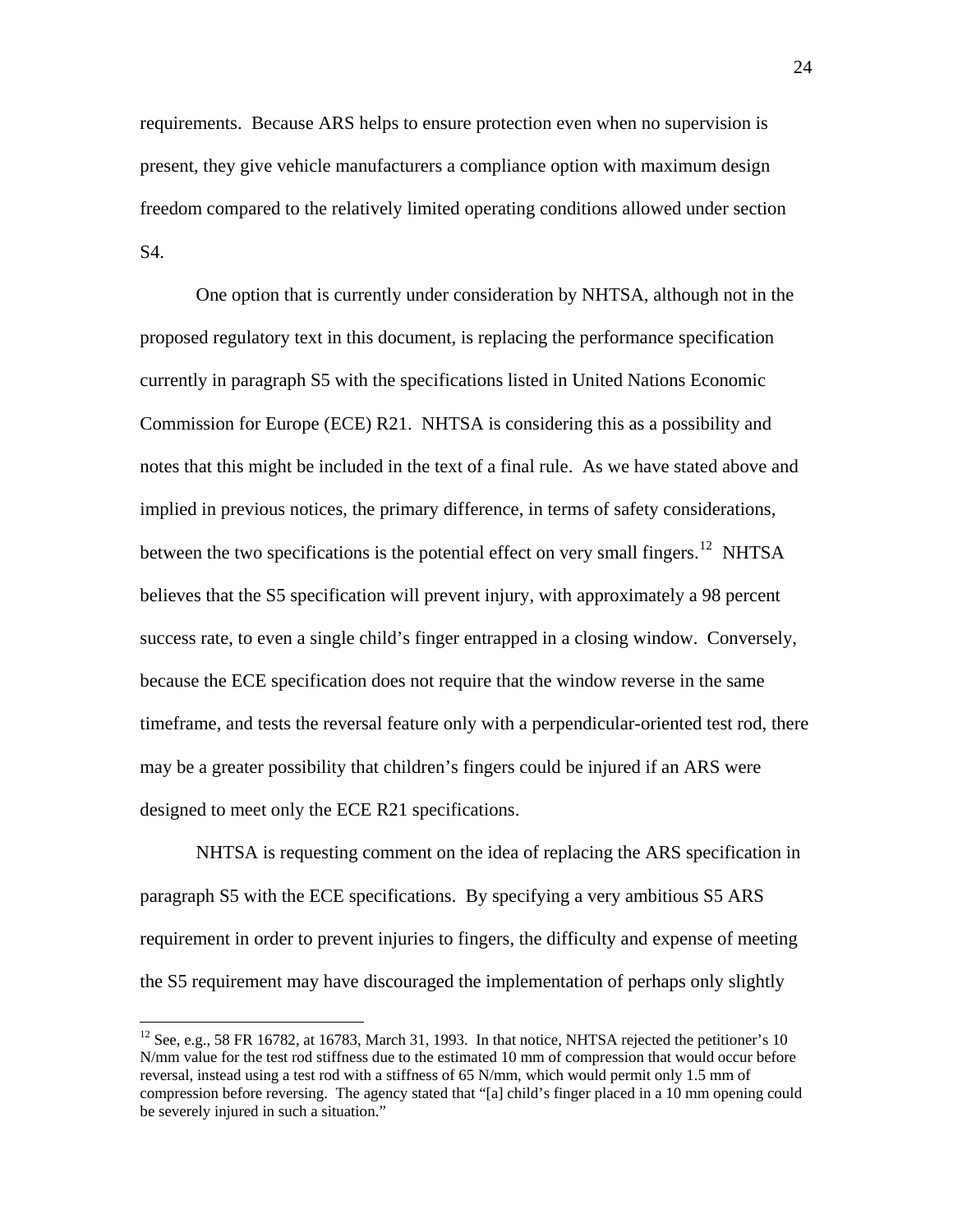requirements. Because ARS helps to ensure protection even when no supervision is present, they give vehicle manufacturers a compliance option with maximum design freedom compared to the relatively limited operating conditions allowed under section S4.

 One option that is currently under consideration by NHTSA, although not in the proposed regulatory text in this document, is replacing the performance specification currently in paragraph S5 with the specifications listed in United Nations Economic Commission for Europe (ECE) R21. NHTSA is considering this as a possibility and notes that this might be included in the text of a final rule. As we have stated above and implied in previous notices, the primary difference, in terms of safety considerations, between the two specifications is the potential effect on very small fingers.<sup>[12](#page-23-0)</sup> NHTSA believes that the S5 specification will prevent injury, with approximately a 98 percent success rate, to even a single child's finger entrapped in a closing window. Conversely, because the ECE specification does not require that the window reverse in the same timeframe, and tests the reversal feature only with a perpendicular-oriented test rod, there may be a greater possibility that children's fingers could be injured if an ARS were designed to meet only the ECE R21 specifications.

 NHTSA is requesting comment on the idea of replacing the ARS specification in paragraph S5 with the ECE specifications. By specifying a very ambitious S5 ARS requirement in order to prevent injuries to fingers, the difficulty and expense of meeting the S5 requirement may have discouraged the implementation of perhaps only slightly

<span id="page-23-0"></span><sup>&</sup>lt;sup>12</sup> See, e.g., 58 FR 16782, at 16783, March 31, 1993. In that notice, NHTSA rejected the petitioner's 10 N/mm value for the test rod stiffness due to the estimated 10 mm of compression that would occur before reversal, instead using a test rod with a stiffness of 65 N/mm, which would permit only 1.5 mm of compression before reversing. The agency stated that "[a] child's finger placed in a 10 mm opening could be severely injured in such a situation."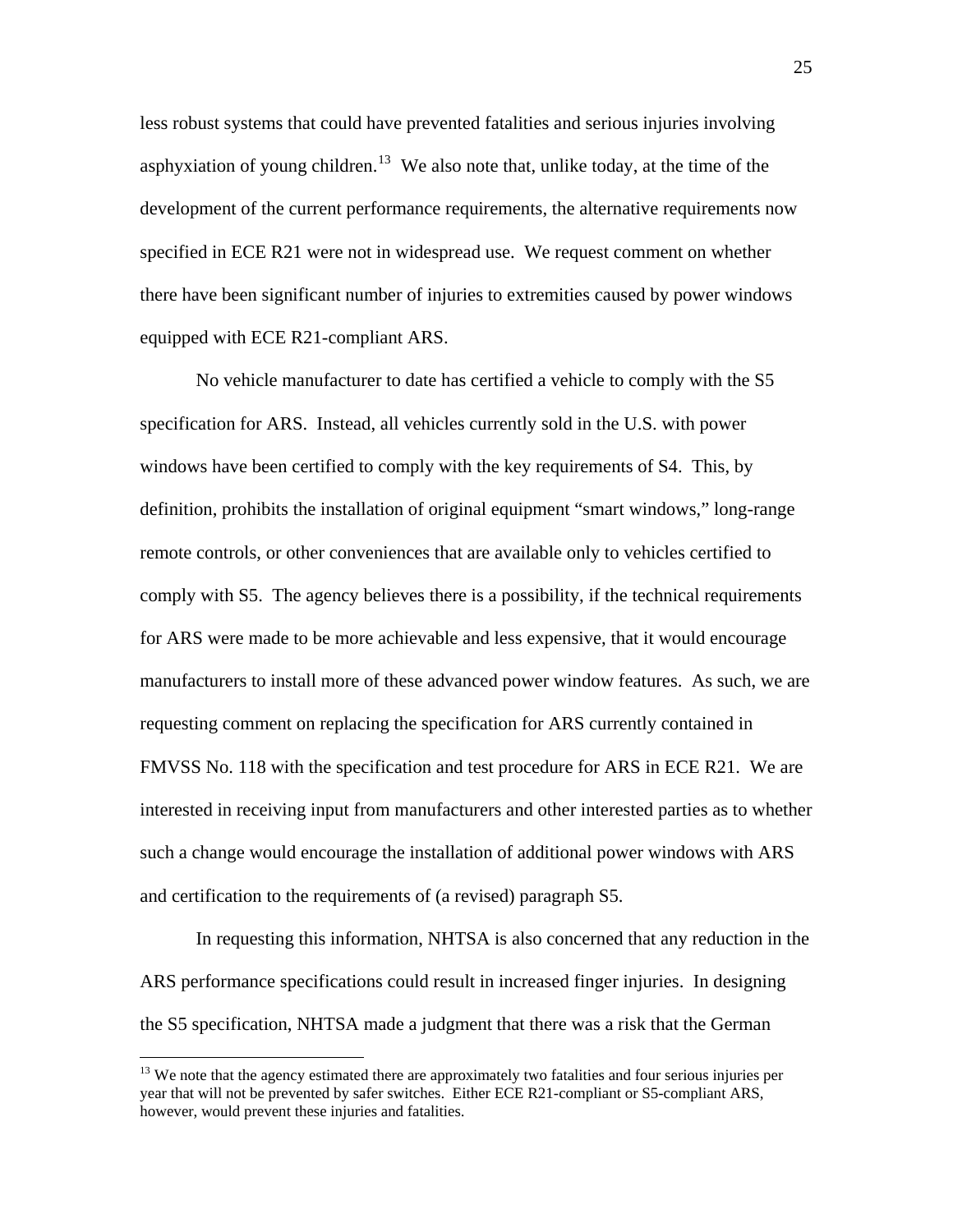less robust systems that could have prevented fatalities and serious injuries involving asphyxiation of young children.<sup>[13](#page-24-0)</sup> We also note that, unlike today, at the time of the development of the current performance requirements, the alternative requirements now specified in ECE R21 were not in widespread use. We request comment on whether there have been significant number of injuries to extremities caused by power windows equipped with ECE R21-compliant ARS.

No vehicle manufacturer to date has certified a vehicle to comply with the S5 specification for ARS. Instead, all vehicles currently sold in the U.S. with power windows have been certified to comply with the key requirements of S4. This, by definition, prohibits the installation of original equipment "smart windows," long-range remote controls, or other conveniences that are available only to vehicles certified to comply with S5. The agency believes there is a possibility, if the technical requirements for ARS were made to be more achievable and less expensive, that it would encourage manufacturers to install more of these advanced power window features. As such, we are requesting comment on replacing the specification for ARS currently contained in FMVSS No. 118 with the specification and test procedure for ARS in ECE R21. We are interested in receiving input from manufacturers and other interested parties as to whether such a change would encourage the installation of additional power windows with ARS and certification to the requirements of (a revised) paragraph S5.

 In requesting this information, NHTSA is also concerned that any reduction in the ARS performance specifications could result in increased finger injuries. In designing the S5 specification, NHTSA made a judgment that there was a risk that the German

<span id="page-24-0"></span><sup>&</sup>lt;sup>13</sup> We note that the agency estimated there are approximately two fatalities and four serious injuries per year that will not be prevented by safer switches. Either ECE R21-compliant or S5-compliant ARS, however, would prevent these injuries and fatalities.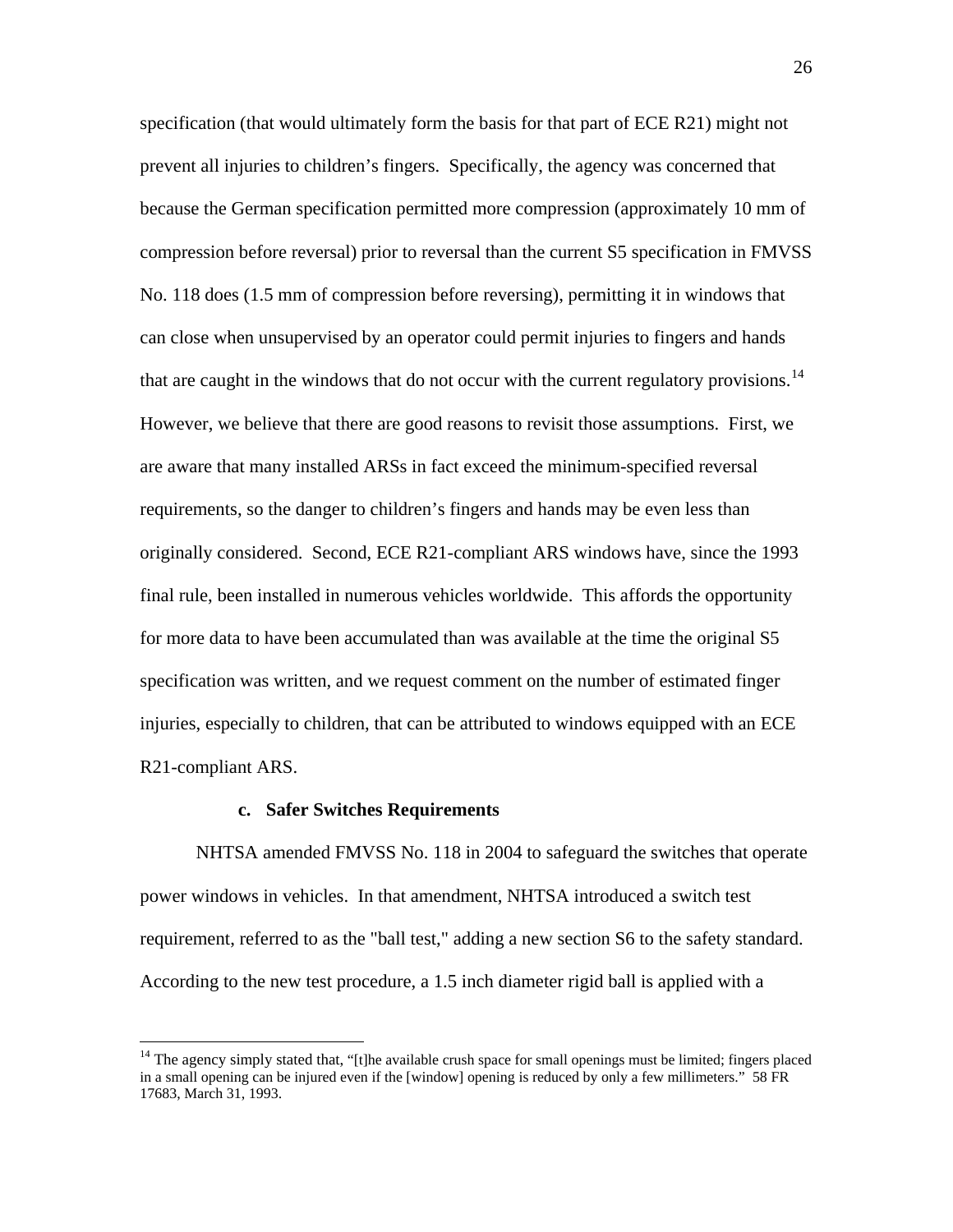specification (that would ultimately form the basis for that part of ECE R21) might not prevent all injuries to children's fingers. Specifically, the agency was concerned that because the German specification permitted more compression (approximately 10 mm of compression before reversal) prior to reversal than the current S5 specification in FMVSS No. 118 does (1.5 mm of compression before reversing), permitting it in windows that can close when unsupervised by an operator could permit injuries to fingers and hands that are caught in the windows that do not occur with the current regulatory provisions.<sup>[14](#page-25-0)</sup> However, we believe that there are good reasons to revisit those assumptions. First, we are aware that many installed ARSs in fact exceed the minimum-specified reversal requirements, so the danger to children's fingers and hands may be even less than originally considered. Second, ECE R21-compliant ARS windows have, since the 1993 final rule, been installed in numerous vehicles worldwide. This affords the opportunity for more data to have been accumulated than was available at the time the original S5 specification was written, and we request comment on the number of estimated finger injuries, especially to children, that can be attributed to windows equipped with an ECE R21-compliant ARS.

# **c. Safer Switches Requirements**

1

NHTSA amended FMVSS No. 118 in 2004 to safeguard the switches that operate power windows in vehicles. In that amendment, NHTSA introduced a switch test requirement, referred to as the "ball test," adding a new section S6 to the safety standard. According to the new test procedure, a 1.5 inch diameter rigid ball is applied with a

<span id="page-25-0"></span> $14$  The agency simply stated that, "[t]he available crush space for small openings must be limited; fingers placed in a small opening can be injured even if the [window] opening is reduced by only a few millimeters." 58 FR 17683, March 31, 1993.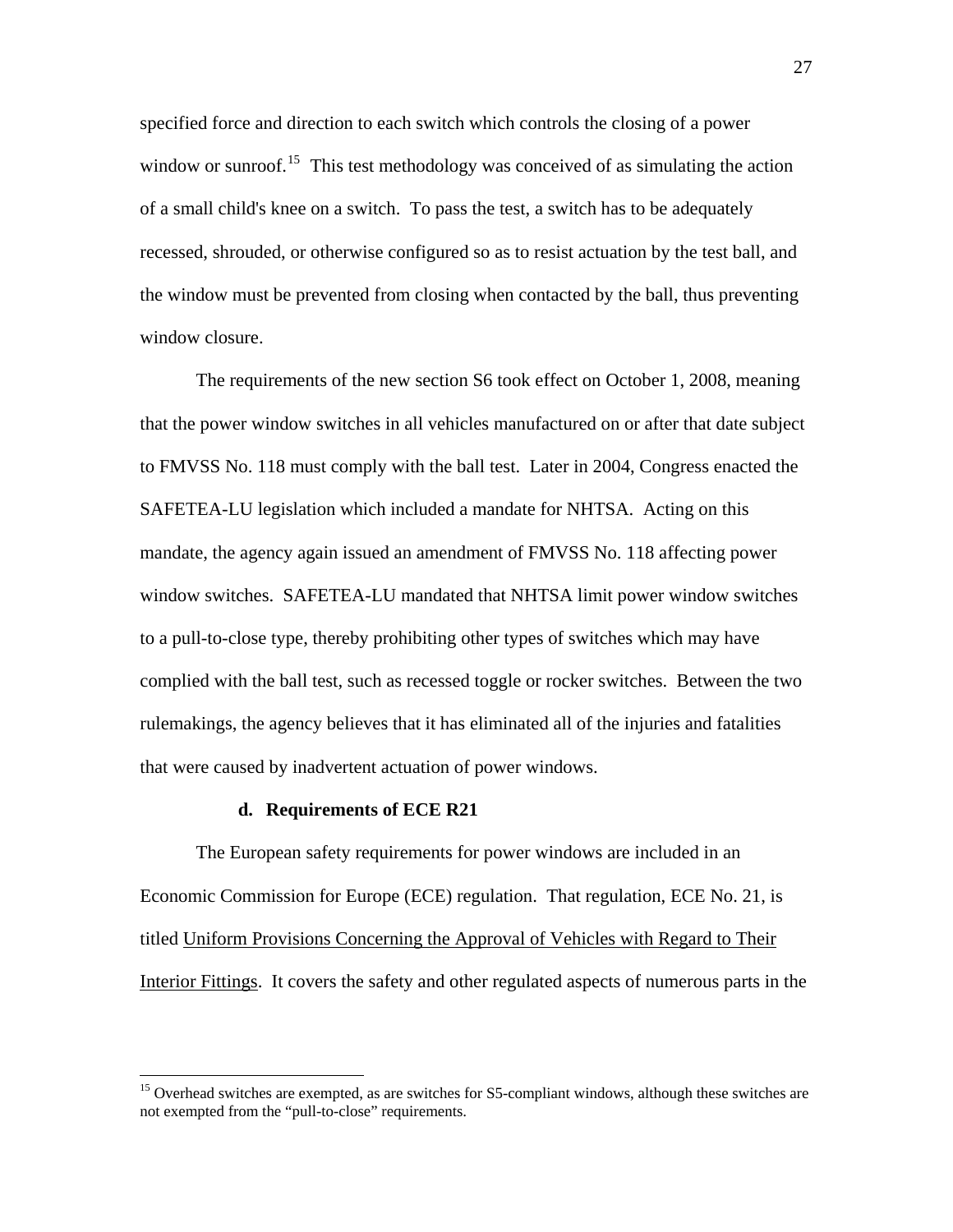specified force and direction to each switch which controls the closing of a power window or sunroof.<sup>[15](#page-26-0)</sup> This test methodology was conceived of as simulating the action of a small child's knee on a switch. To pass the test, a switch has to be adequately recessed, shrouded, or otherwise configured so as to resist actuation by the test ball , and the window must be prevented from closing when contacted by the ball, thus preventi ng window closure.

The requirements of the new section S6 took effect on October 1, 2008, meaning that the power window switches in all vehicles manufactured on or after that date subject to FMVSS No. 118 must comply with the ball test. Later in 2004, Congress enacted the SAFETEA-LU legislation which included a mandate for NHTSA. Acting on this mandate, the agency again issued an amendment of FMVSS No. 118 affecting power window switches. SAFETEA-LU mandated that NHTSA limit power window switches to a pull-to-close type, thereby prohibiting other types of switches which may have complied with the ball test, such as recessed toggle or rocker switches. Between the two rulemakings, the agency believes that it has eliminated all of the injuries and fatalities that were caused by inadvertent actuation of power windows.

# **d. Requirements of ECE R21**

 $\overline{a}$ 

The European safety requirements for power windows are included in an Economic Commission for Europe (ECE) regulation. That regulation, ECE No. 21, is titled Uniform Provisions Concerning the Approval of Vehicles with Regard to Their Interior Fittings. It covers the safety and other regulated aspects of numerous parts in the

<span id="page-26-0"></span><sup>&</sup>lt;sup>15</sup> Overhead switches are exempted, as are switches for S5-compliant windows, although these switches are not exempted from the "pull-to-close" requirements.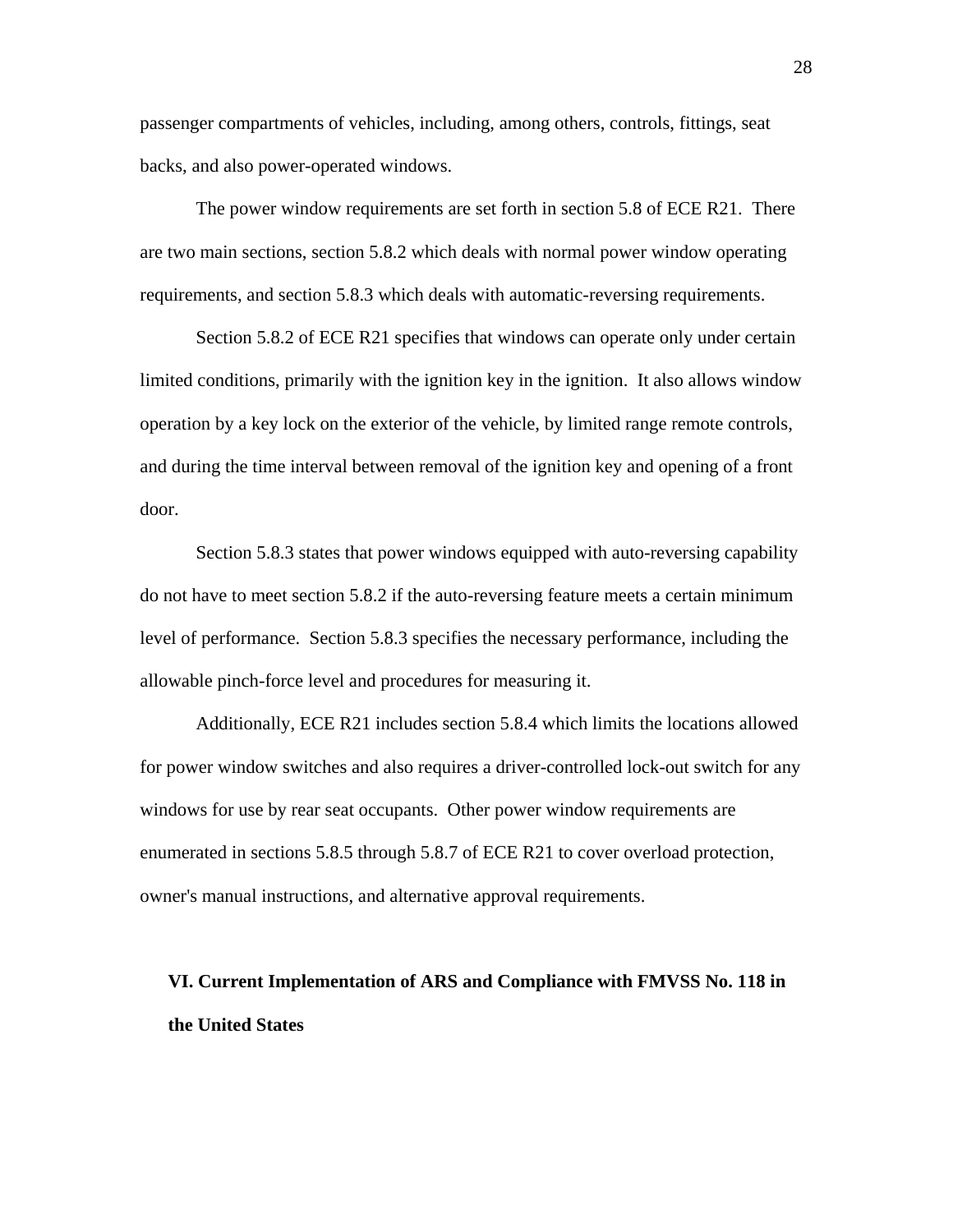passenger compartments of vehicles, including, among others, controls, fittings, seat backs, and also power-operated windows.

The power window requirements are set forth in section 5.8 of ECE R21. There are two main sections, section 5.8.2 which deals with normal power window operating requirements, and section 5.8.3 which deals with automatic-reversing requirements.

Section 5.8.2 of ECE R21 specifies that windows can operate only under certain limited conditions, primarily with the ignition key in the ignition. It also allows window operation by a key lock on the exterior of the vehicle, by limited range remote controls, and during the time interval between removal of the ignition key and opening of a front door.

Section 5.8.3 states that power windows equipped with auto-reversing capability do not have to meet section 5.8.2 if the auto-reversing feature meets a certain minimum level of performance. Section 5.8.3 specifies the necessary performance, including the allowable pinch-force level and procedures for measuring it.

Additionally, ECE R21 includes section 5.8.4 which limits the locations allowed for power window switches and also requires a driver-controlled lock-out switch for any windows for use by rear seat occupants. Other power window requirements are enumerated in sections 5.8.5 through 5.8.7 of ECE R21 to cover overload protection, owner's manual instructions, and alternative approval requirements.

# **VI. Current Implementation of ARS and Compliance with FMVSS No. 118 in the United States**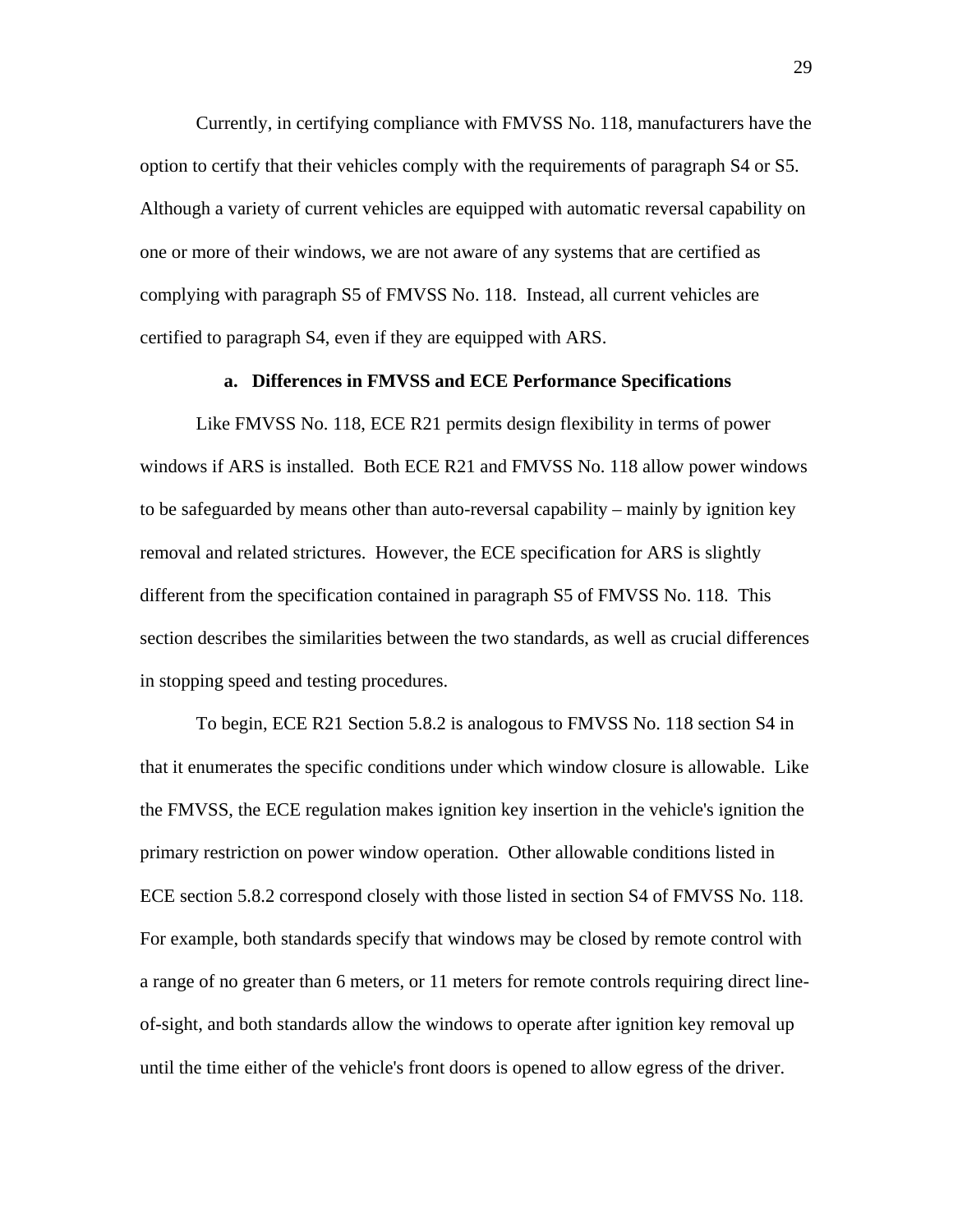Currently, in certifying compliance with FMVSS No. 118, manufacturers have the option to certify that their vehicles comply with the requirements of paragraph S4 or S5. Although a variety of current vehicles are equipped with automatic reversal capability on one or more of their windows, we are not aware of any systems that are certified as complying with paragraph S5 of FMVSS No. 118. Instead, all current vehicles are certified to paragraph S4, even if they are equipped with ARS.

# **a. Differences in FMVSS and ECE Performance Specifications**

Like FMVSS No. 118, ECE R21 permits design flexibility in terms of power windows if ARS is installed. Both ECE R21 and FMVSS No. 118 allow power windows to be safeguarded by means other than auto-reversal capability – mainly by ignition key removal and related strictures. However, the ECE specification for ARS is slightly different from the specification contained in paragraph S5 of FMVSS No. 118. This section describes the similarities between the two standards, as well as crucial differences in stopping speed and testing procedures.

To begin, ECE R21 Section 5.8.2 is analogous to FMVSS No. 118 section S4 in that it enumerates the specific conditions under which window closure is allowable. Like the FMVSS, the ECE regulation makes ignition key insertion in the vehicle's ignition the primary restriction on power window operation. Other allowable conditions listed in ECE section 5.8.2 correspond closely with those listed in section S4 of FMVSS No. 118. For example, both standards specify that windows may be closed by remote control with a range of no greater than 6 meters, or 11 meters for remote controls requiring direct lineof-sight, and both standards allow the windows to operate after ignition key removal up until the time either of the vehicle's front doors is opened to allow egress of the driver.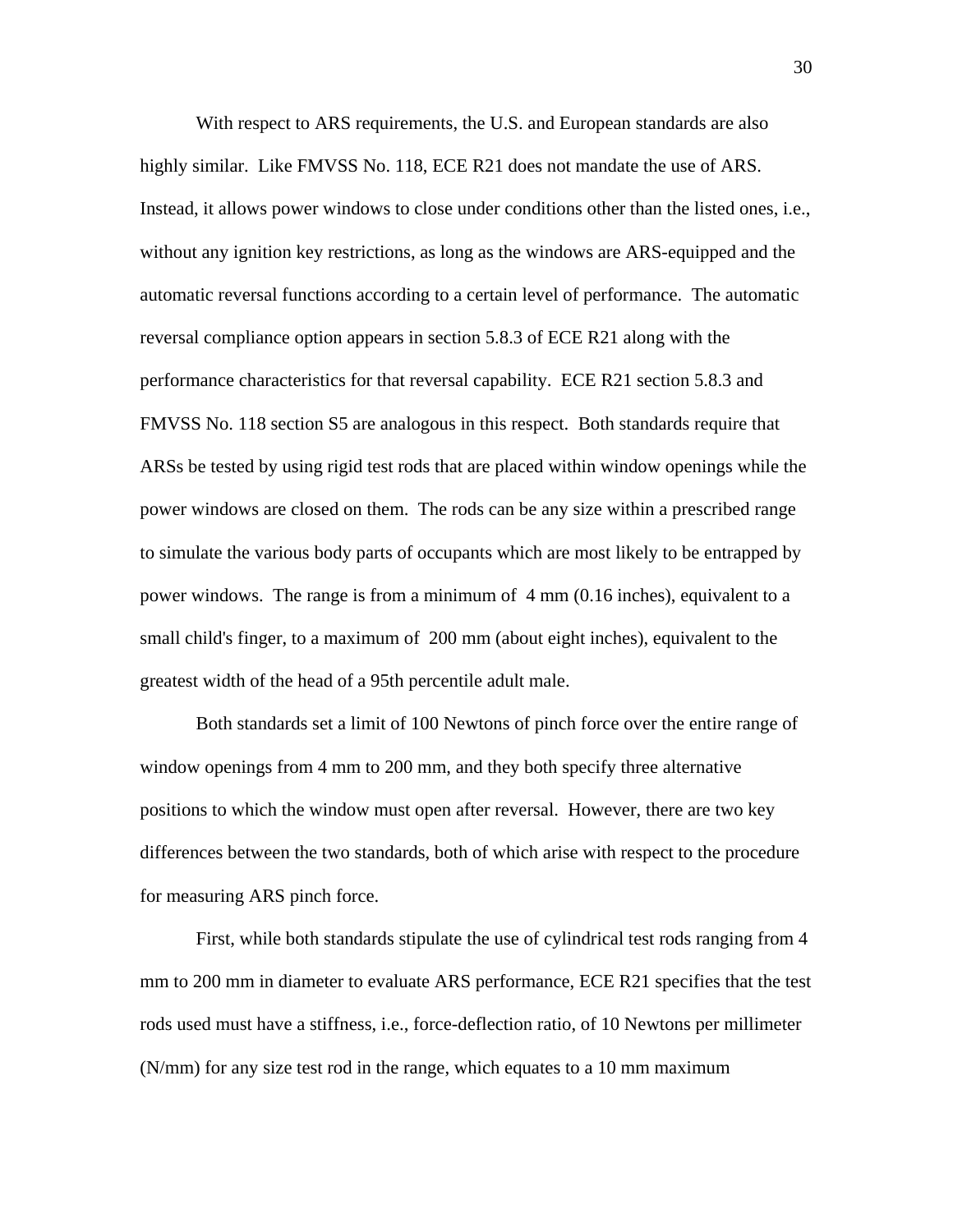With respect to ARS requirements, the U.S. and European standards are also highly similar. Like FMVSS No. 118, ECE R21 does not mandate the use of ARS. Instead, it allows power windows to close under conditions other than the listed ones, i.e., without any ignition key restrictions, as long as the windows are ARS-equipped and the automatic reversal functions according to a certain level of performance. The automatic reversal compliance option appears in section 5.8.3 of ECE R21 along with the performance characteristics for that reversal capability. ECE R21 section 5.8.3 and FMVSS No. 118 section S5 are analogous in this respect. Both standards require that ARSs be tested by using rigid test rods that are placed within window openings while the power windows are closed on them. The rods can be any size within a prescribed range to simulate the various body parts of occupants which are most likely to be entrapped by power windows. The range is from a minimum of 4 mm (0.16 inches), equivalent to a small child's finger, to a maximum of 200 mm (about eight inches), equivalent to the greatest width of the head of a 95th percentile adult male.

Both standards set a limit of 100 Newtons of pinch force over the entire range of window openings from 4 mm to 200 mm, and they both specify three alternative positions to which the window must open after reversal. However, there are two key differences between the two standards, both of which arise with respect to the procedure for measuring ARS pinch force.

First, while both standards stipulate the use of cylindrical test rods ranging from 4 mm to 200 mm in diameter to evaluate ARS performance, ECE R21 specifies that the test rods used must have a stiffness, i.e., force-deflection ratio, of 10 Newtons per millimeter (N/mm) for any size test rod in the range, which equates to a 10 mm maximum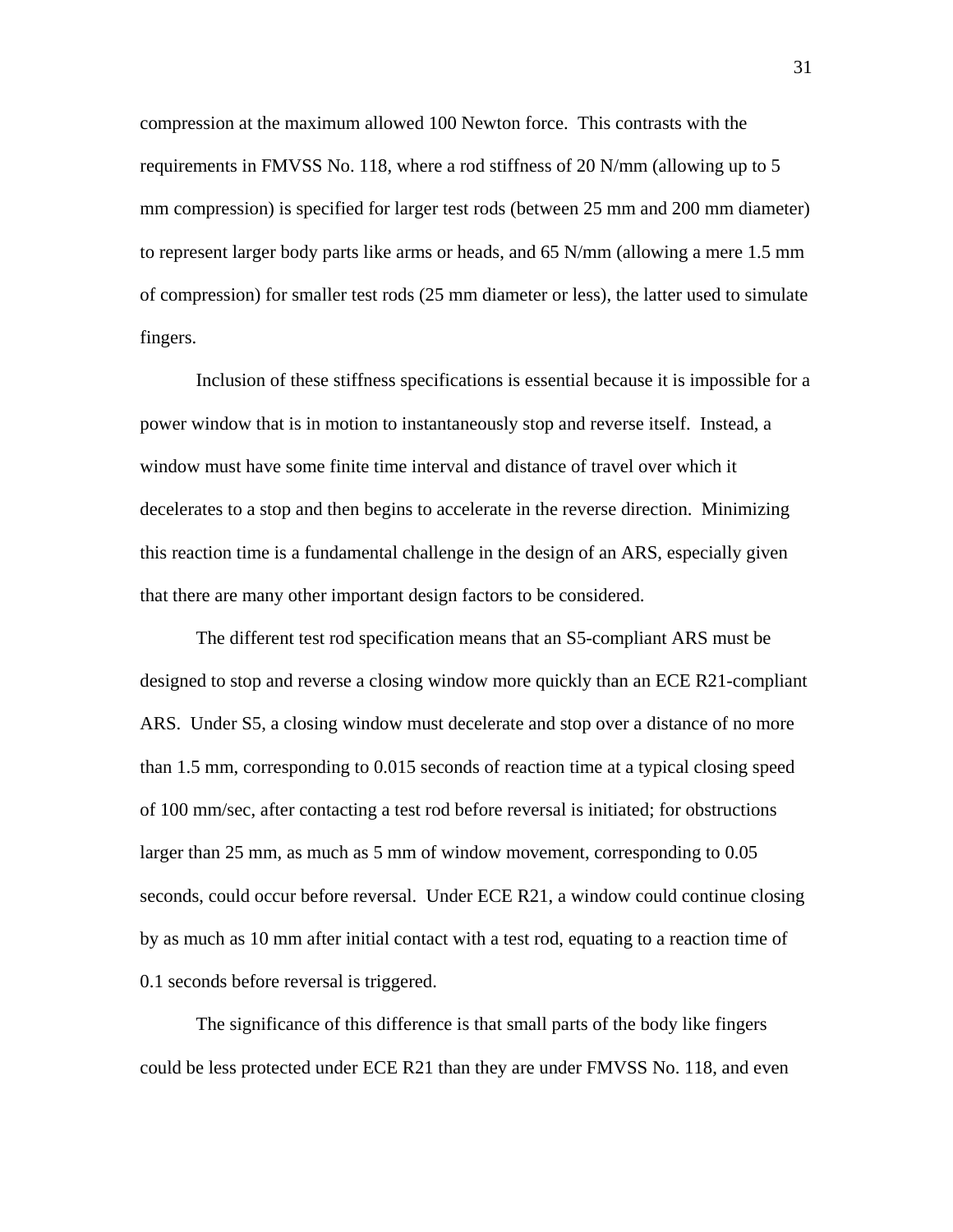compression at the maximum allowed 100 Newton force. This contrasts with the requirements in FMVSS No. 118, where a rod stiffness of 20 N/mm (allowing up to 5 mm compression) is specified for larger test rods (between 25 mm and 200 mm diameter) to represent larger body parts like arms or heads, and 65 N/mm (allowing a mere 1.5 mm of compression) for smaller test rods (25 mm diameter or less), the latter used to simulate fingers.

Inclusion of these stiffness specifications is essential because it is impossible for a power window that is in motion to instantaneously stop and reverse itself. Instead, a window must have some finite time interval and distance of travel over which it decelerates to a stop and then begins to accelerate in the reverse direction. Minimizing this reaction time is a fundamental challenge in the design of an ARS, especially given that there are many other important design factors to be considered.

The different test rod specification means that an S5-compliant ARS must be designed to stop and reverse a closing window more quickly than an ECE R21-compliant ARS. Under S5, a closing window must decelerate and stop over a distance of no more than 1.5 mm, corresponding to 0.015 seconds of reaction time at a typical closing speed of 100 mm/sec, after contacting a test rod before reversal is initiated; for obstructions larger than 25 mm, as much as 5 mm of window movement, corresponding to 0.05 seconds, could occur before reversal. Under ECE R21, a window could continue closing by as much as 10 mm after initial contact with a test rod, equating to a reaction time of 0.1 seconds before reversal is triggered.

The significance of this difference is that small parts of the body like fingers could be less protected under ECE R21 than they are under FMVSS No. 118, and even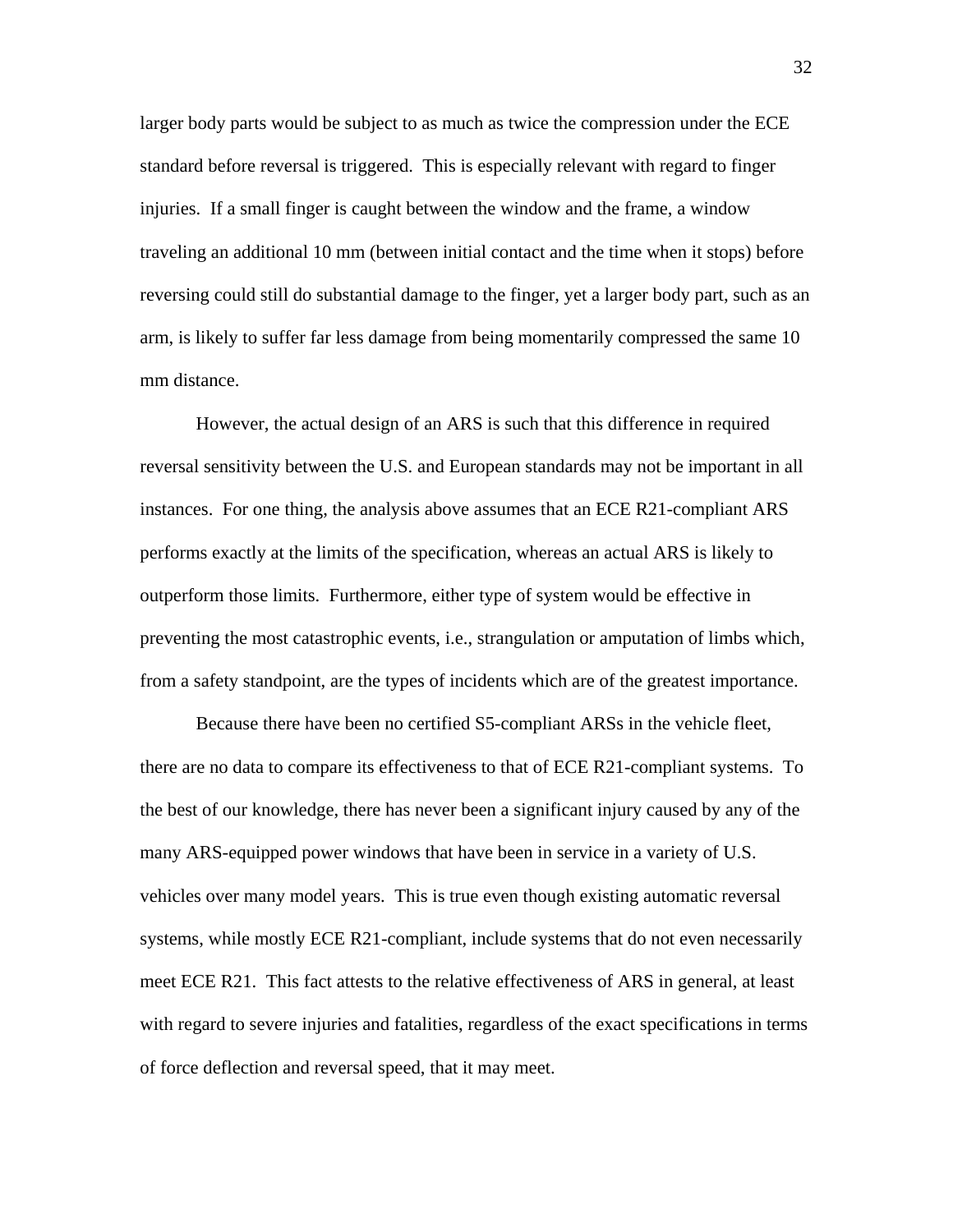larger body parts would be subject to as much as twice the compression under the ECE standard before reversal is triggered. This is especially relevant with regard to finger injuries. If a small finger is caught between the window and the frame, a window traveling an additional 10 mm (between initial contact and the time when it stops) before reversing could still do substantial damage to the finger, yet a larger body part, such as an arm, is likely to suffer far less damage from being momentarily compressed the same 10 mm distance.

However, the actual design of an ARS is such that this difference in required reversal sensitivity between the U.S. and European standards may not be important in all instances. For one thing, the analysis above assumes that an ECE R21-compliant ARS performs exactly at the limits of the specification, whereas an actual ARS is likely to outperform those limits. Furthermore, either type of system would be effective in preventing the most catastrophic events, i.e., strangulation or amputation of limbs which, from a safety standpoint, are the types of incidents which are of the greatest importance.

Because there have been no certified S5-compliant ARSs in the vehicle fleet, there are no data to compare its effectiveness to that of ECE R21-compliant systems. To the best of our knowledge, there has never been a significant injury caused by any of the many ARS-equipped power windows that have been in service in a variety of U.S. vehicles over many model years. This is true even though existing automatic reversal systems, while mostly ECE R21-compliant, include systems that do not even necessarily meet ECE R21. This fact attests to the relative effectiveness of ARS in general, at least with regard to severe injuries and fatalities, regardless of the exact specifications in terms of force deflection and reversal speed, that it may meet.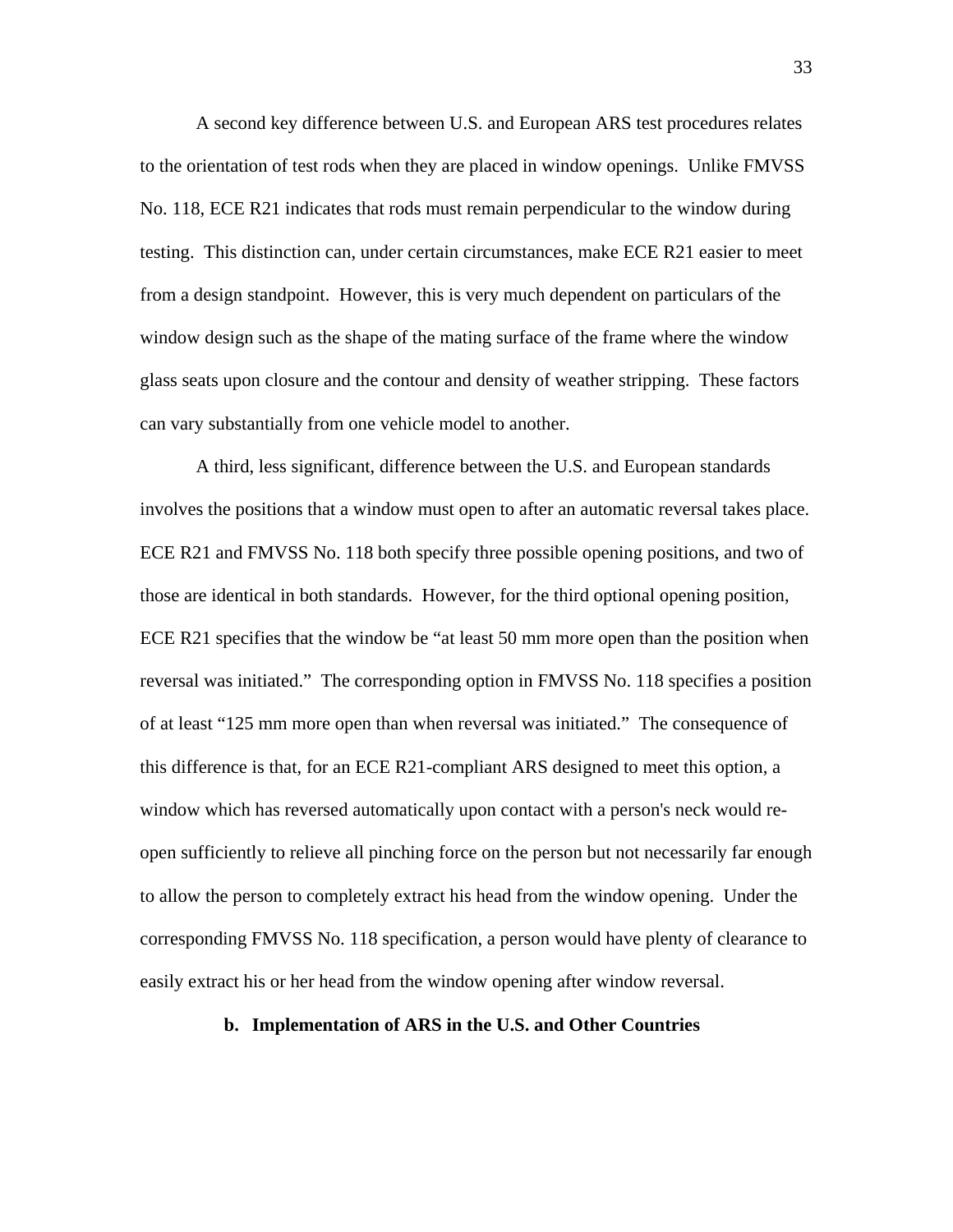A second key difference between U.S. and European ARS test procedures relates to the orientation of test rods when they are placed in window openings. Unlike FMVSS No. 118, ECE R21 indicates that rods must remain perpendicular to the window during testing. This distinction can, under certain circumstances, make ECE R21 easier to meet from a design standpoint. However, this is very much dependent on particulars of the window design such as the shape of the mating surface of the frame where the window glass seats upon closure and the contour and density of weather stripping. These factors can vary substantially from one vehicle model to another.

A third, less significant, difference between the U.S. and European standards involves the positions that a window must open to after an automatic reversal takes place. ECE R21 and FMVSS No. 118 both specify three possible opening positions, and two of those are identical in both standards. However, for the third optional opening position, ECE R21 specifies that the window be "at least 50 mm more open than the position when reversal was initiated." The corresponding option in FMVSS No. 118 specifies a position of at least "125 mm more open than when reversal was initiated." The consequence of this difference is that, for an ECE R21-compliant ARS designed to meet this option, a window which has reversed automatically upon contact with a person's neck would reopen sufficiently to relieve all pinching force on the person but not necessarily far enough to allow the person to completely extract his head from the window opening. Under the corresponding FMVSS No. 118 specification, a person would have plenty of clearance to easily extract his or her head from the window opening after window reversal.

# **b. Implementation of ARS in the U.S. and Other Countries**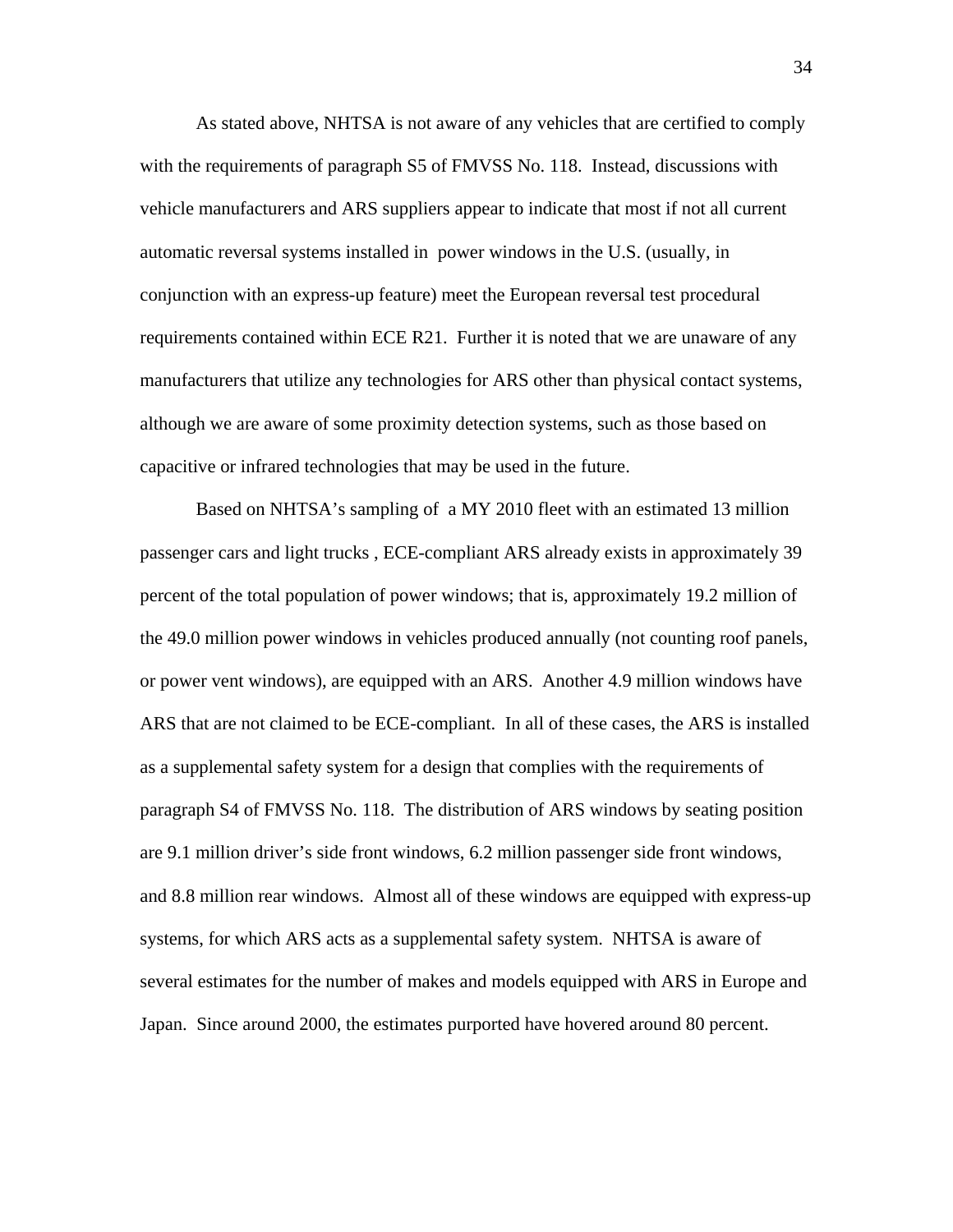As stated above, NHTSA is not aware of any vehicles that are certified to comply with the requirements of paragraph S5 of FMVSS No. 118. Instead, discussions with vehicle manufacturers and ARS suppliers appear to indicate that most if not all current automatic reversal systems installed in power windows in the U.S. (usually, in conjunction with an express-up feature) meet the European reversal test procedural requirements contained within ECE R21. Further it is noted that we are unaware of any manufacturers that utilize any technologies for ARS other than physical contact systems, although we are aware of some proximity detection systems, such as those based on capacitive or infrared technologies that may be used in the future.

 Based on NHTSA's sampling of a MY 2010 fleet with an estimated 13 million passenger cars and light trucks , ECE-compliant ARS already exists in approximately 39 percent of the total population of power windows; that is, approximately 19.2 million of the 49.0 million power windows in vehicles produced annually (not counting roof panels, or power vent windows), are equipped with an ARS. Another 4.9 million windows have ARS that are not claimed to be ECE-compliant. In all of these cases, the ARS is installed as a supplemental safety system for a design that complies with the requirements of paragraph S4 of FMVSS No. 118. The distribution of ARS windows by seating position are 9.1 million driver's side front windows, 6.2 million passenger side front windows, and 8.8 million rear windows. Almost all of these windows are equipped with express-up systems, for which ARS acts as a supplemental safety system. NHTSA is aware of several estimates for the number of makes and models equipped with ARS in Europe and Japan. Since around 2000, the estimates purported have hovered around 80 percent.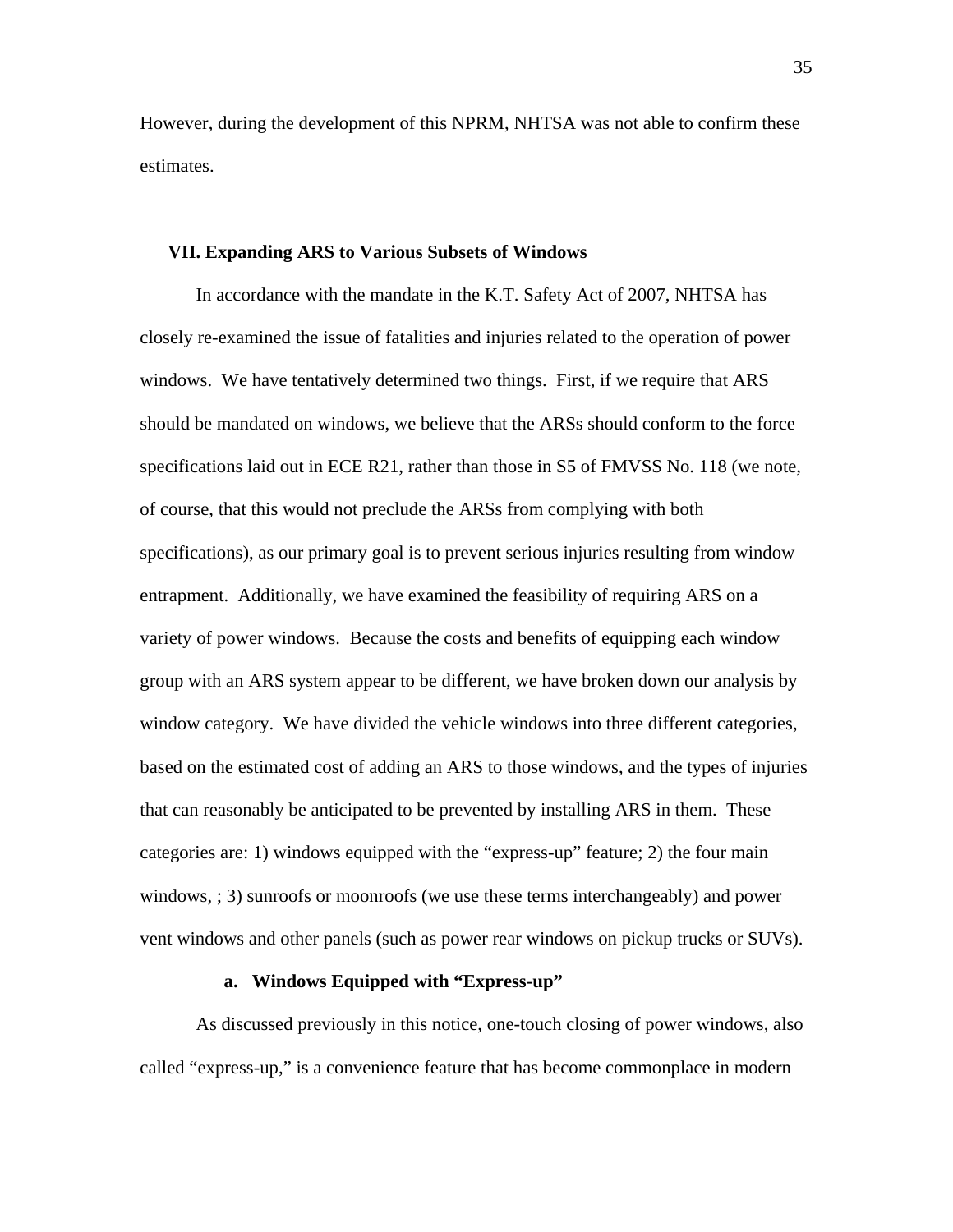However, during the development of this NPRM, NHTSA was not able to confirm these estimates.

# **VII. Expanding ARS to Various Subsets of Windows**

In accordance with the mandate in the K.T. Safety Act of 2007, NHTSA has closely re-examined the issue of fatalities and injuries related to the operation of power windows. We have tentatively determined two things. First, if we require that ARS should be mandated on windows, we believe that the ARSs should conform to the force specifications laid out in ECE R21, rather than those in S5 of FMVSS No. 118 (we note, of course, that this would not preclude the ARSs from complying with both specifications), as our primary goal is to prevent serious injuries resulting from window entrapment. Additionally, we have examined the feasibility of requiring ARS on a variety of power windows. Because the costs and benefits of equipping each window group with an ARS system appear to be different, we have broken down our analysis by window category. We have divided the vehicle windows into three different categories, based on the estimated cost of adding an ARS to those windows, and the types of injuries that can reasonably be anticipated to be prevented by installing ARS in them. These categories are: 1) windows equipped with the "express-up" feature; 2) the four main windows, ; 3) sunroofs or moonroofs (we use these terms interchangeably) and power vent windows and other panels (such as power rear windows on pickup trucks or SUVs).

# **a. Windows Equipped with "Express-up"**

As discussed previously in this notice, one-touch closing of power windows, also called "express-up," is a convenience feature that has become commonplace in modern

35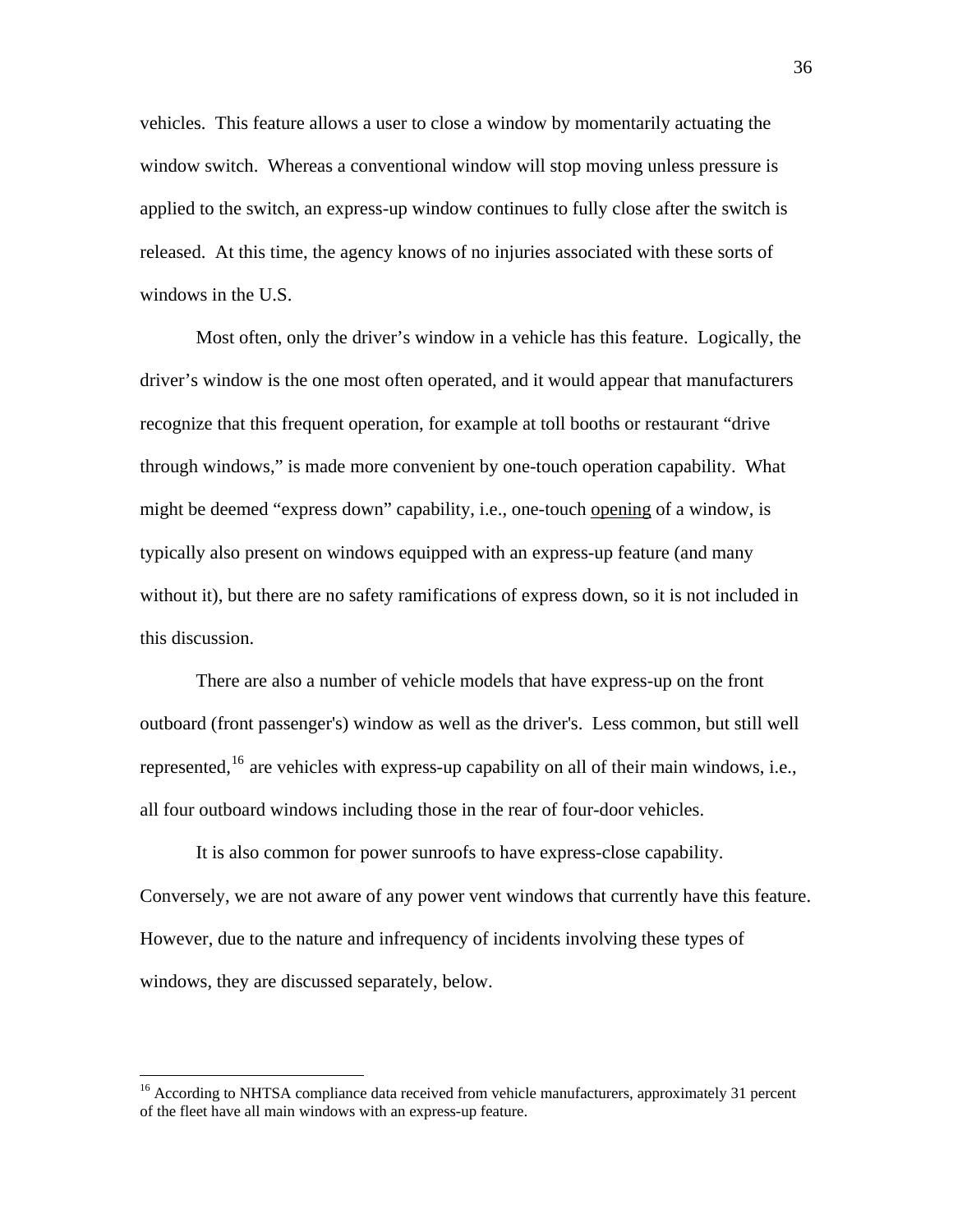vehicles. This feature allows a user to close a window by momentarily actuating the window switch. Whereas a conventional window will stop moving unless pressure is applied to the switch, an express-up window continues to fully close after the switch is released. At this time, the agency knows of no injuries associated with these sorts of windows in the U.S.

Most often, only the driver's window in a vehicle has this feature. Logically, the driver's window is the one most often operated, and it would appear that manufacturers recognize that this frequent operation, for example at toll booths or restaurant "drive through windows," is made more convenient by one-touch operation capability. What might be deemed "express down" capability, i.e., one-touch opening of a window, is typically also present on windows equipped with an express-up feature (and many without it), but there are no safety ramifications of express down, so it is not included in this discussion.

There are also a number of vehicle models that have express-up on the front outboard (front passenger's) window as well as the driver's. Less common, but still well represented,<sup>[16](#page-35-0)</sup> are vehicles with express-up capability on all of their main windows, i.e., all four outboard windows including those in the rear of four-door vehicles.

It is also common for power sunroofs to have express-close capability. Conversely, we are not aware of any power vent windows that currently have this feature. However, due to the nature and infrequency of incidents involving these types of windows, they are discussed separately, below.

<span id="page-35-0"></span><sup>&</sup>lt;sup>16</sup> According to NHTSA compliance data received from vehicle manufacturers, approximately 31 percent of the fleet have all main windows with an express-up feature.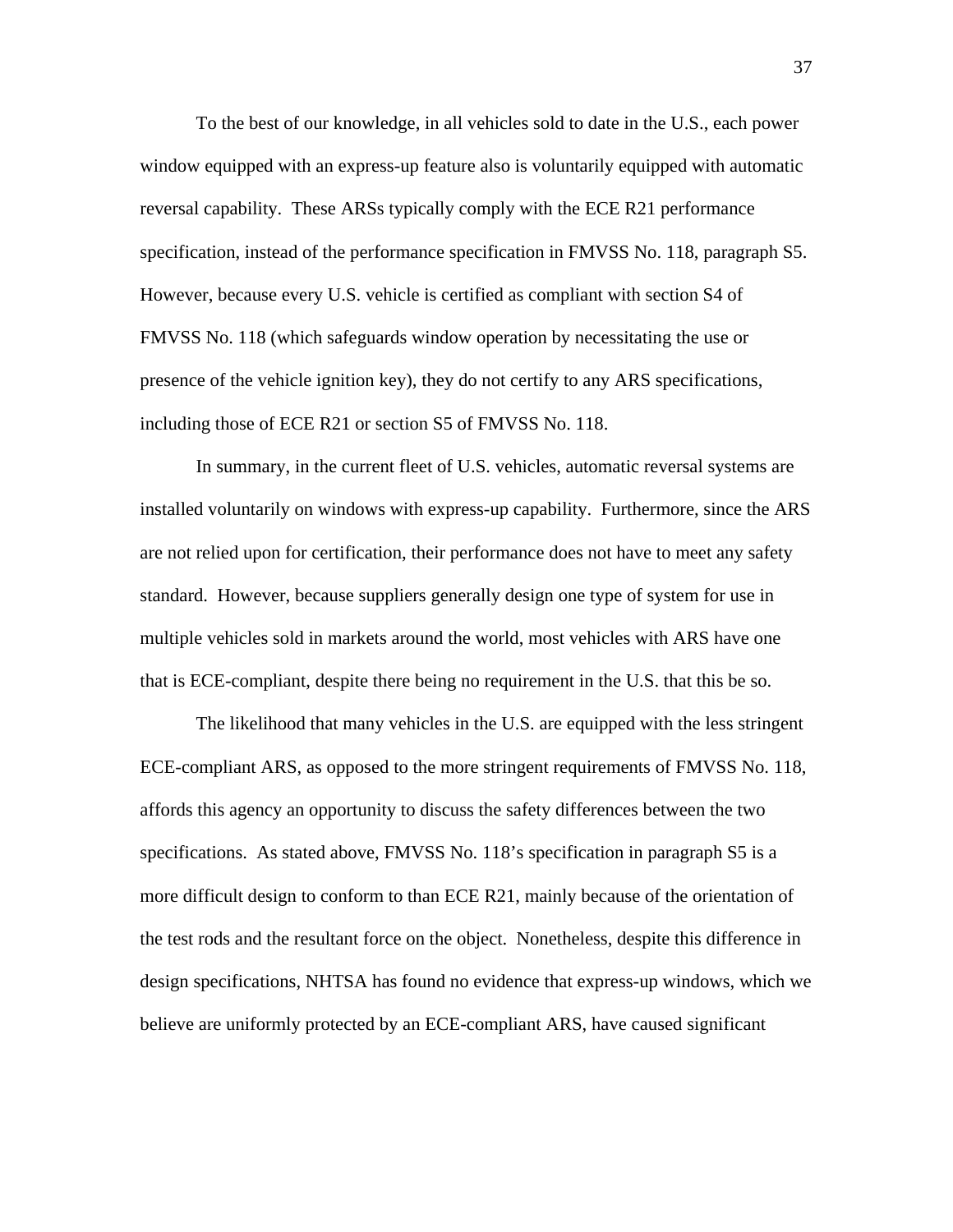To the best of our knowledge, in all vehicles sold to date in the U.S., each power window equipped with an express-up feature also is voluntarily equipped with automatic reversal capability. These ARSs typically comply with the ECE R21 performance specification, instead of the performance specification in FMVSS No. 118, paragraph S5. However, because every U.S. vehicle is certified as compliant with section S4 of FMVSS No. 118 (which safeguards window operation by necessitating the use or presence of the vehicle ignition key), they do not certify to any ARS specifications, including those of ECE R21 or section S5 of FMVSS No. 118.

In summary, in the current fleet of U.S. vehicles, automatic reversal systems are installed voluntarily on windows with express-up capability. Furthermore, since the ARS are not relied upon for certification, their performance does not have to meet any safety standard. However, because suppliers generally design one type of system for use in multiple vehicles sold in markets around the world, most vehicles with ARS have one that is ECE-compliant, despite there being no requirement in the U.S. that this be so.

The likelihood that many vehicles in the U.S. are equipped with the less stringent ECE-compliant ARS, as opposed to the more stringent requirements of FMVSS No. 118, affords this agency an opportunity to discuss the safety differences between the two specifications. As stated above, FMVSS No. 118's specification in paragraph S5 is a more difficult design to conform to than ECE R21, mainly because of the orientation of the test rods and the resultant force on the object. Nonetheless, despite this difference in design specifications, NHTSA has found no evidence that express-up windows, which we believe are uniformly protected by an ECE-compliant ARS, have caused significant

37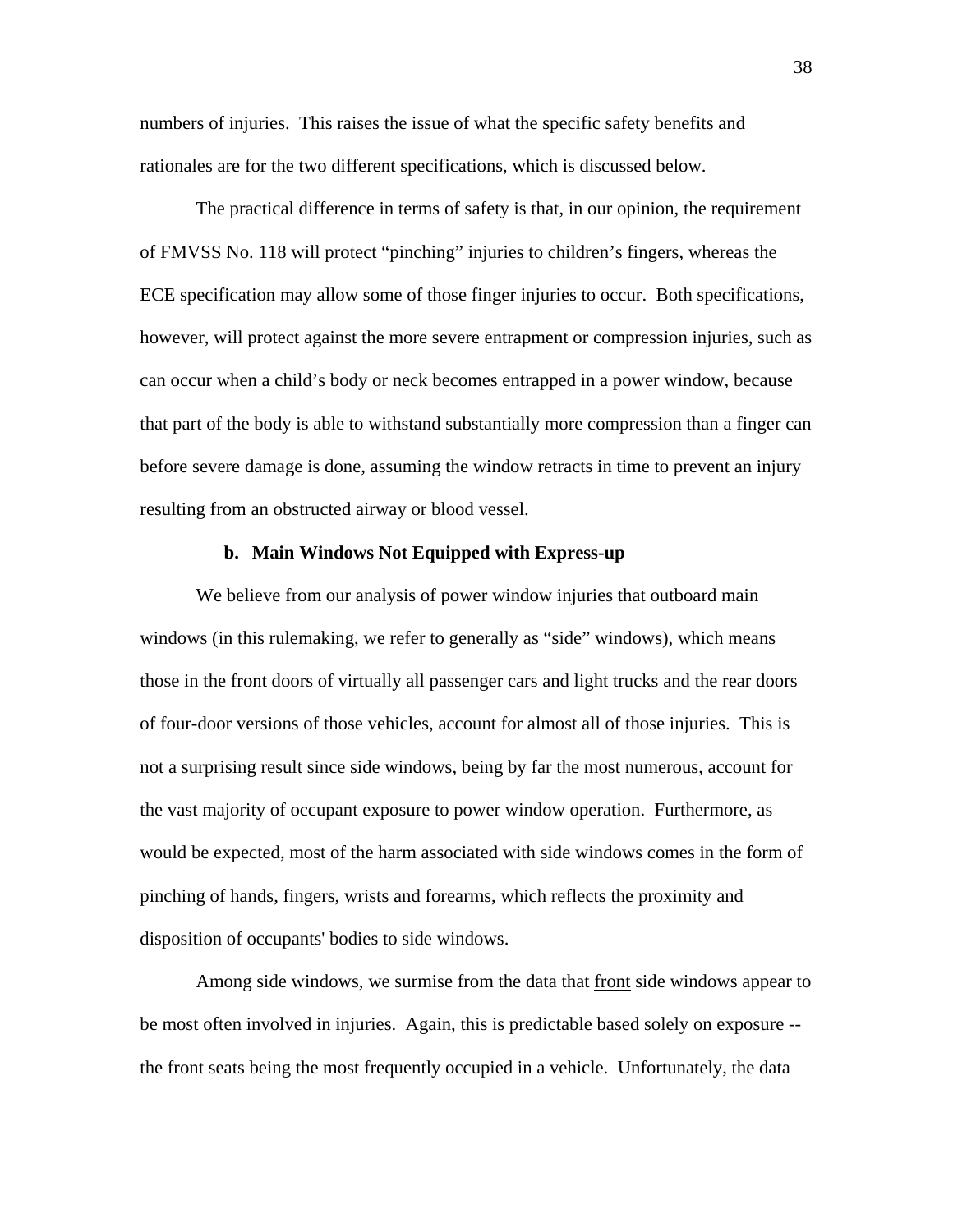numbers of injuries. This raises the issue of what the specific safety benefits and rationales are for the two different specifications, which is discussed below.

The practical difference in terms of safety is that, in our opinion, the requirement of FMVSS No. 118 will protect "pinching" injuries to children's fingers, whereas the ECE specification may allow some of those finger injuries to occur. Both specifications, however, will protect against the more severe entrapment or compression injuries, such as can occur when a child's body or neck becomes entrapped in a power window, because that part of the body is able to withstand substantially more compression than a finger can before severe damage is done, assuming the window retracts in time to prevent an injury resulting from an obstructed airway or blood vessel.

# **b. Main Windows Not Equipped with Express-up**

We believe from our analysis of power window injuries that outboard main windows (in this rulemaking, we refer to generally as "side" windows), which means those in the front doors of virtually all passenger cars and light trucks and the rear doors of four-door versions of those vehicles, account for almost all of those injuries. This is not a surprising result since side windows, being by far the most numerous, account for the vast majority of occupant exposure to power window operation. Furthermore, as would be expected, most of the harm associated with side windows comes in the form of pinching of hands, fingers, wrists and forearms, which reflects the proximity and disposition of occupants' bodies to side windows.

Among side windows, we surmise from the data that front side windows appear to be most often involved in injuries. Again, this is predictable based solely on exposure - the front seats being the most frequently occupied in a vehicle. Unfortunately, the data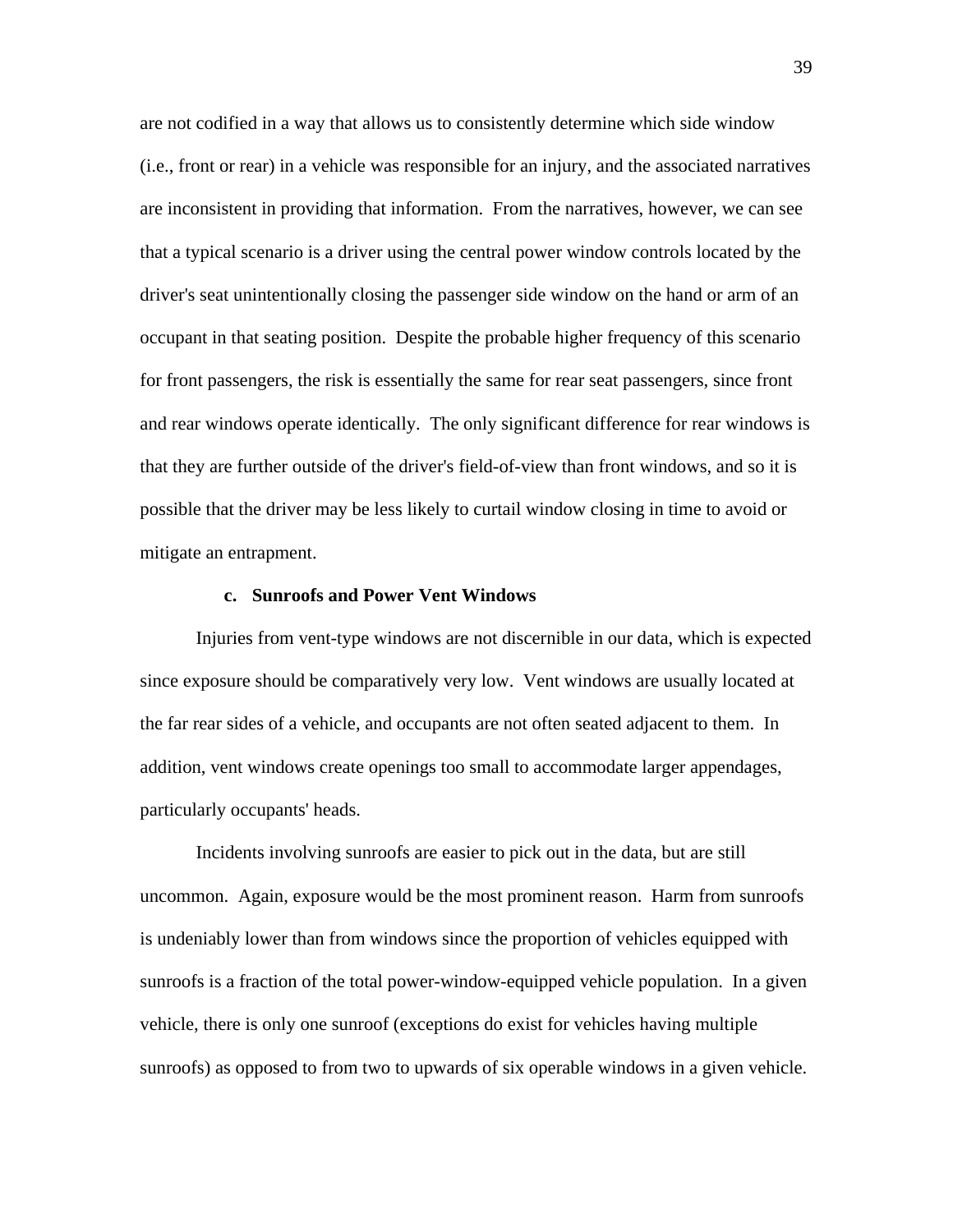are not codified in a way that allows us to consistently determine which side window (i.e., front or rear) in a vehicle was responsible for an injury, and the associated narratives are inconsistent in providing that information. From the narratives, however, we can see that a typical scenario is a driver using the central power window controls located by the driver's seat unintentionally closing the passenger side window on the hand or arm of an occupant in that seating position. Despite the probable higher frequency of this scenario for front passengers, the risk is essentially the same for rear seat passengers, since front and rear windows operate identically. The only significant difference for rear windows is that they are further outside of the driver's field-of-view than front windows, and so it is possible that the driver may be less likely to curtail window closing in time to avoid or mitigate an entrapment.

### **c. Sunroofs and Power Vent Windows**

Injuries from vent-type windows are not discernible in our data, which is expected since exposure should be comparatively very low. Vent windows are usually located at the far rear sides of a vehicle, and occupants are not often seated adjacent to them. In addition, vent windows create openings too small to accommodate larger appendages, particularly occupants' heads.

Incidents involving sunroofs are easier to pick out in the data, but are still uncommon. Again, exposure would be the most prominent reason. Harm from sunroofs is undeniably lower than from windows since the proportion of vehicles equipped with sunroofs is a fraction of the total power-window-equipped vehicle population. In a given vehicle, there is only one sunroof (exceptions do exist for vehicles having multiple sunroofs) as opposed to from two to upwards of six operable windows in a given vehicle.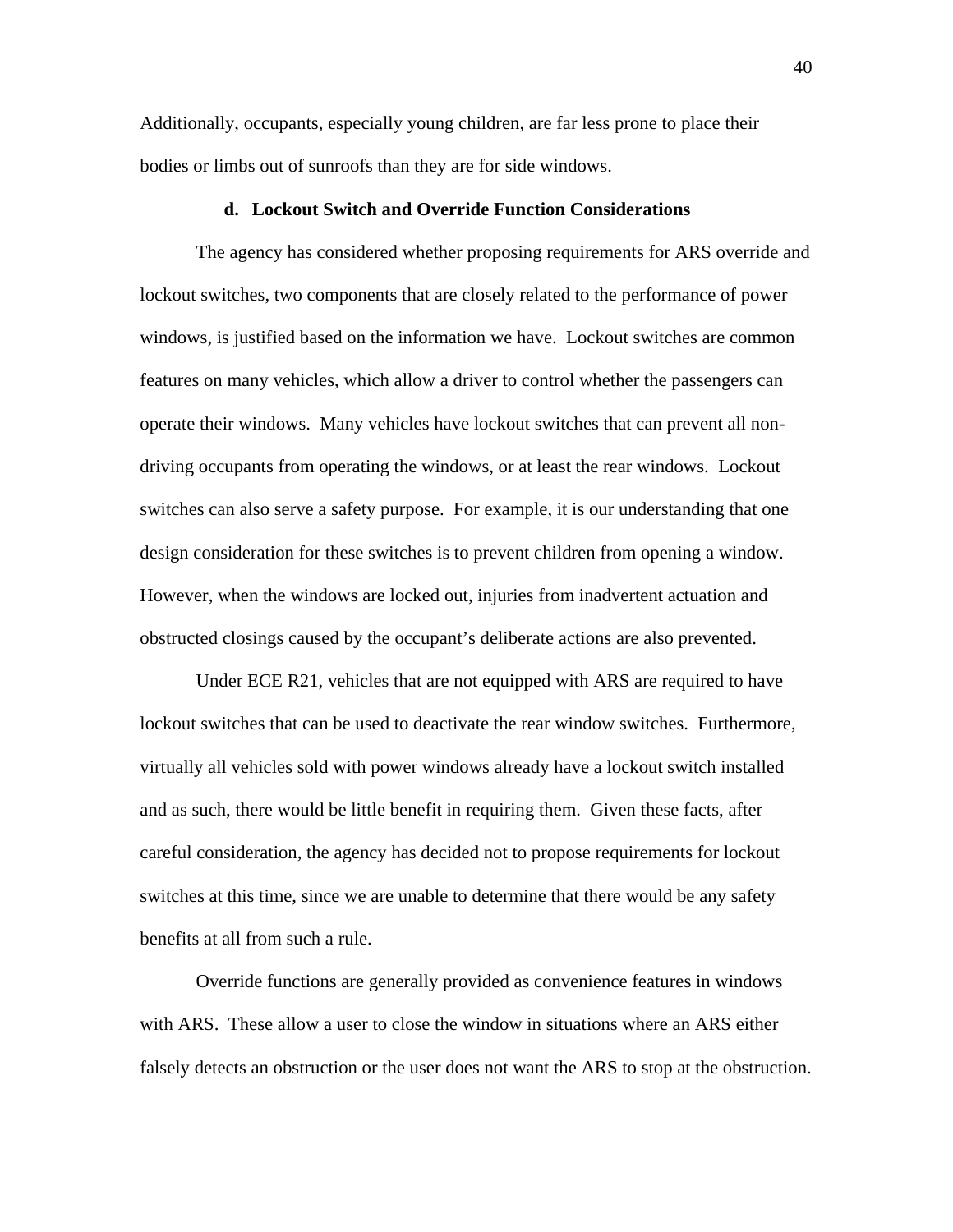Additionally, occupants, especially young children, are far less prone to place their bodies or limbs out of sunroofs than they are for side windows.

#### **d. Lockout Switch and Override Function Considerations**

The agency has considered whether proposing requirements for ARS override and lockout switches, two components that are closely related to the performance of power windows, is justified based on the information we have. Lockout switches are common features on many vehicles, which allow a driver to control whether the passengers can operate their windows. Many vehicles have lockout switches that can prevent all nondriving occupants from operating the windows, or at least the rear windows. Lockout switches can also serve a safety purpose. For example, it is our understanding that one design consideration for these switches is to prevent children from opening a window. However, when the windows are locked out, injuries from inadvertent actuation and obstructed closings caused by the occupant's deliberate actions are also prevented.

Under ECE R21, vehicles that are not equipped with ARS are required to have lockout switches that can be used to deactivate the rear window switches. Furthermore, virtually all vehicles sold with power windows already have a lockout switch installed and as such, there would be little benefit in requiring them. Given these facts, after careful consideration, the agency has decided not to propose requirements for lockout switches at this time, since we are unable to determine that there would be any safety benefits at all from such a rule.

Override functions are generally provided as convenience features in windows with ARS. These allow a user to close the window in situations where an ARS either falsely detects an obstruction or the user does not want the ARS to stop at the obstruction.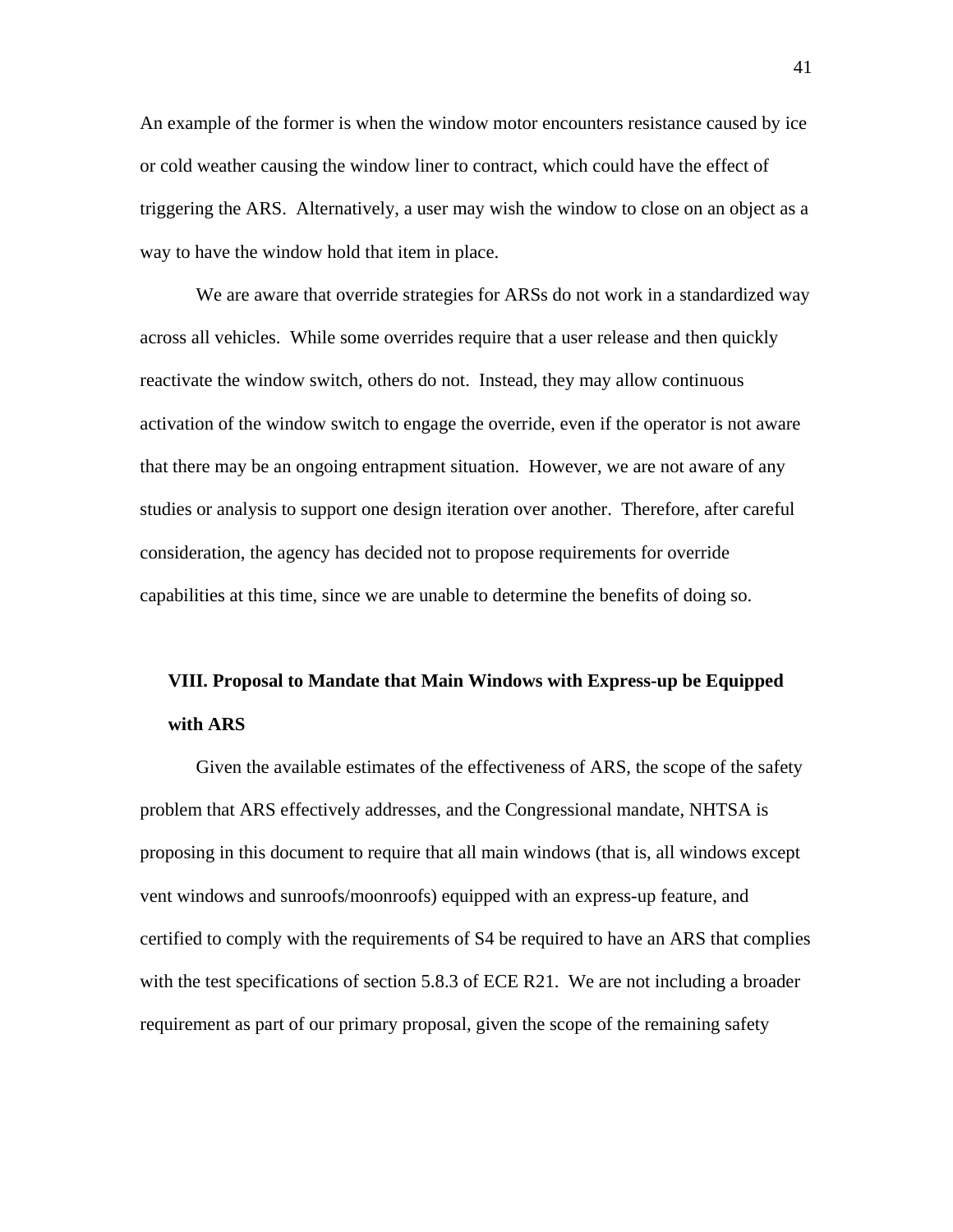An example of the former is when the window motor encounters resistance caused by ice or cold weather causing the window liner to contract, which could have the effect of triggering the ARS. Alternatively, a user may wish the window to close on an object as a way to have the window hold that item in place.

We are aware that override strategies for ARSs do not work in a standardized way across all vehicles. While some overrides require that a user release and then quickly reactivate the window switch, others do not. Instead, they may allow continuous activation of the window switch to engage the override, even if the operator is not aware that there may be an ongoing entrapment situation. However, we are not aware of any studies or analysis to support one design iteration over another. Therefore, after careful consideration, the agency has decided not to propose requirements for override capabilities at this time, since we are unable to determine the benefits of doing so.

# **VIII. Proposal to Mandate that Main Windows with Express-up be Equipped with ARS**

Given the available estimates of the effectiveness of ARS, the scope of the safety problem that ARS effectively addresses, and the Congressional mandate, NHTSA is proposing in this document to require that all main windows (that is, all windows except vent windows and sunroofs/moonroofs) equipped with an express-up feature, and certified to comply with the requirements of S4 be required to have an ARS that complies with the test specifications of section 5.8.3 of ECE R21. We are not including a broader requirement as part of our primary proposal, given the scope of the remaining safety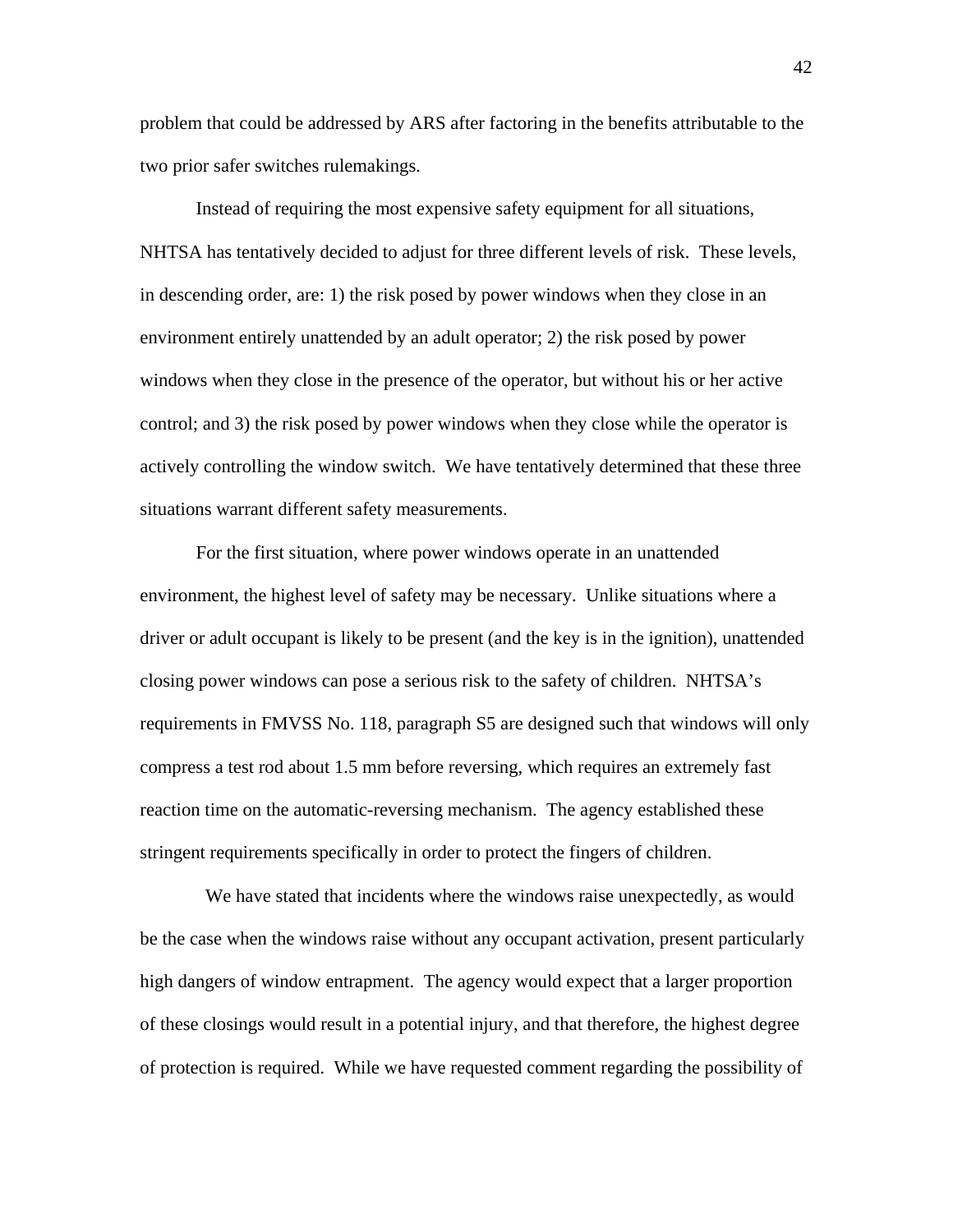problem that could be addressed by ARS after factoring in the benefits attributable to the two prior safer switches rulemakings.

Instead of requiring the most expensive safety equipment for all situations, NHTSA has tentatively decided to adjust for three different levels of risk. These levels, in descending order, are: 1) the risk posed by power windows when they close in an environment entirely unattended by an adult operator; 2) the risk posed by power windows when they close in the presence of the operator, but without his or her active control; and 3) the risk posed by power windows when they close while the operator is actively controlling the window switch. We have tentatively determined that these three situations warrant different safety measurements.

For the first situation, where power windows operate in an unattended environment, the highest level of safety may be necessary. Unlike situations where a driver or adult occupant is likely to be present (and the key is in the ignition), unattended closing power windows can pose a serious risk to the safety of children. NHTSA's requirements in FMVSS No. 118, paragraph S5 are designed such that windows will only compress a test rod about 1.5 mm before reversing, which requires an extremely fast reaction time on the automatic-reversing mechanism. The agency established these stringent requirements specifically in order to protect the fingers of children.

 We have stated that incidents where the windows raise unexpectedly, as would be the case when the windows raise without any occupant activation, present particularly high dangers of window entrapment. The agency would expect that a larger proportion of these closings would result in a potential injury, and that therefore, the highest degree of protection is required. While we have requested comment regarding the possibility of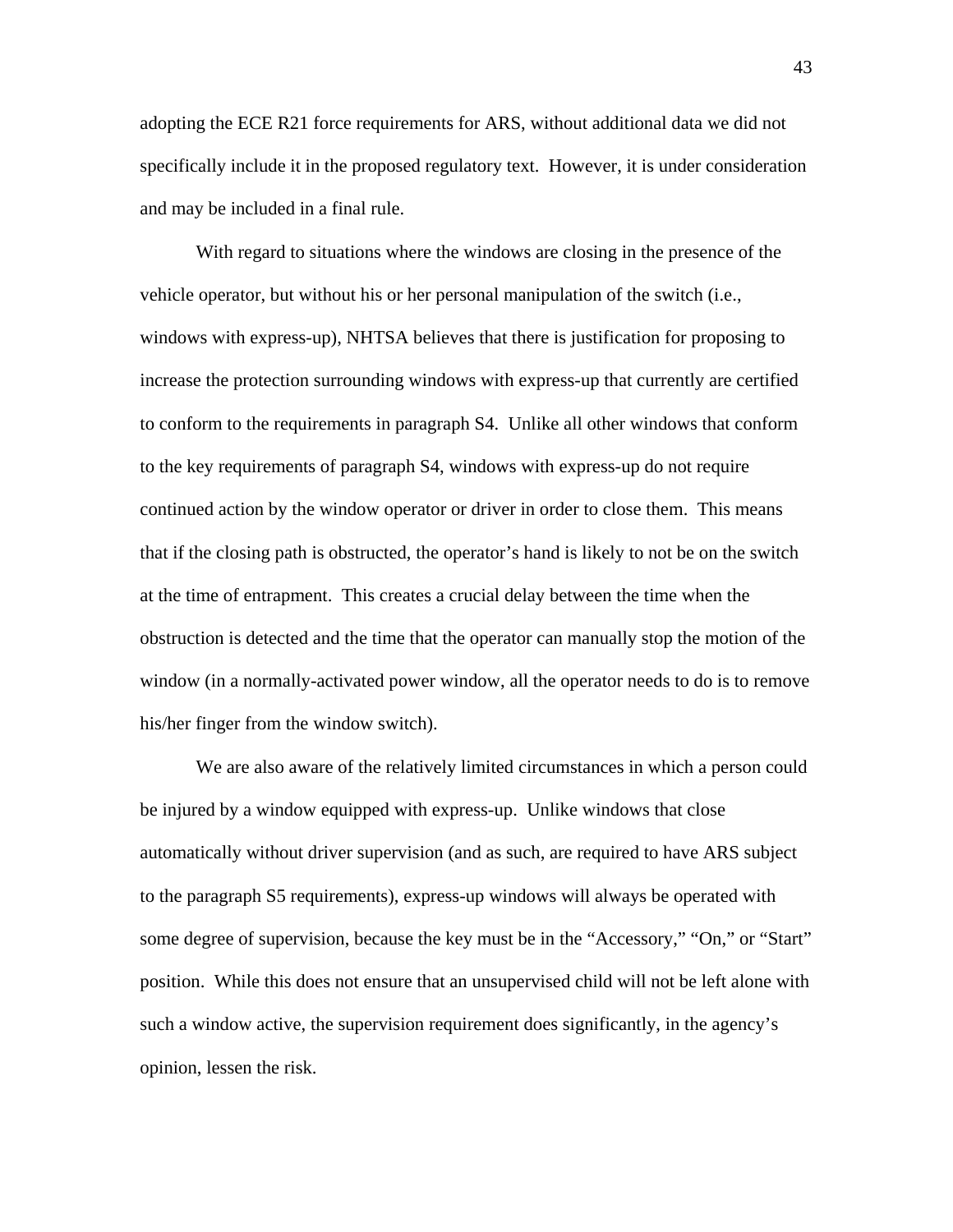adopting the ECE R21 force requirements for ARS, without additional data we did not specifically include it in the proposed regulatory text. However, it is under consideration and may be included in a final rule.

With regard to situations where the windows are closing in the presence of the vehicle operator, but without his or her personal manipulation of the switch (i.e., windows with express-up), NHTSA believes that there is justification for proposing to increase the protection surrounding windows with express-up that currently are certified to conform to the requirements in paragraph S4. Unlike all other windows that conform to the key requirements of paragraph S4, windows with express-up do not require continued action by the window operator or driver in order to close them. This means that if the closing path is obstructed, the operator's hand is likely to not be on the switch at the time of entrapment. This creates a crucial delay between the time when the obstruction is detected and the time that the operator can manually stop the motion of the window (in a normally-activated power window, all the operator needs to do is to remove his/her finger from the window switch).

We are also aware of the relatively limited circumstances in which a person could be injured by a window equipped with express-up. Unlike windows that close automatically without driver supervision (and as such, are required to have ARS subject to the paragraph S5 requirements), express-up windows will always be operated with some degree of supervision, because the key must be in the "Accessory," "On," or "Start" position. While this does not ensure that an unsupervised child will not be left alone with such a window active, the supervision requirement does significantly, in the agency's opinion, lessen the risk.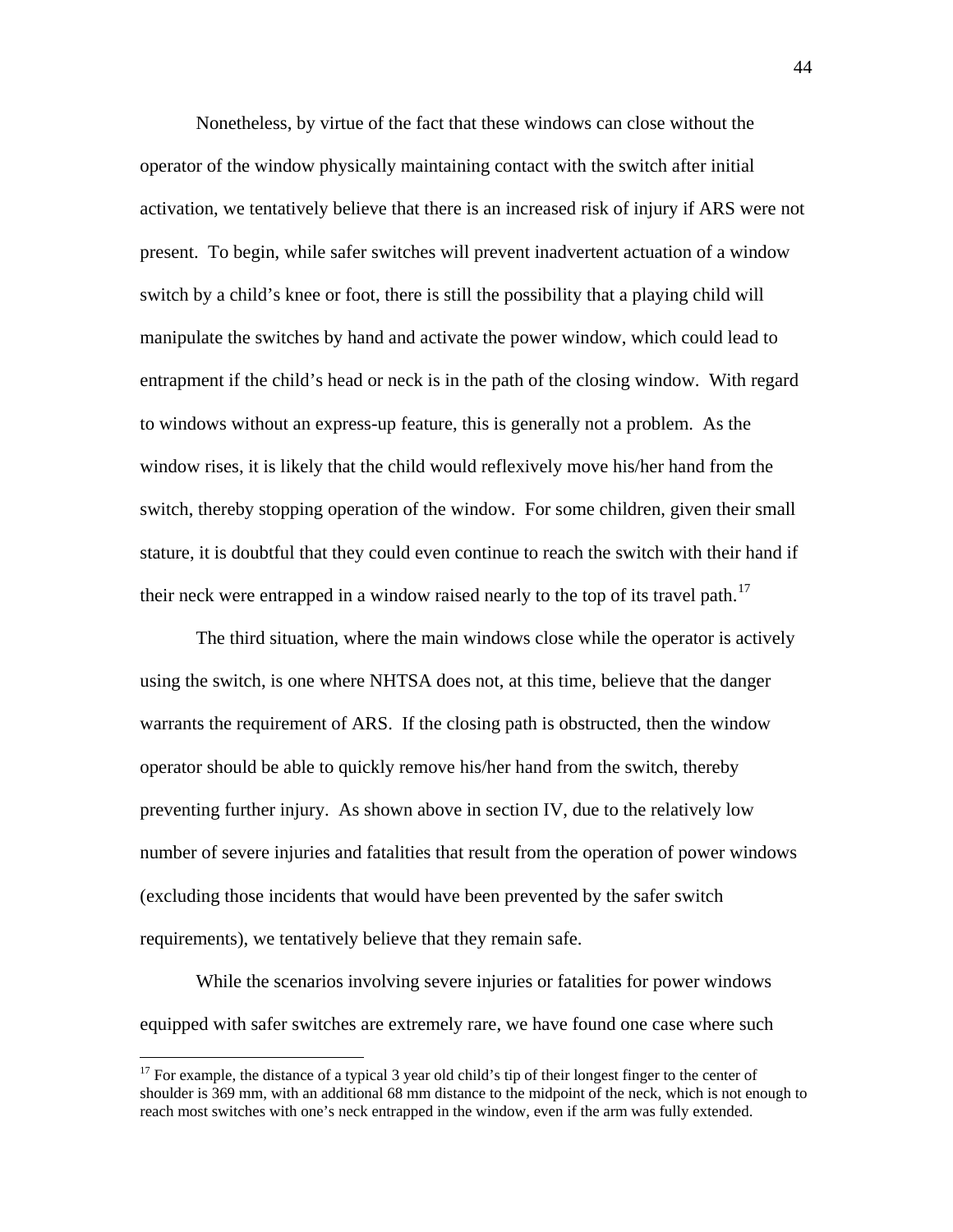Nonetheless, by virtue of the fact that these windows can close without the operator of the window physically maintaining contact with the switch after initial activation, we tentatively believe that there is an increased risk of injury if ARS were not present. To begin, while safer switches will prevent inadvertent actuation of a window switch by a child's knee or foot, there is still the possibility that a playing child will manipulate the switches by hand and activate the power window, which could lead to entrapment if the child's head or neck is in the path of the closing window. With regard to windows without an express-up feature, this is generally not a problem. As the window rises, it is likely that the child would reflexively move his/her hand from the switch, thereby stopping operation of the window. For some children, given their small stature, it is doubtful that they could even continue to reach the switch with their hand if their neck were entrapped in a window raised nearly to the top of its travel path.<sup>[17](#page-43-0)</sup>

The third situation, where the main windows close while the operator is actively using the switch, is one where NHTSA does not, at this time, believe that the danger warrants the requirement of ARS. If the closing path is obstructed, then the window operator should be able to quickly remove his/her hand from the switch, thereby preventing further injury. As shown above in section IV, due to the relatively low number of severe injuries and fatalities that result from the operation of power windows (excluding those incidents that would have been prevented by the safer switch requirements), we tentatively believe that they remain safe.

While the scenarios involving severe injuries or fatalities for power windows equipped with safer switches are extremely rare, we have found one case where such

<span id="page-43-0"></span> $17$  For example, the distance of a typical 3 year old child's tip of their longest finger to the center of shoulder is 369 mm, with an additional 68 mm distance to the midpoint of the neck, which is not enough to reach most switches with one's neck entrapped in the window, even if the arm was fully extended.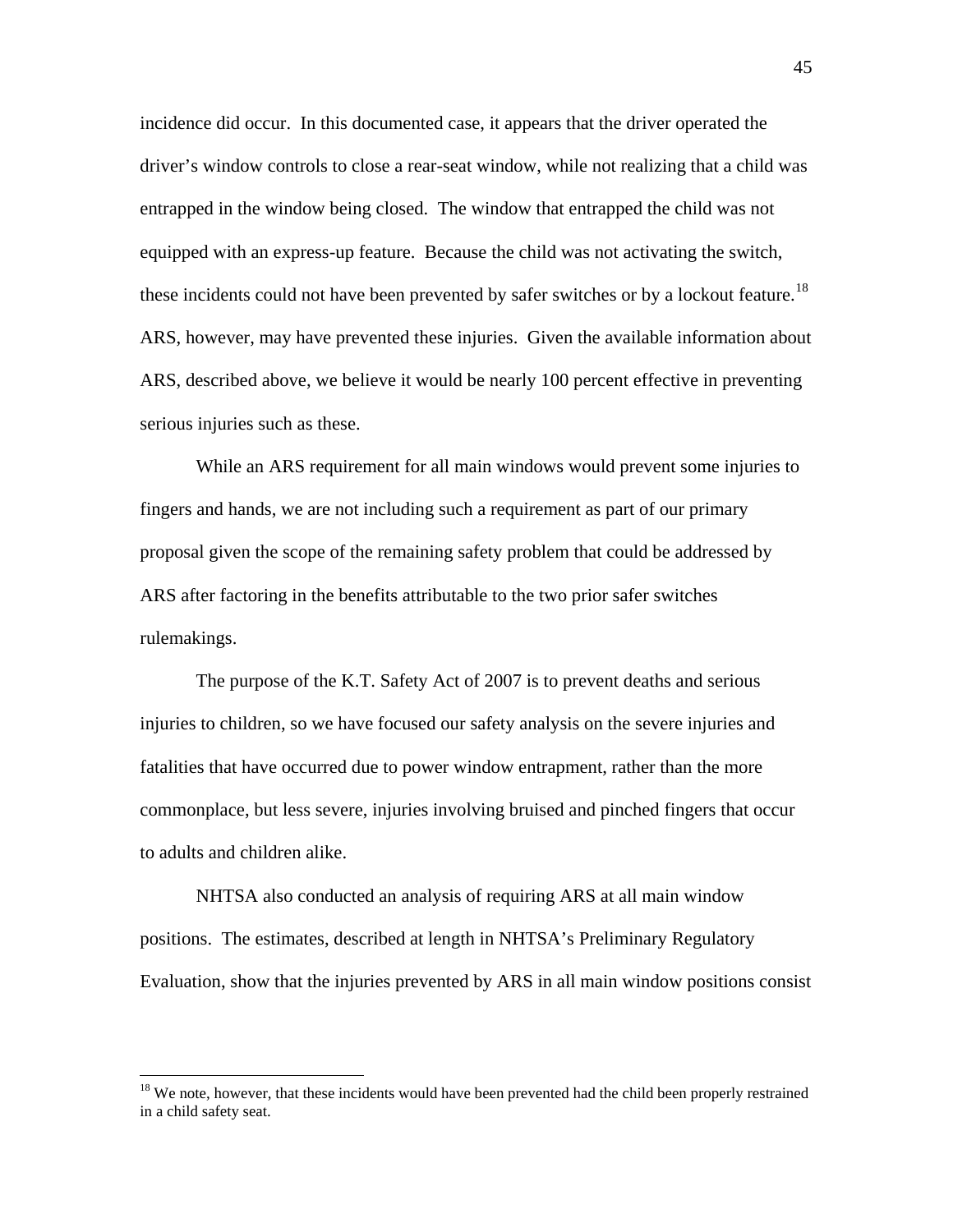incidence did occur. In this documented case, it appears that the driver operated the driver's window controls to close a rear-seat window, while not realizing that a child was entrapped in the window being closed. The window that entrapped the child was not equipped with an express-up feature. Because the child was not activating the switch, these incidents could not have been prevented by safer switches or by a lockout feature.<sup>[18](#page-44-0)</sup> ARS, however, may have prevented these injuries. Given the available information about ARS, described above, we believe it would be nearly 100 percent effective in preventing serious injuries such as these.

While an ARS requirement for all main windows would prevent some injuries to fingers and hands, we are not including such a requirement as part of our primary proposal given the scope of the remaining safety problem that could be addressed by ARS after factoring in the benefits attributable to the two prior safer switches rulemakings.

The purpose of the K.T. Safety Act of 2007 is to prevent deaths and serious injuries to children, so we have focused our safety analysis on the severe injuries and fatalities that have occurred due to power window entrapment, rather than the more commonplace, but less severe, injuries involving bruised and pinched fingers that occur to adults and children alike.

NHTSA also conducted an analysis of requiring ARS at all main window positions. The estimates, described at length in NHTSA's Preliminary Regulatory Evaluation, show that the injuries prevented by ARS in all main window positions consist

<span id="page-44-0"></span><sup>&</sup>lt;sup>18</sup> We note, however, that these incidents would have been prevented had the child been properly restrained in a child safety seat.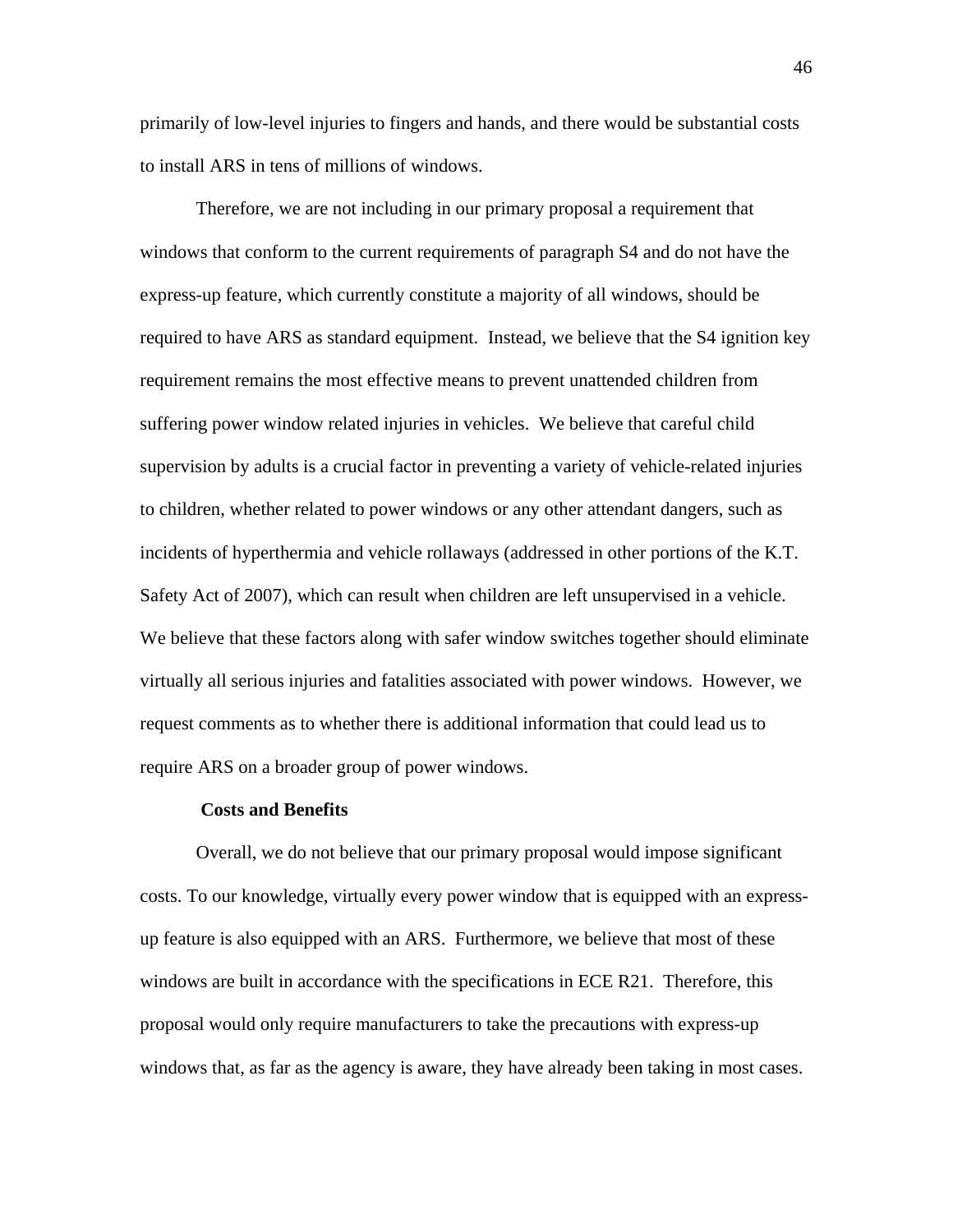primarily of low-level injuries to fingers and hands, and there would be substantial costs to install ARS in tens of millions of windows.

Therefore, we are not including in our primary proposal a requirement that windows that conform to the current requirements of paragraph S4 and do not have the express-up feature, which currently constitute a majority of all windows, should be required to have ARS as standard equipment. Instead, we believe that the S4 ignition key requirement remains the most effective means to prevent unattended children from suffering power window related injuries in vehicles. We believe that careful child supervision by adults is a crucial factor in preventing a variety of vehicle-related injuries to children, whether related to power windows or any other attendant dangers, such as incidents of hyperthermia and vehicle rollaways (addressed in other portions of the K.T. Safety Act of 2007), which can result when children are left unsupervised in a vehicle. We believe that these factors along with safer window switches together should eliminate virtually all serious injuries and fatalities associated with power windows. However, we request comments as to whether there is additional information that could lead us to require ARS on a broader group of power windows.

#### **Costs and Benefits**

Overall, we do not believe that our primary proposal would impose significant costs. To our knowledge, virtually every power window that is equipped with an expressup feature is also equipped with an ARS. Furthermore, we believe that most of these windows are built in accordance with the specifications in ECE R21. Therefore, this proposal would only require manufacturers to take the precautions with express-up windows that, as far as the agency is aware, they have already been taking in most cases.

46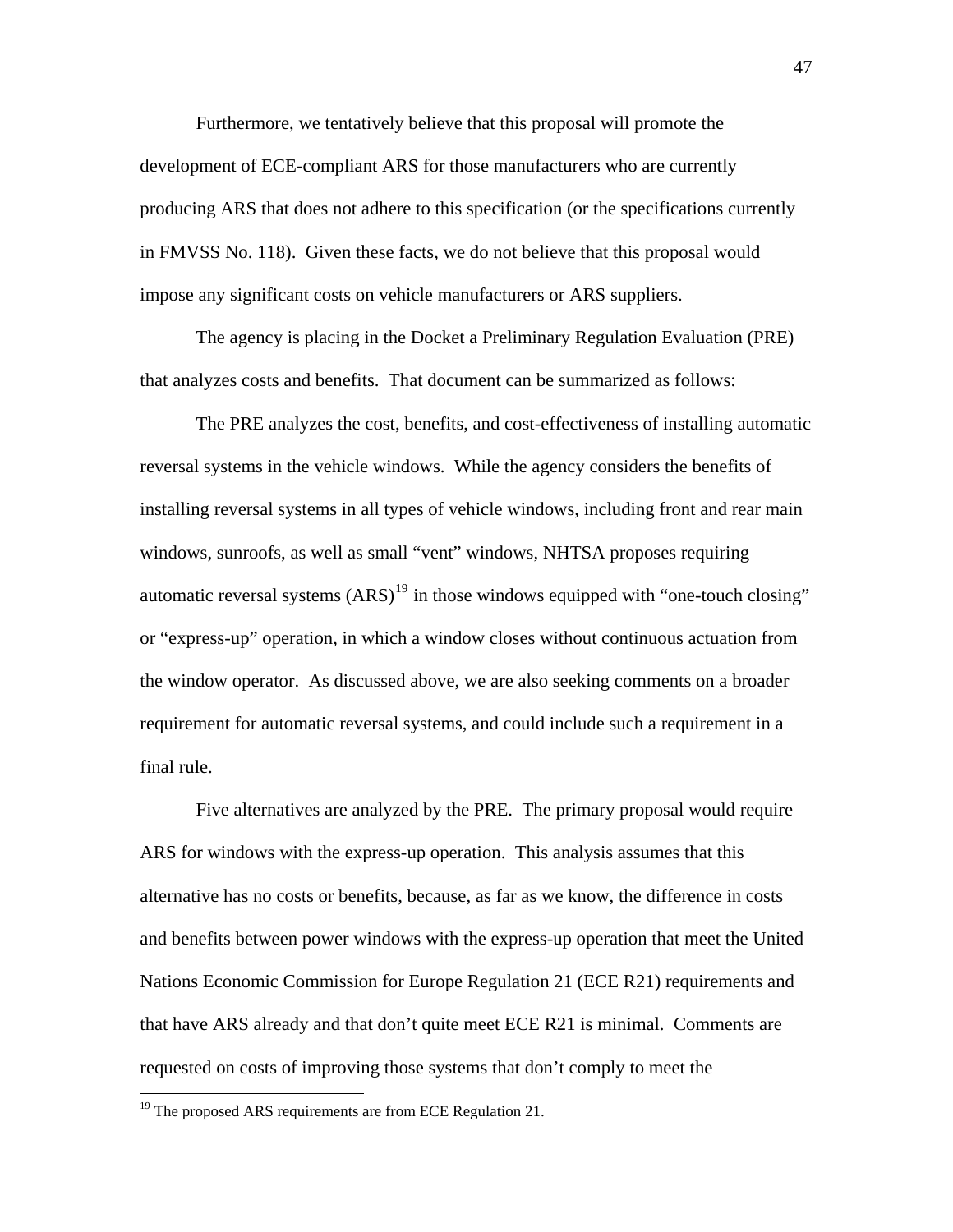Furthermore, we tentatively believe that this proposal will promote the development of ECE-compliant ARS for those manufacturers who are currently producing ARS that does not adhere to this specification (or the specifications currently in FMVSS No. 118). Given these facts, we do not believe that this proposal would impose any significant costs on vehicle manufacturers or ARS suppliers.

The agency is placing in the Docket a Preliminary Regulation Evaluation (PRE) that analyzes costs and benefits. That document can be summarized as follows:

The PRE analyzes the cost, benefits, and cost-effectiveness of installing automatic reversal systems in the vehicle windows. While the agency considers the benefits of installing reversal systems in all types of vehicle windows, including front and rear main windows, sunroofs, as well as small "vent" windows, NHTSA proposes requiring automatic reversal systems  $(ARS)^{19}$  $(ARS)^{19}$  $(ARS)^{19}$  in those windows equipped with "one-touch closing" or "express-up" operation, in which a window closes without continuous actuation from the window operator. As discussed above, we are also seeking comments on a broader requirement for automatic reversal systems, and could include such a requirement in a final rule.

Five alternatives are analyzed by the PRE. The primary proposal would require ARS for windows with the express-up operation. This analysis assumes that this alternative has no costs or benefits, because, as far as we know, the difference in costs and benefits between power windows with the express-up operation that meet the United Nations Economic Commission for Europe Regulation 21 (ECE R21) requirements and that have ARS already and that don't quite meet ECE R21 is minimal. Comments are requested on costs of improving those systems that don't comply to meet the

<span id="page-46-0"></span><sup>&</sup>lt;sup>19</sup> The proposed ARS requirements are from ECE Regulation 21.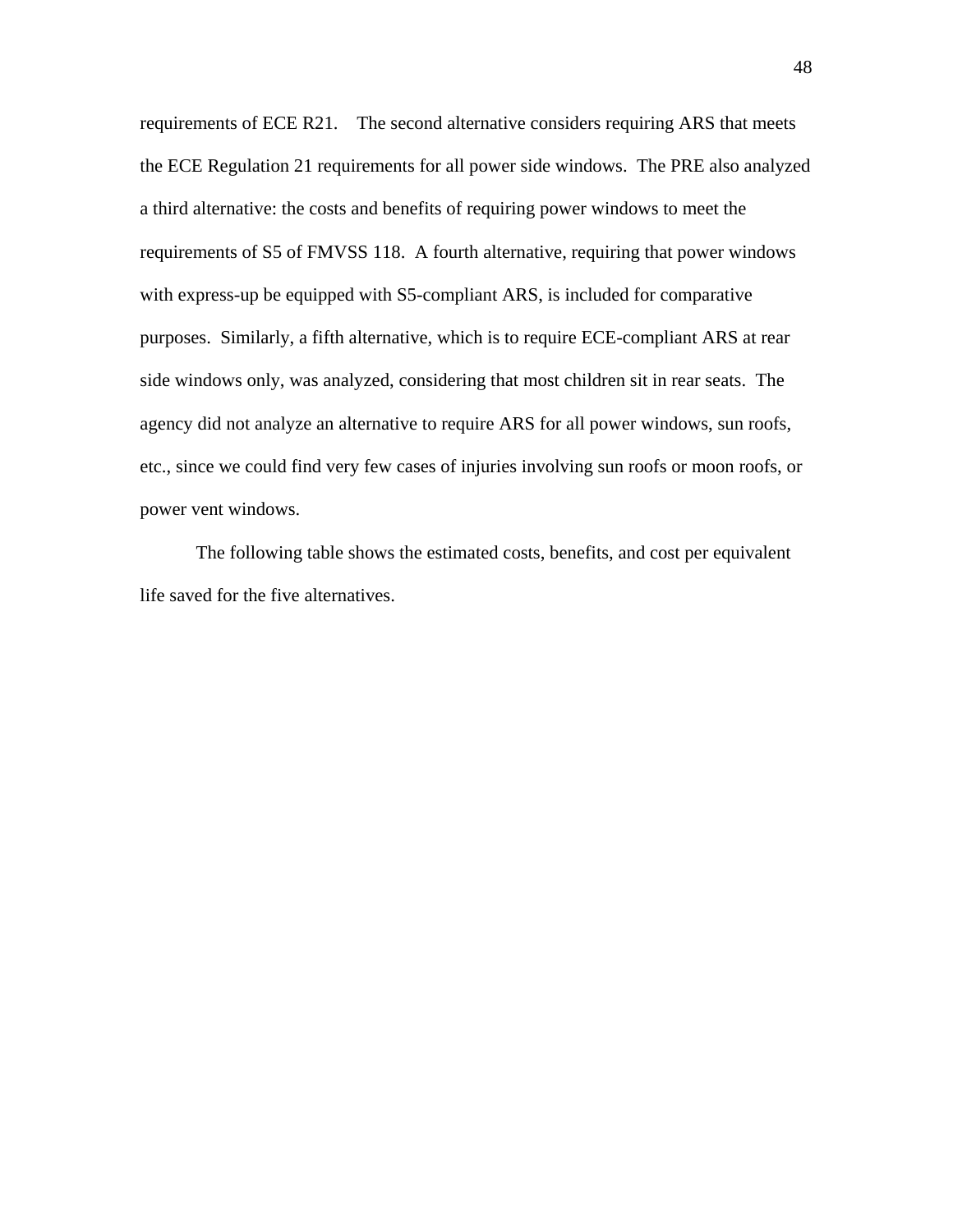requirements of ECE R21. The second alternative considers requiring ARS that meets the ECE Regulation 21 requirements for all power side windows. The PRE also analyzed a third alternative: the costs and benefits of requiring power windows to meet the requirements of S5 of FMVSS 118. A fourth alternative, requiring that power windows with express-up be equipped with S5-compliant ARS, is included for comparative purposes. Similarly, a fifth alternative, which is to require ECE-compliant ARS at rear side windows only, was analyzed, considering that most children sit in rear seats. The agency did not analyze an alternative to require ARS for all power windows, sun roofs, etc., since we could find very few cases of injuries involving sun roofs or moon roofs, or power vent windows.

The following table shows the estimated costs, benefits, and cost per equivalent life saved for the five alternatives.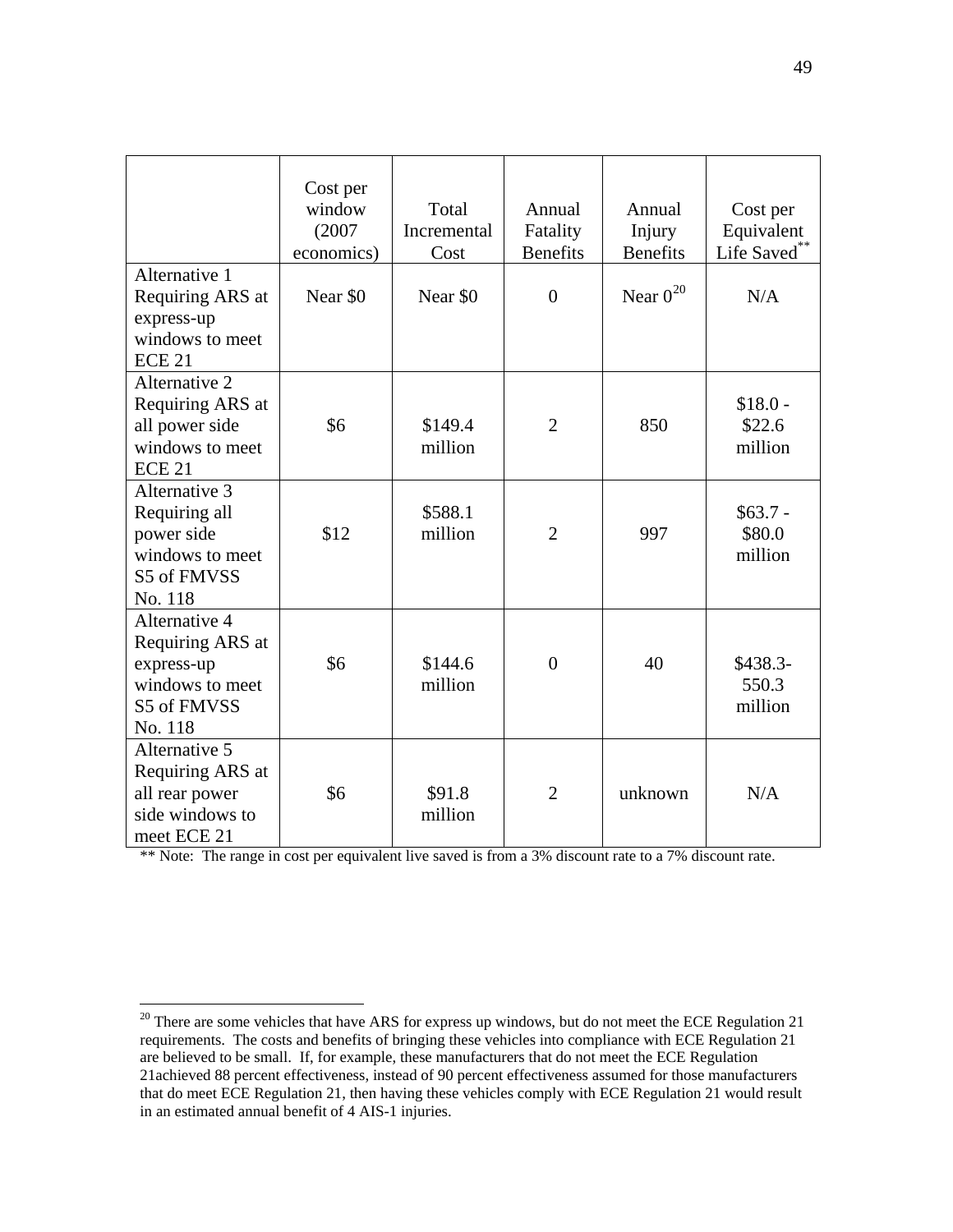|                                                                                              | Cost per<br>window<br>(2007)<br>economics) | Total<br>Incremental<br>Cost | Annual<br>Fatality<br><b>Benefits</b> | Annual<br>Injury<br><b>Benefits</b> | Cost per<br>Equivalent<br>Life Saved** |
|----------------------------------------------------------------------------------------------|--------------------------------------------|------------------------------|---------------------------------------|-------------------------------------|----------------------------------------|
| Alternative 1<br>Requiring ARS at<br>express-up<br>windows to meet<br>ECE <sub>21</sub>      | Near \$0                                   | Near \$0                     | $\overline{0}$                        | Near $0^{20}$                       | N/A                                    |
| Alternative 2<br>Requiring ARS at<br>all power side<br>windows to meet<br>ECE <sub>21</sub>  | \$6                                        | \$149.4<br>million           | $\overline{2}$                        | 850                                 | $$18.0 -$<br>\$22.6<br>million         |
| Alternative 3<br>Requiring all<br>power side<br>windows to meet<br>S5 of FMVSS<br>No. 118    | \$12                                       | \$588.1<br>million           | $\overline{2}$                        | 997                                 | $$63.7 -$<br>\$80.0<br>million         |
| Alternative 4<br>Requiring ARS at<br>express-up<br>windows to meet<br>S5 of FMVSS<br>No. 118 | \$6                                        | \$144.6<br>million           | $\overline{0}$                        | 40                                  | $$438.3-$<br>550.3<br>million          |
| Alternative 5<br>Requiring ARS at<br>all rear power<br>side windows to<br>meet ECE 21        | \$6                                        | \$91.8<br>million            | $\overline{2}$                        | unknown                             | N/A                                    |

\*\* Note: The range in cost per equivalent live saved is from a 3% discount rate to a 7% discount rate.

<span id="page-48-0"></span> $20$  There are some vehicles that have ARS for express up windows, but do not meet the ECE Regulation 21 requirements. The costs and benefits of bringing these vehicles into compliance with ECE Regulation 21 are believed to be small. If, for example, these manufacturers that do not meet the ECE Regulation 21achieved 88 percent effectiveness, instead of 90 percent effectiveness assumed for those manufacturers that do meet ECE Regulation 21, then having these vehicles comply with ECE Regulation 21 would result in an estimated annual benefit of 4 AIS-1 injuries.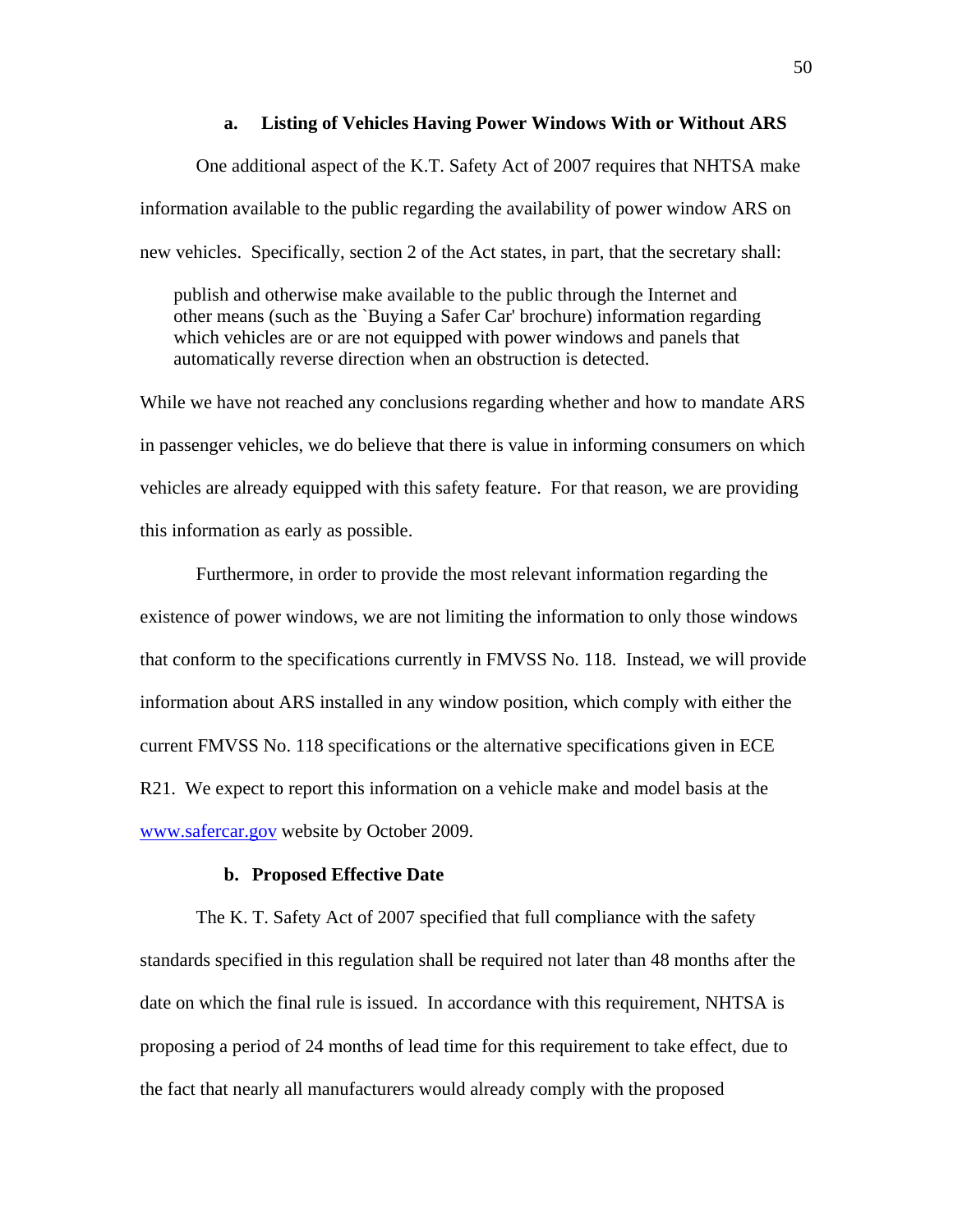# **a. Listing of Vehicles Having Power Windows With or Without ARS**

One additional aspect of the K.T. Safety Act of 2007 requires that NHTSA make information available to the public regarding the availability of power window ARS on new vehicles. Specifically, section 2 of the Act states, in part, that the secretary shall:

publish and otherwise make available to the public through the Internet and other means (such as the `Buying a Safer Car' brochure) information regarding which vehicles are or are not equipped with power windows and panels that automatically reverse direction when an obstruction is detected.

While we have not reached any conclusions regarding whether and how to mandate ARS in passenger vehicles, we do believe that there is value in informing consumers on which vehicles are already equipped with this safety feature. For that reason, we are providing this information as early as possible.

Furthermore, in order to provide the most relevant information regarding the existence of power windows, we are not limiting the information to only those windows that conform to the specifications currently in FMVSS No. 118. Instead, we will provide information about ARS installed in any window position, which comply with either the current FMVSS No. 118 specifications or the alternative specifications given in ECE R21. We expect to report this information on a vehicle make and model basis at the [www.safercar.gov](http://www.safercar.gov/) website by October 2009.

# **b. Proposed Effective Date**

The K. T. Safety Act of 2007 specified that full compliance with the safety standards specified in this regulation shall be required not later than 48 months after the date on which the final rule is issued. In accordance with this requirement, NHTSA is proposing a period of 24 months of lead time for this requirement to take effect, due to the fact that nearly all manufacturers would already comply with the proposed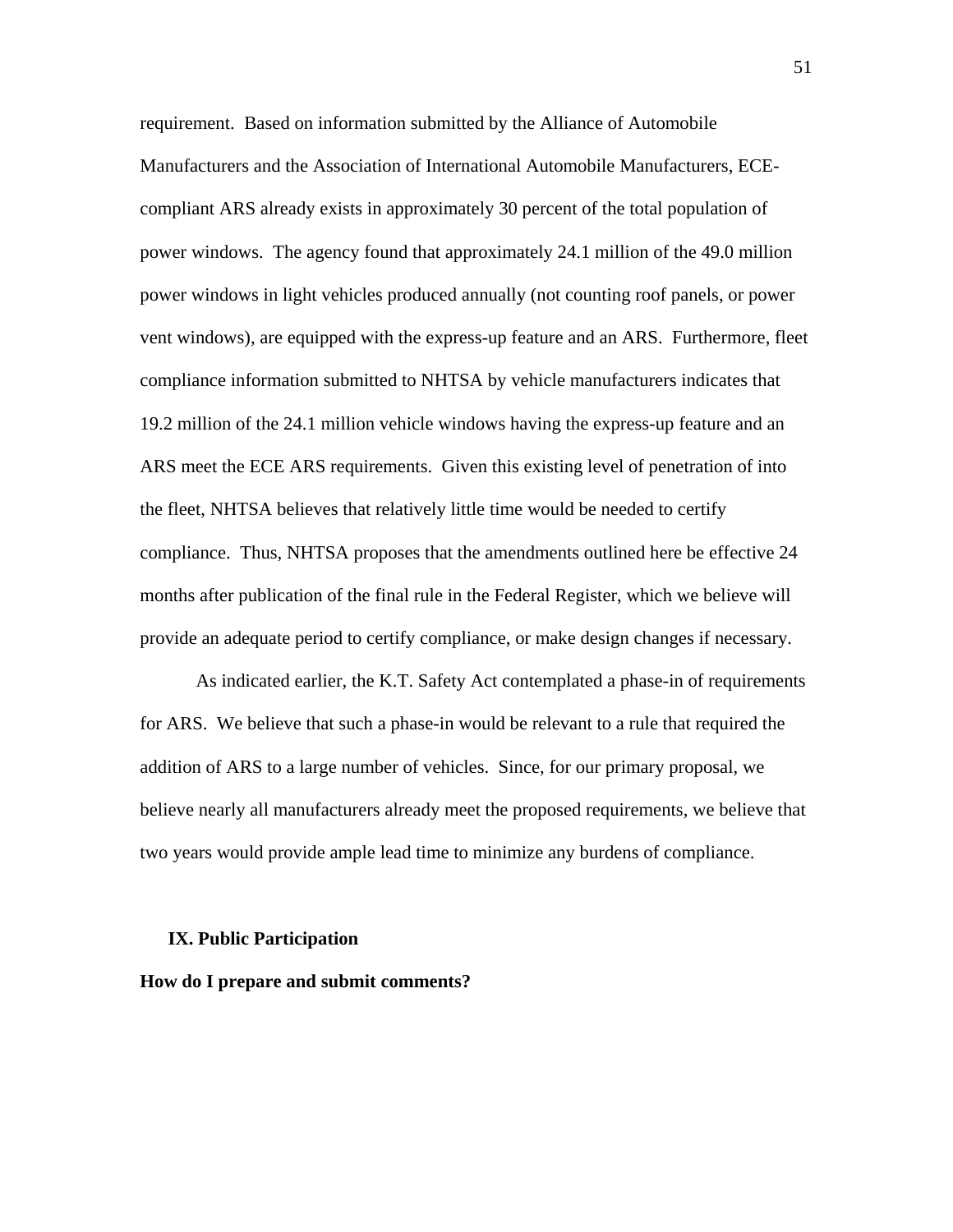requirement. Based on information submitted by the Alliance of Automobile Manufacturers and the Association of International Automobile Manufacturers, ECEcompliant ARS already exists in approximately 30 percent of the total population of power windows. The agency found that approximately 24.1 million of the 49.0 million power windows in light vehicles produced annually (not counting roof panels, or power vent windows), are equipped with the express-up feature and an ARS. Furthermore, fleet compliance information submitted to NHTSA by vehicle manufacturers indicates that 19.2 million of the 24.1 million vehicle windows having the express-up feature and an ARS meet the ECE ARS requirements. Given this existing level of penetration of into the fleet, NHTSA believes that relatively little time would be needed to certify compliance. Thus, NHTSA proposes that the amendments outlined here be effective 24 months after publication of the final rule in the Federal Register, which we believe will provide an adequate period to certify compliance, or make design changes if necessary.

As indicated earlier, the K.T. Safety Act contemplated a phase-in of requirements for ARS. We believe that such a phase-in would be relevant to a rule that required the addition of ARS to a large number of vehicles. Since, for our primary proposal, we believe nearly all manufacturers already meet the proposed requirements, we believe that two years would provide ample lead time to minimize any burdens of compliance.

#### **IX. Public Participation**

#### **How do I prepare and submit comments?**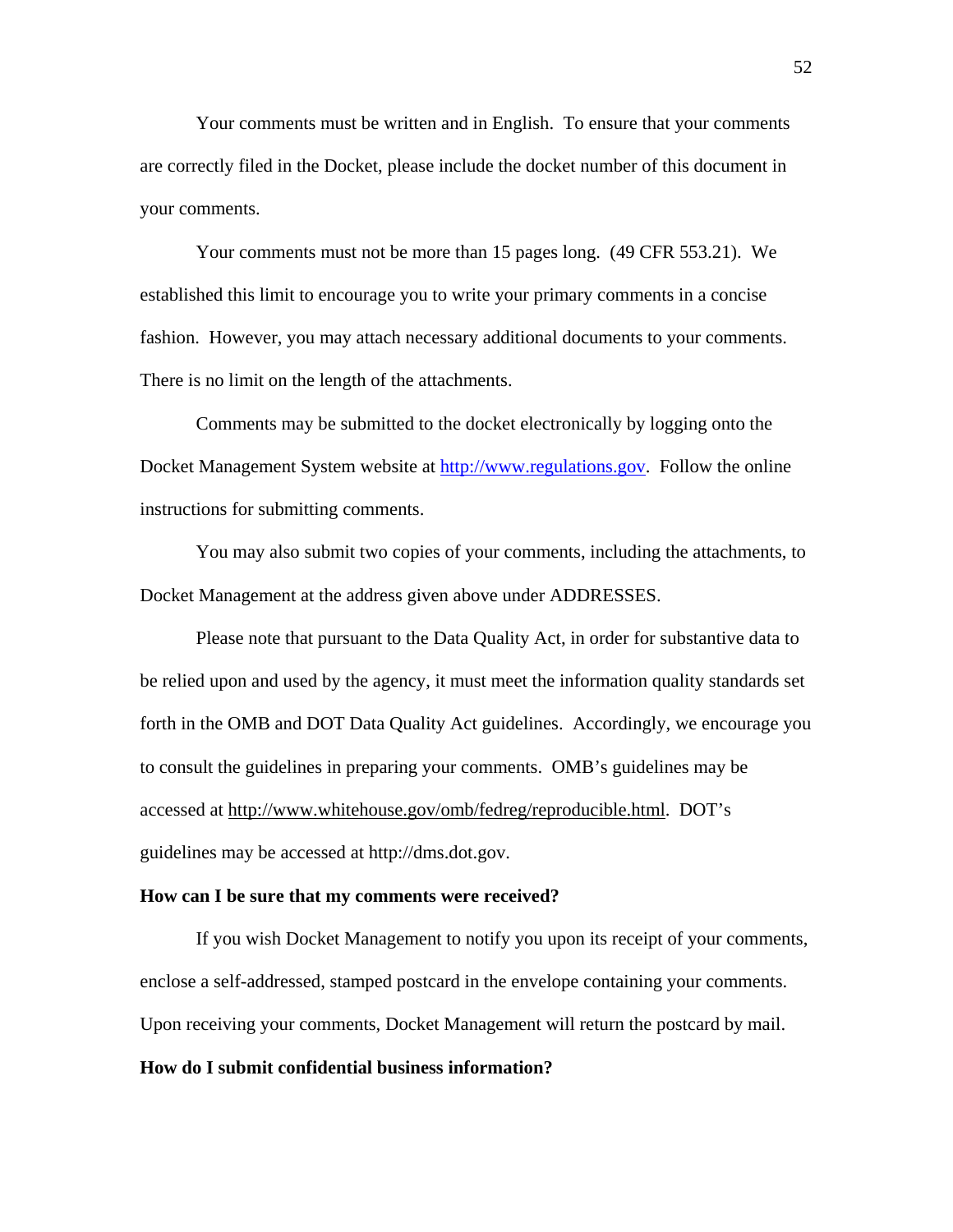Your comments must be written and in English. To ensure that your comments are correctly filed in the Docket, please include the docket number of this document in your comments.

 Your comments must not be more than 15 pages long. (49 CFR 553.21). We established this limit to encourage you to write your primary comments in a concise fashion. However, you may attach necessary additional documents to your comments. There is no limit on the length of the attachments.

 Comments may be submitted to the docket electronically by logging onto the Docket Management System website at [http://www.regulations.gov.](http://www.regulations.gov/) Follow the online instructions for submitting comments.

You may also submit two copies of your comments, including the attachments, to Docket Management at the address given above under ADDRESSES.

 Please note that pursuant to the Data Quality Act, in order for substantive data to be relied upon and used by the agency, it must meet the information quality standards set forth in the OMB and DOT Data Quality Act guidelines. Accordingly, we encourage you to consult the guidelines in preparing your comments. OMB's guidelines may be accessed at http://www.whitehouse.gov/omb/fedreg/reproducible.html. DOT's guidelines may be accessed at http://dms.dot.gov.

#### **How can I be sure that my comments were received?**

 If you wish Docket Management to notify you upon its receipt of your comments, enclose a self-addressed, stamped postcard in the envelope containing your comments. Upon receiving your comments, Docket Management will return the postcard by mail.

#### **How do I submit confidential business information?**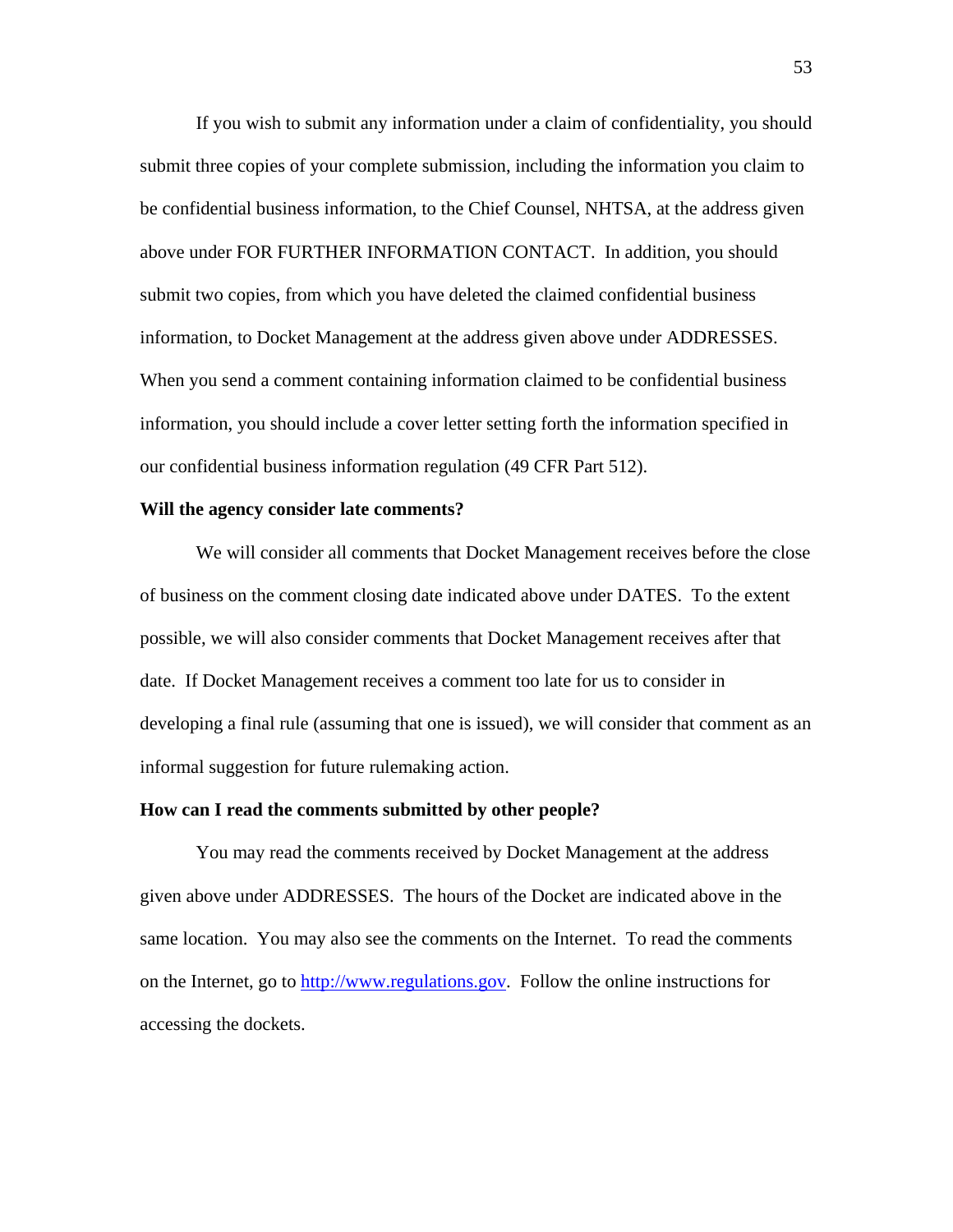If you wish to submit any information under a claim of confidentiality, you should submit three copies of your complete submission, including the information you claim to be confidential business information, to the Chief Counsel, NHTSA, at the address given above under FOR FURTHER INFORMATION CONTACT. In addition, you should submit two copies, from which you have deleted the claimed confidential business information, to Docket Management at the address given above under ADDRESSES. When you send a comment containing information claimed to be confidential business information, you should include a cover letter setting forth the information specified in our confidential business information regulation (49 CFR Part 512).

#### **Will the agency consider late comments?**

 We will consider all comments that Docket Management receives before the close of business on the comment closing date indicated above under DATES. To the extent possible, we will also consider comments that Docket Management receives after that date. If Docket Management receives a comment too late for us to consider in developing a final rule (assuming that one is issued), we will consider that comment as an informal suggestion for future rulemaking action.

# **How can I read the comments submitted by other people?**

 You may read the comments received by Docket Management at the address given above under ADDRESSES. The hours of the Docket are indicated above in the same location. You may also see the comments on the Internet. To read the comments on the Internet, go to [http://www.regulations.gov](http://www.regulations.gov/). Follow the online instructions for accessing the dockets.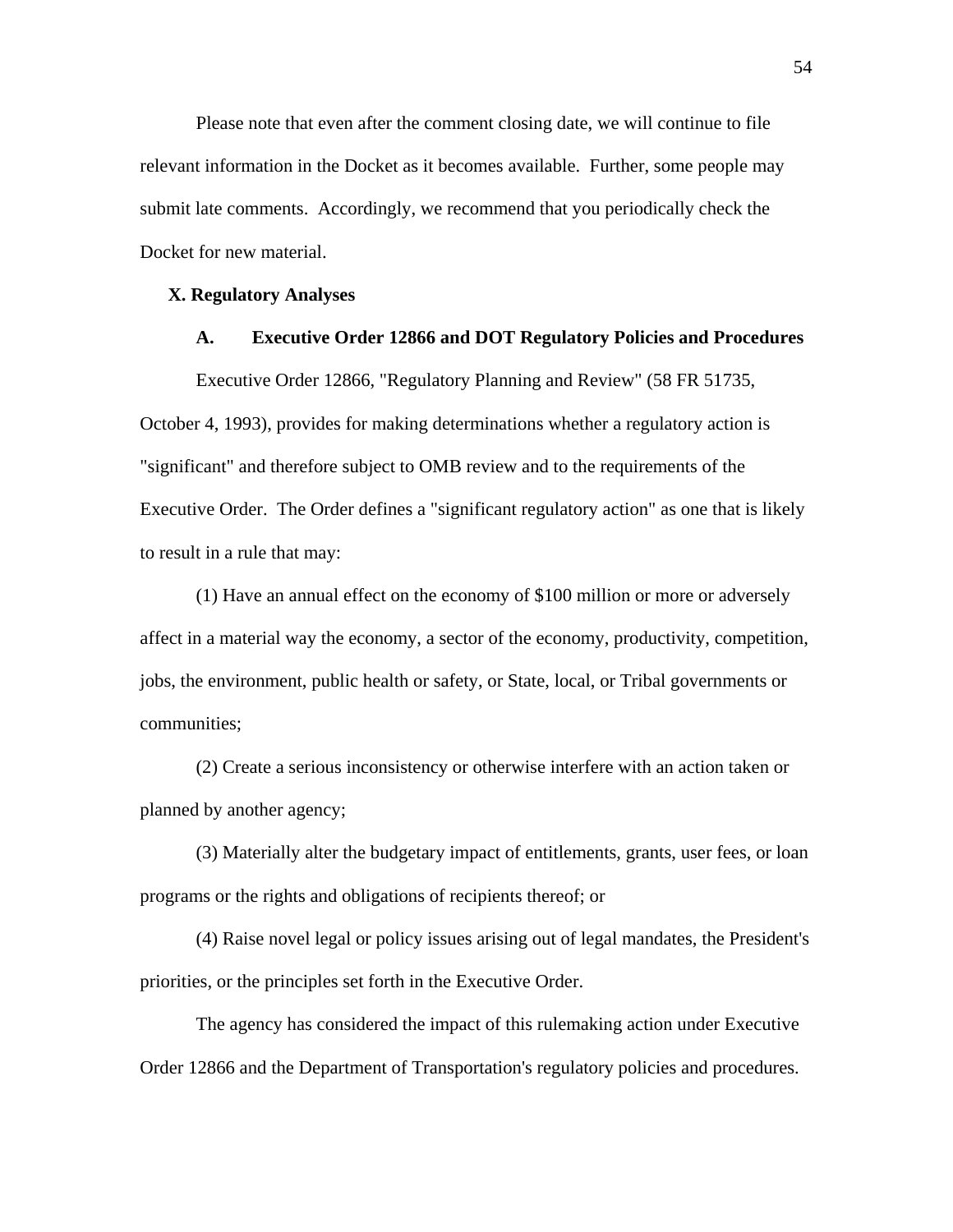Please note that even after the comment closing date, we will continue to file relevant information in the Docket as it becomes available. Further, some people may submit late comments. Accordingly, we recommend that you periodically check the Docket for new material.

#### **X. Regulatory Analyses**

# **A. Executive Order 12866 and DOT Regulatory Policies and Procedures**

Executive Order 12866, "Regulatory Planning and Review" (58 FR 51735, October 4, 1993), provides for making determinations whether a regulatory action is "significant" and therefore subject to OMB review and to the requirements of the Executive Order. The Order defines a "significant regulatory action" as one that is likely to result in a rule that may:

(1) Have an annual effect on the economy of \$100 million or more or adversely affect in a material way the economy, a sector of the economy, productivity, competition, jobs, the environment, public health or safety, or State, local, or Tribal governments or communities;

(2) Create a serious inconsistency or otherwise interfere with an action taken or planned by another agency;

(3) Materially alter the budgetary impact of entitlements, grants, user fees, or loan programs or the rights and obligations of recipients thereof; or

(4) Raise novel legal or policy issues arising out of legal mandates, the President's priorities, or the principles set forth in the Executive Order.

The agency has considered the impact of this rulemaking action under Executive Order 12866 and the Department of Transportation's regulatory policies and procedures.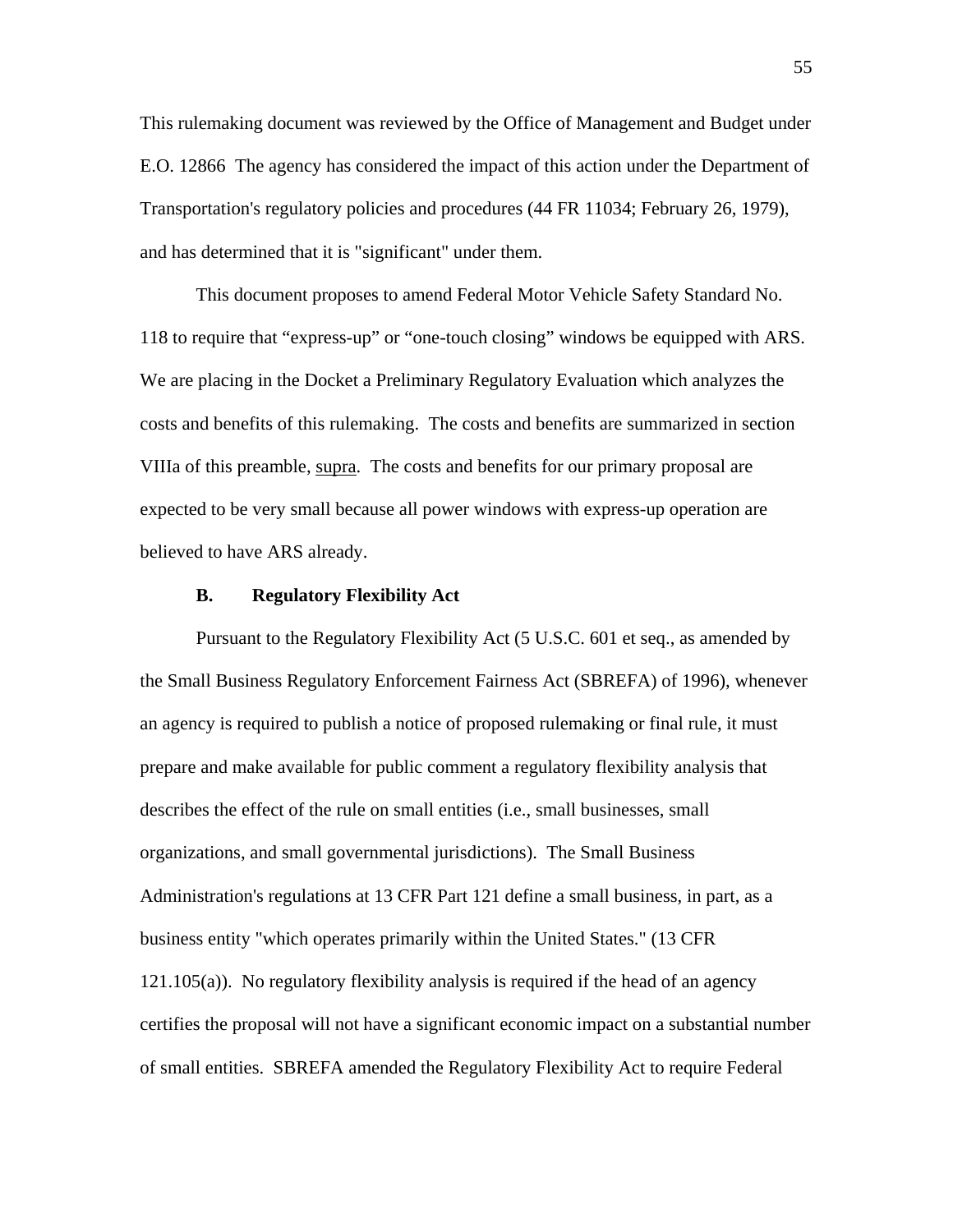This rulemaking document was reviewed by the Office of Management and Budget under E.O. 12866 The agency has considered the impact of this action under the Department of Transportation's regulatory policies and procedures (44 FR 11034; February 26, 1979), and has determined that it is "significant" under them.

This document proposes to amend Federal Motor Vehicle Safety Standard No. 118 to require that "express-up" or "one-touch closing" windows be equipped with ARS. We are placing in the Docket a Preliminary Regulatory Evaluation which analyzes the costs and benefits of this rulemaking. The costs and benefits are summarized in section VIIIa of this preamble, supra. The costs and benefits for our primary proposal are expected to be very small because all power windows with express-up operation are believed to have ARS already.

# **B. Regulatory Flexibility Act**

Pursuant to the Regulatory Flexibility Act (5 U.S.C. 601 et seq., as amended by the Small Business Regulatory Enforcement Fairness Act (SBREFA) of 1996), whenever an agency is required to publish a notice of proposed rulemaking or final rule, it must prepare and make available for public comment a regulatory flexibility analysis that describes the effect of the rule on small entities (i.e., small businesses, small organizations, and small governmental jurisdictions). The Small Business Administration's regulations at 13 CFR Part 121 define a small business, in part, as a business entity "which operates primarily within the United States." (13 CFR 121.105(a)). No regulatory flexibility analysis is required if the head of an agency certifies the proposal will not have a significant economic impact on a substantial number of small entities. SBREFA amended the Regulatory Flexibility Act to require Federal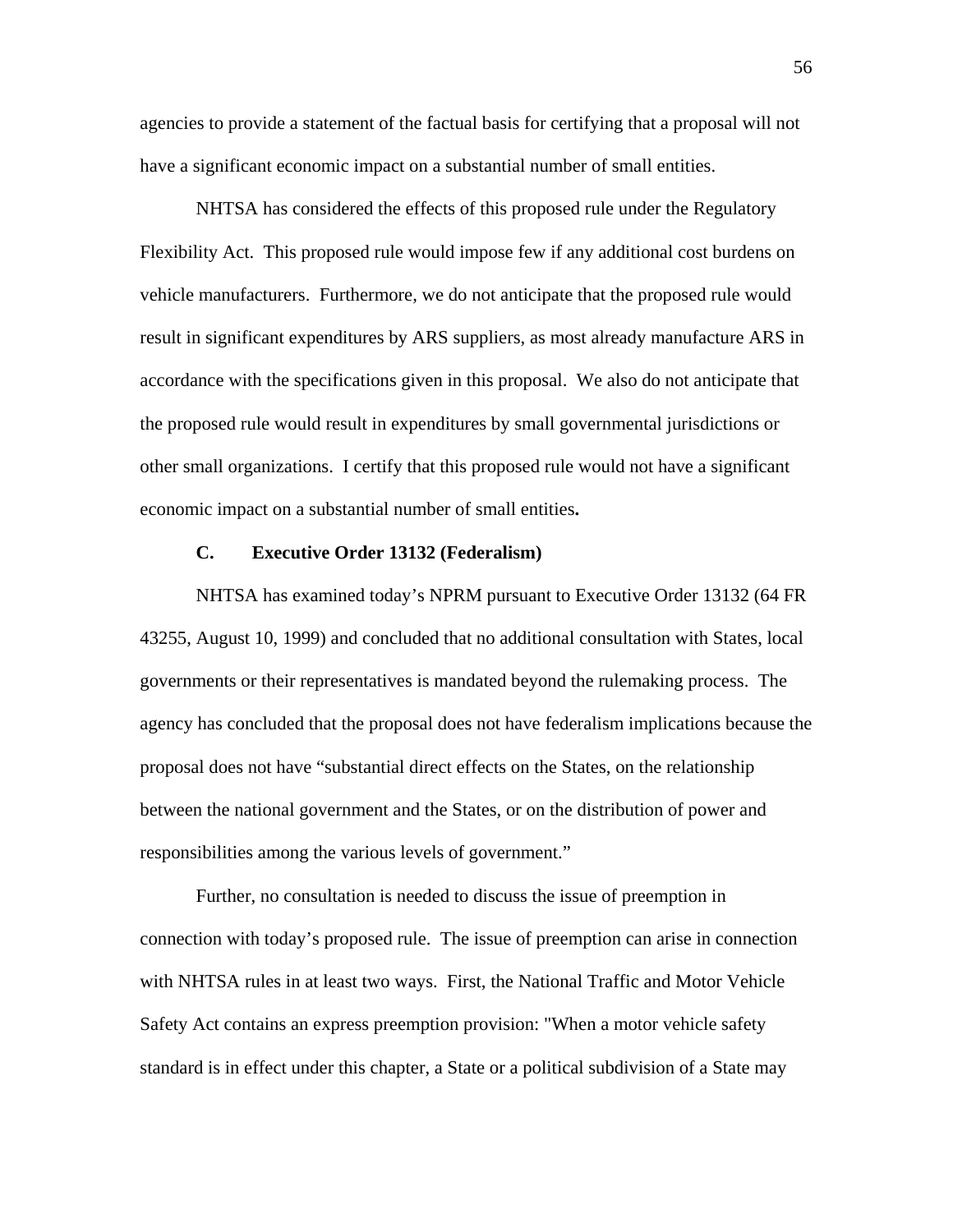agencies to provide a statement of the factual basis for certifying that a proposal will not have a significant economic impact on a substantial number of small entities.

NHTSA has considered the effects of this proposed rule under the Regulatory Flexibility Act. This proposed rule would impose few if any additional cost burdens on vehicle manufacturers. Furthermore, we do not anticipate that the proposed rule would result in significant expenditures by ARS suppliers, as most already manufacture ARS in accordance with the specifications given in this proposal. We also do not anticipate that the proposed rule would result in expenditures by small governmental jurisdictions or other small organizations. I certify that this proposed rule would not have a significant economic impact on a substantial number of small entities**.** 

## **C. Executive Order 13132 (Federalism)**

 NHTSA has examined today's NPRM pursuant to Executive Order 13132 (64 FR 43255, August 10, 1999) and concluded that no additional consultation with States, local governments or their representatives is mandated beyond the rulemaking process. The agency has concluded that the proposal does not have federalism implications because the proposal does not have "substantial direct effects on the States, on the relationship between the national government and the States, or on the distribution of power and responsibilities among the various levels of government."

Further, no consultation is needed to discuss the issue of preemption in connection with today's proposed rule. The issue of preemption can arise in connection with NHTSA rules in at least two ways. First, the National Traffic and Motor Vehicle Safety Act contains an express preemption provision: "When a motor vehicle safety standard is in effect under this chapter, a State or a political subdivision of a State may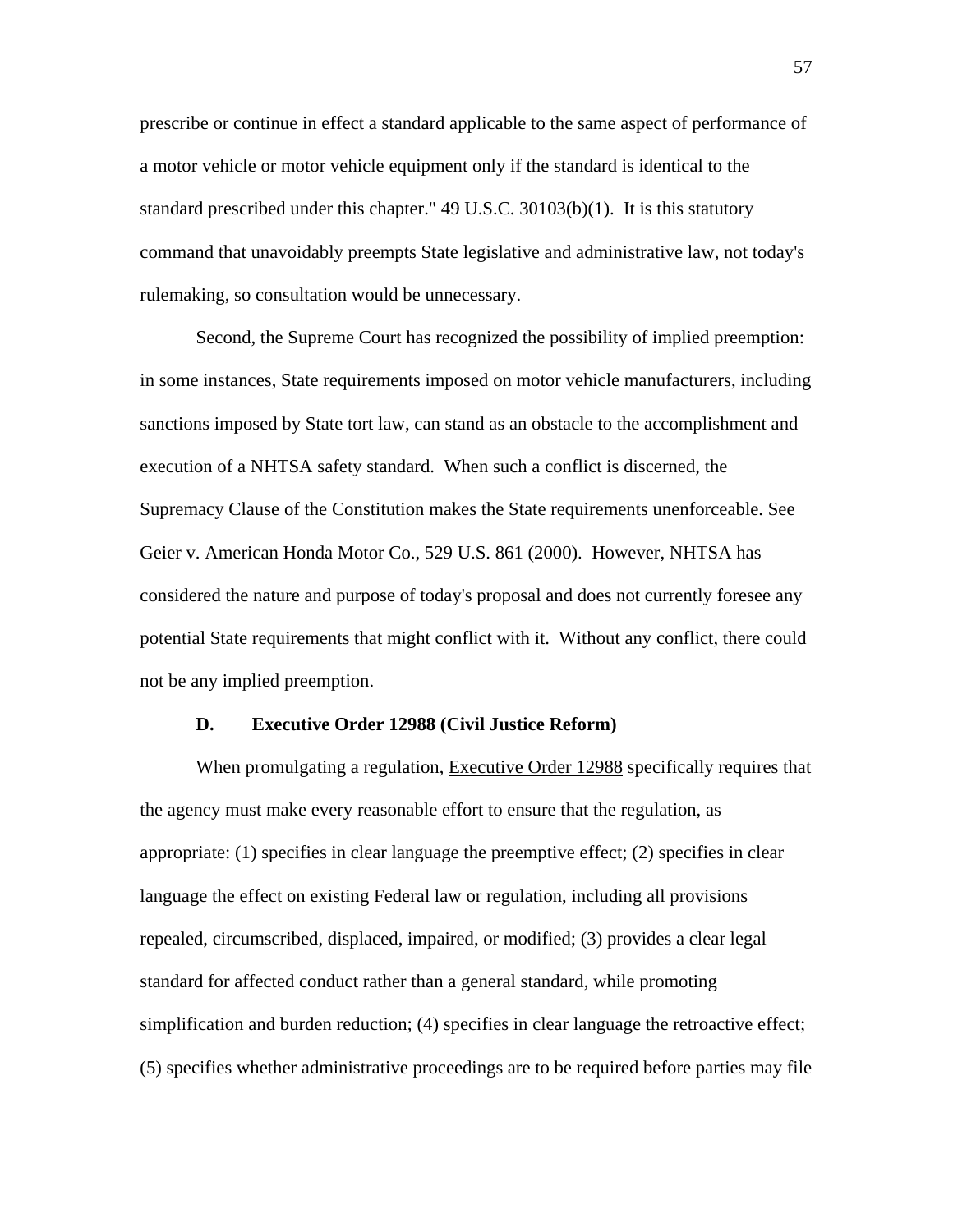prescribe or continue in effect a standard applicable to the same aspect of performance of a motor vehicle or motor vehicle equipment only if the standard is identical to the standard prescribed under this chapter." 49 U.S.C. 30103(b)(1). It is this statutory command that unavoidably preempts State legislative and administrative law, not today's rulemaking, so consultation would be unnecessary.

Second, the Supreme Court has recognized the possibility of implied preemption: in some instances, State requirements imposed on motor vehicle manufacturers, including sanctions imposed by State tort law, can stand as an obstacle to the accomplishment and execution of a NHTSA safety standard. When such a conflict is discerned, the Supremacy Clause of the Constitution makes the State requirements unenforceable. See Geier v. American Honda Motor Co., 529 U.S. 861 (2000). However, NHTSA has considered the nature and purpose of today's proposal and does not currently foresee any potential State requirements that might conflict with it. Without any conflict, there could not be any implied preemption.

## **D. Executive Order 12988 (Civil Justice Reform)**

When promulgating a regulation, Executive Order 12988 specifically requires that the agency must make every reasonable effort to ensure that the regulation, as appropriate: (1) specifies in clear language the preemptive effect; (2) specifies in clear language the effect on existing Federal law or regulation, including all provisions repealed, circumscribed, displaced, impaired, or modified; (3) provides a clear legal standard for affected conduct rather than a general standard, while promoting simplification and burden reduction; (4) specifies in clear language the retroactive effect; (5) specifies whether administrative proceedings are to be required before parties may file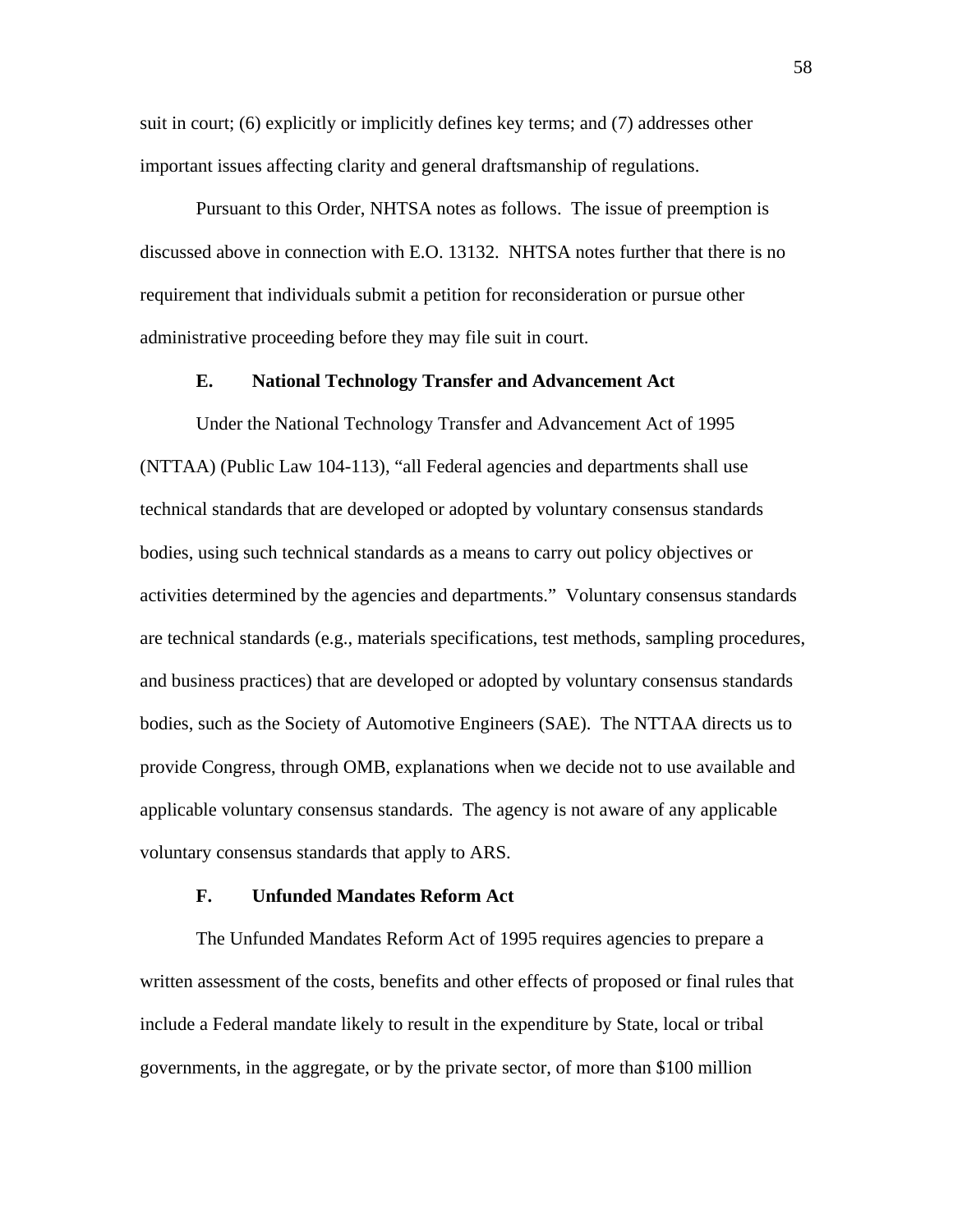suit in court; (6) explicitly or implicitly defines key terms; and (7) addresses other important issues affecting clarity and general draftsmanship of regulations.

Pursuant to this Order, NHTSA notes as follows. The issue of preemption is discussed above in connection with E.O. 13132. NHTSA notes further that there is no requirement that individuals submit a petition for reconsideration or pursue other administrative proceeding before they may file suit in court.

# **E. National Technology Transfer and Advancement Act**

 Under the National Technology Transfer and Advancement Act of 1995 (NTTAA) (Public Law 104-113), "all Federal agencies and departments shall use technical standards that are developed or adopted by voluntary consensus standards bodies, using such technical standards as a means to carry out policy objectives or activities determined by the agencies and departments." Voluntary consensus standards are technical standards (e.g., materials specifications, test methods, sampling procedures, and business practices) that are developed or adopted by voluntary consensus standards bodies, such as the Society of Automotive Engineers (SAE). The NTTAA directs us to provide Congress, through OMB, explanations when we decide not to use available and applicable voluntary consensus standards. The agency is not aware of any applicable voluntary consensus standards that apply to ARS.

## **F. Unfunded Mandates Reform Act**

 The Unfunded Mandates Reform Act of 1995 requires agencies to prepare a written assessment of the costs, benefits and other effects of proposed or final rules that include a Federal mandate likely to result in the expenditure by State, local or tribal governments, in the aggregate, or by the private sector, of more than \$100 million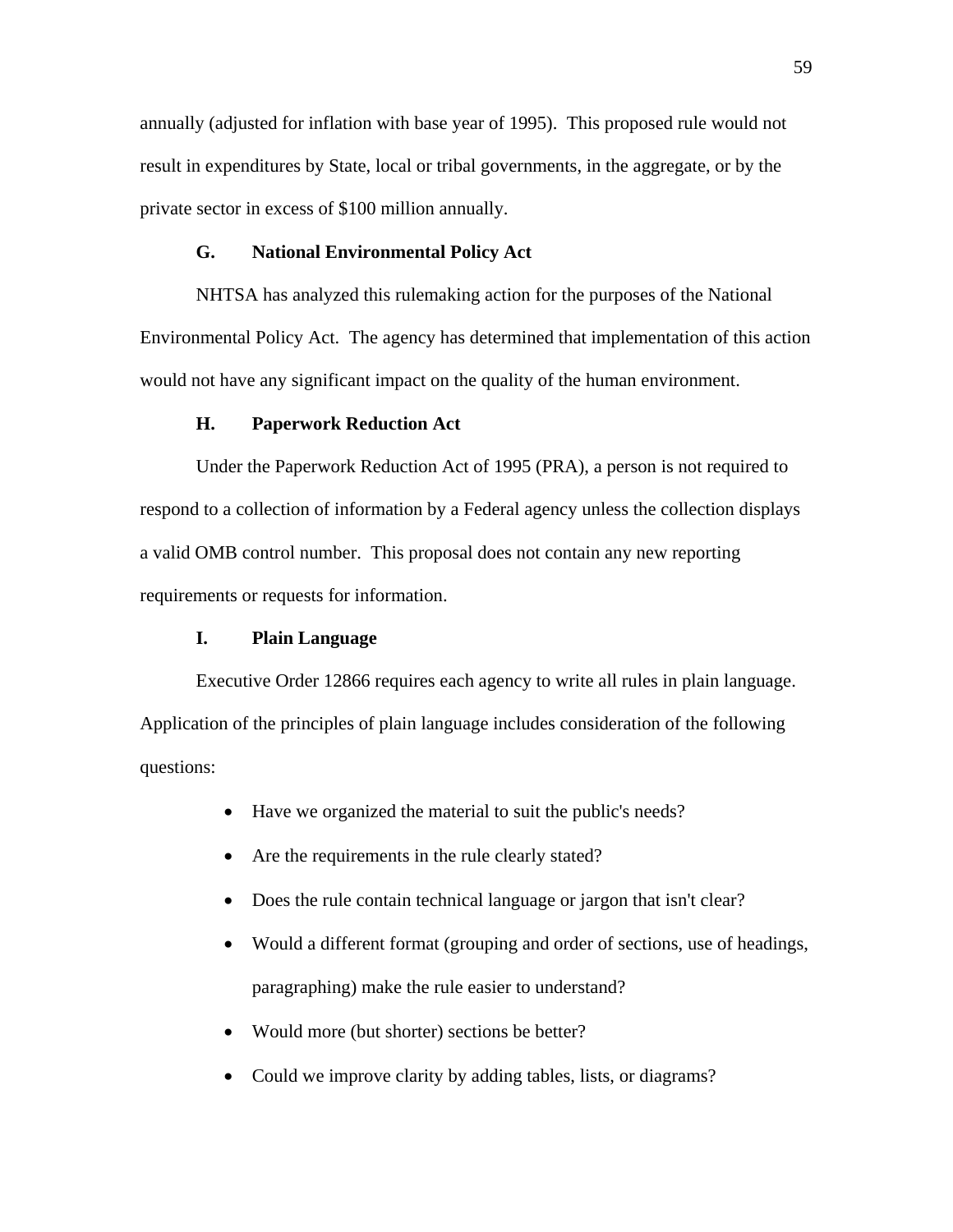annually (adjusted for inflation with base year of 1995). This proposed rule would not result in expenditures by State, local or tribal governments, in the aggregate, or by the private sector in excess of \$100 million annually.

# **G. National Environmental Policy Act**

NHTSA has analyzed this rulemaking action for the purposes of the National Environmental Policy Act. The agency has determined that implementation of this action would not have any significant impact on the quality of the human environment.

# **H. Paperwork Reduction Act**

Under the Paperwork Reduction Act of 1995 (PRA), a person is not required to respond to a collection of information by a Federal agency unless the collection displays a valid OMB control number. This proposal does not contain any new reporting requirements or requests for information.

# **I. Plain Language**

 Executive Order 12866 requires each agency to write all rules in plain language. Application of the principles of plain language includes consideration of the following questions:

- Have we organized the material to suit the public's needs?
- Are the requirements in the rule clearly stated?
- Does the rule contain technical language or jargon that isn't clear?
- Would a different format (grouping and order of sections, use of headings, paragraphing) make the rule easier to understand?
- Would more (but shorter) sections be better?
- Could we improve clarity by adding tables, lists, or diagrams?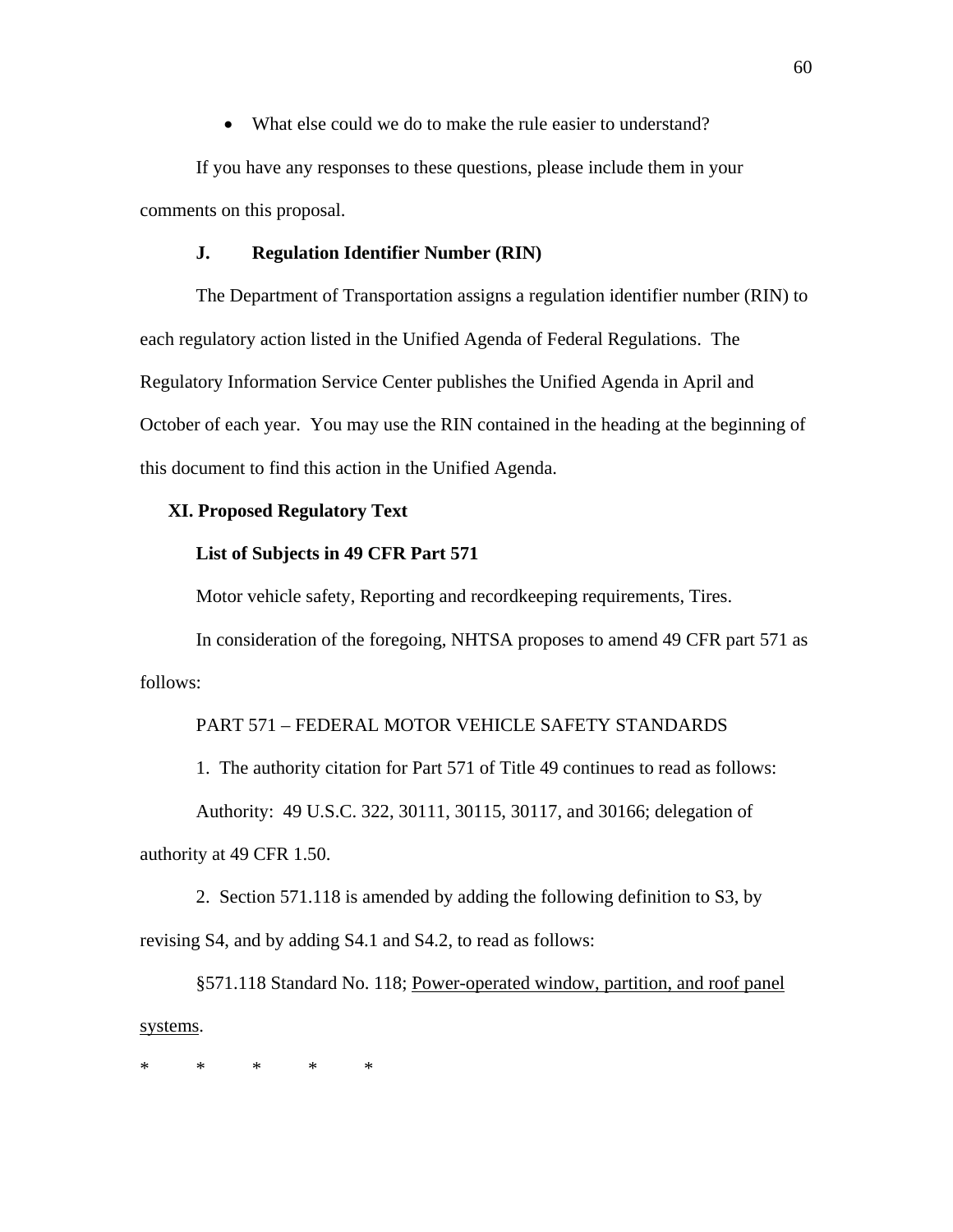• What else could we do to make the rule easier to understand?

If you have any responses to these questions, please include them in your comments on this proposal.

# **J. Regulation Identifier Number (RIN)**

 The Department of Transportation assigns a regulation identifier number (RIN) to each regulatory action listed in the Unified Agenda of Federal Regulations. The Regulatory Information Service Center publishes the Unified Agenda in April and October of each year. You may use the RIN contained in the heading at the beginning of this document to find this action in the Unified Agenda.

# **XI. Proposed Regulatory Text**

# **List of Subjects in 49 CFR Part 571**

Motor vehicle safety, Reporting and recordkeeping requirements, Tires.

In consideration of the foregoing, NHTSA proposes to amend 49 CFR part 571 as follows:

# PART 571 – FEDERAL MOTOR VEHICLE SAFETY STANDARDS

1. The authority citation for Part 571 of Title 49 continues to read as follows: Authority: 49 U.S.C. 322, 30111, 30115, 30117, and 30166; delegation of authority at 49 CFR 1.50.

 2. Section 571.118 is amended by adding the following definition to S3, by revising S4, and by adding S4.1 and S4.2, to read as follows:

 §571.118 Standard No. 118; Power-operated window, partition, and roof panel systems.

\* \* \* \* \*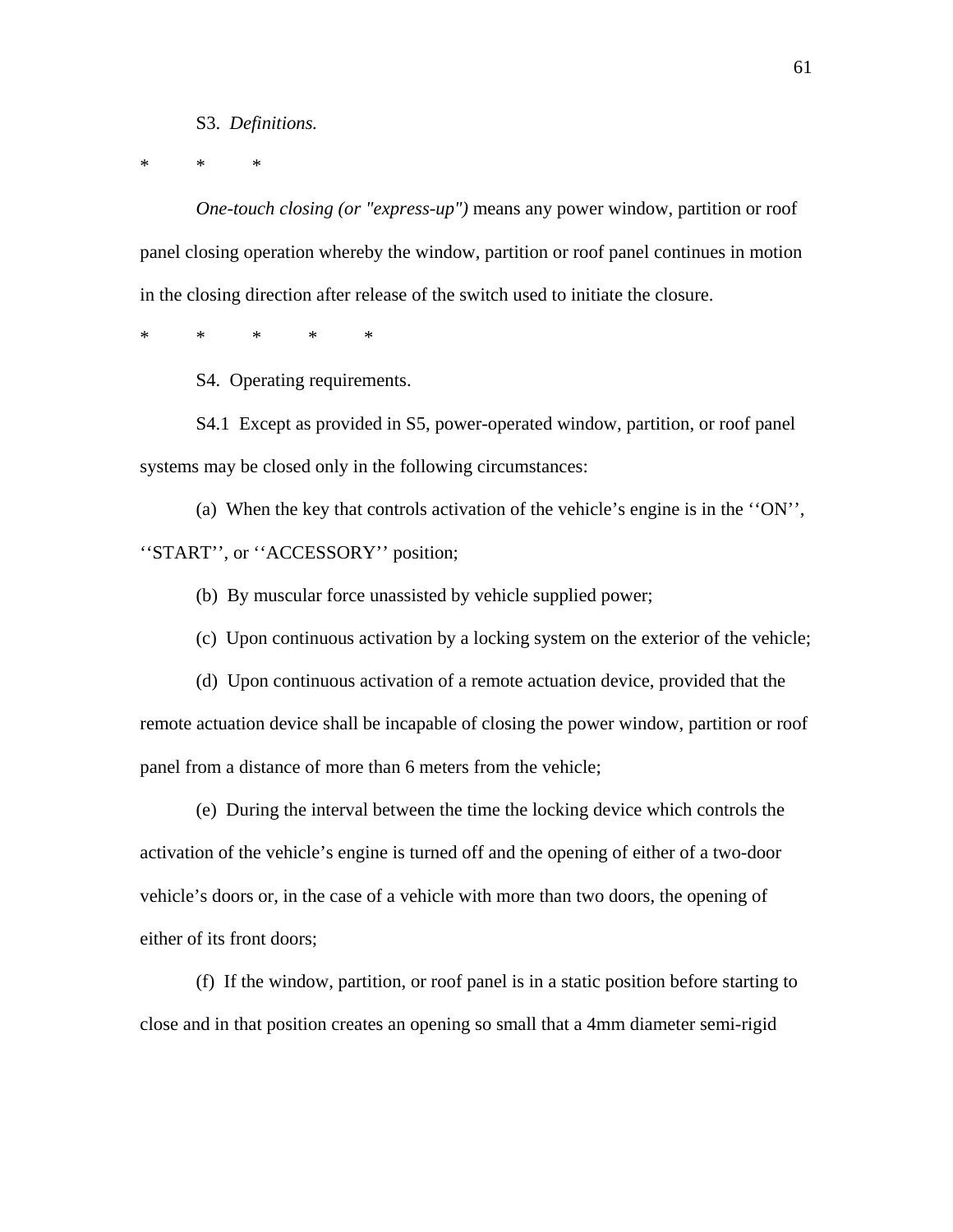#### S3. *Definitions.*

\* \* \*

*One-touch closing (or "express-up")* means any power window, partition or roof panel closing operation whereby the window, partition or roof panel continues in motion in the closing direction after release of the switch used to initiate the closure.

\* \* \* \* \*

S4. Operating requirements.

S4.1 Except as provided in S5, power-operated window, partition, or roof panel systems may be closed only in the following circumstances:

(a) When the key that controls activation of the vehicle's engine is in the ''ON'', ''START'', or ''ACCESSORY'' position;

(b) By muscular force unassisted by vehicle supplied power;

(c) Upon continuous activation by a locking system on the exterior of the vehicle;

(d) Upon continuous activation of a remote actuation device, provided that the remote actuation device shall be incapable of closing the power window, partition or roof panel from a distance of more than 6 meters from the vehicle;

(e) During the interval between the time the locking device which controls the activation of the vehicle's engine is turned off and the opening of either of a two-door vehicle's doors or, in the case of a vehicle with more than two doors, the opening of either of its front doors;

(f) If the window, partition, or roof panel is in a static position before starting to close and in that position creates an opening so small that a 4mm diameter semi-rigid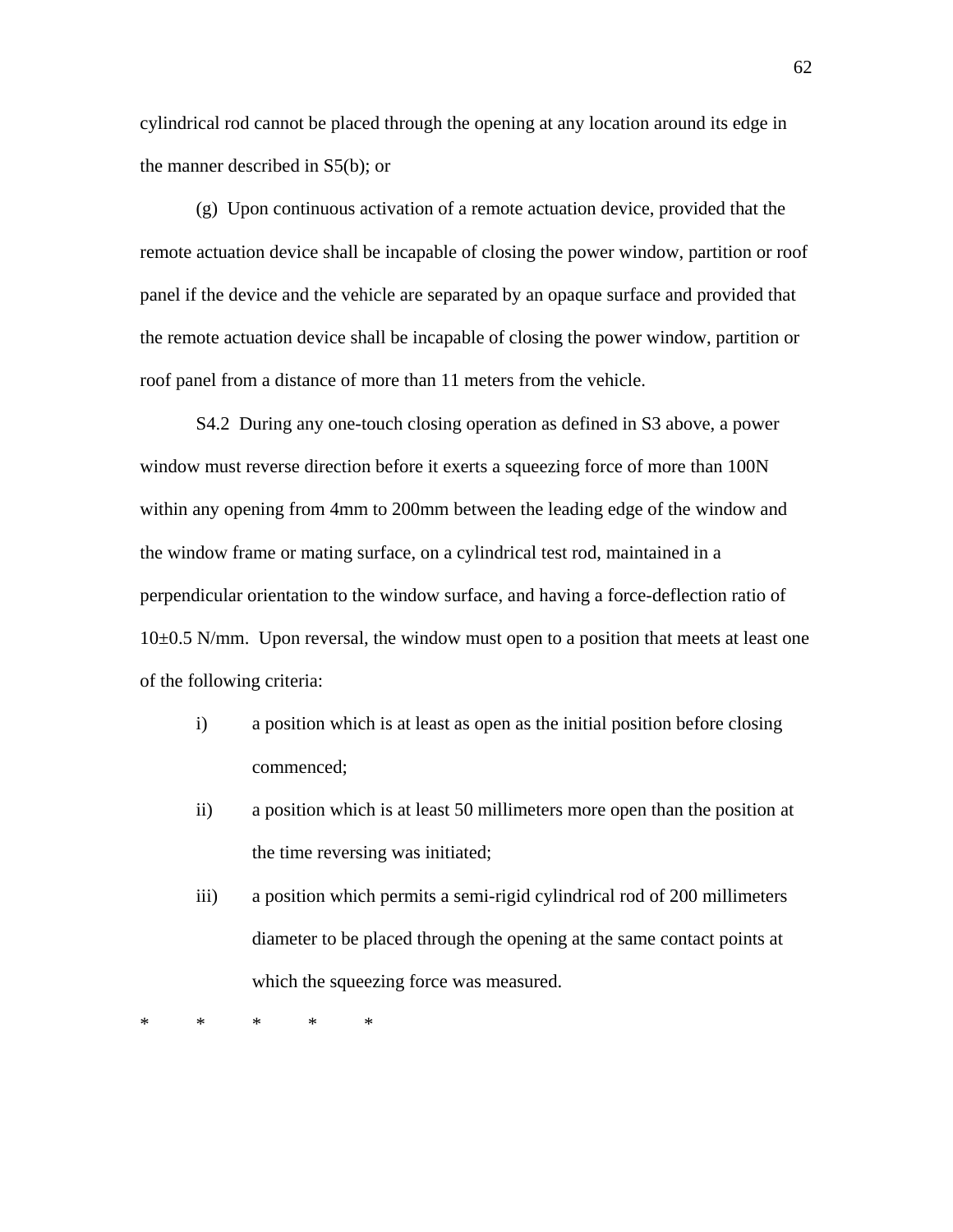cylindrical rod cannot be placed through the opening at any location around its edge in the manner described in S5(b); or

(g) Upon continuous activation of a remote actuation device, provided that the remote actuation device shall be incapable of closing the power window, partition or roof panel if the device and the vehicle are separated by an opaque surface and provided that the remote actuation device shall be incapable of closing the power window, partition or roof panel from a distance of more than 11 meters from the vehicle.

S4.2 During any one-touch closing operation as defined in S3 above, a power window must reverse direction before it exerts a squeezing force of more than 100N within any opening from 4mm to 200mm between the leading edge of the window and the window frame or mating surface, on a cylindrical test rod, maintained in a perpendicular orientation to the window surface, and having a force-deflection ratio of 10±0.5 N/mm. Upon reversal, the window must open to a position that meets at least one of the following criteria:

- i) a position which is at least as open as the initial position before closing commenced;
- ii) a position which is at least 50 millimeters more open than the position at the time reversing was initiated;
- iii) a position which permits a semi-rigid cylindrical rod of 200 millimeters diameter to be placed through the opening at the same contact points at which the squeezing force was measured.

\* \* \* \* \*